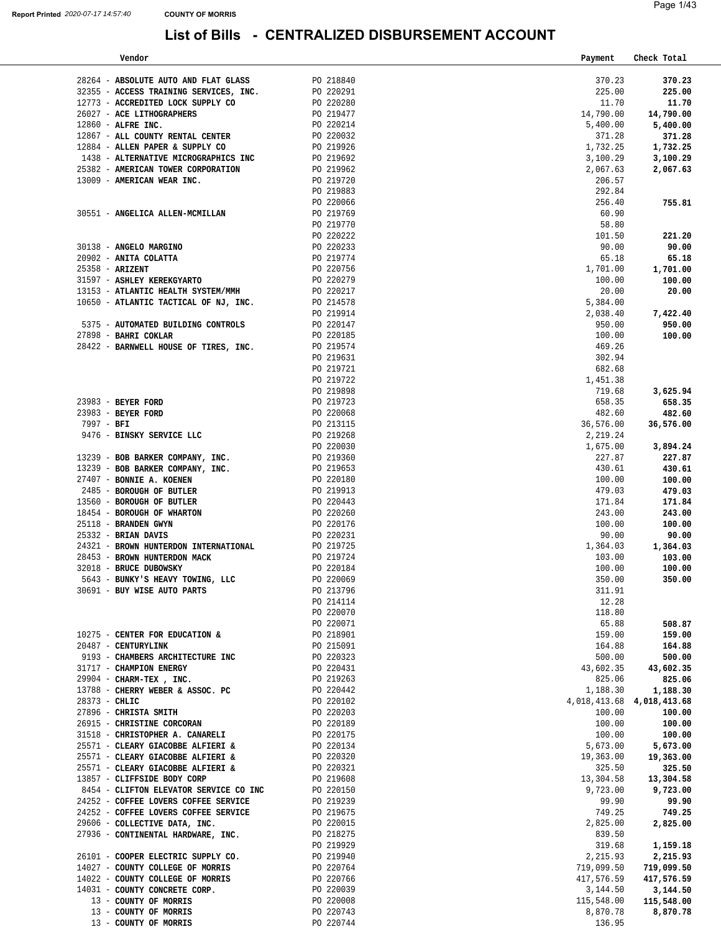| Vendor                                                                                                                                                                                      |                        | Payment                         | Check Total |
|---------------------------------------------------------------------------------------------------------------------------------------------------------------------------------------------|------------------------|---------------------------------|-------------|
|                                                                                                                                                                                             |                        |                                 |             |
| $28264$ - ${\bf ABSOLUTE}$ AUTO AND FLAT GLASS $\hfill$ PO $218840$                                                                                                                         |                        | 370.23                          | 370.23      |
|                                                                                                                                                                                             |                        | 225.00                          | 225.00      |
| 32355 - ACCESS TRAINING SERVICES, INC.<br>12773 - ACCREDITED LOCK SUPPLY CO                                                                                                                 | PO 220291<br>PO 220280 | 11.70                           | 11.70       |
|                                                                                                                                                                                             |                        |                                 |             |
| 26027 - ACE LITHOGRAPHERS                                                                                                                                                                   | PO 219477<br>PO 220214 | 14,790.00                       | 14,790.00   |
| 12860 - ALFRE INC.                                                                                                                                                                          |                        | 5,400.00                        | 5,400.00    |
| 12867 - ALL COUNTY RENTAL CENTER PO 220032                                                                                                                                                  |                        | 371.28                          | 371.28      |
| 12884 - ALLEN PAPER & SUPPLY CO                                                                                                                                                             | PO 219926              | 1,732.25                        | 1,732.25    |
| 1438 - ALTERNATIVE MICROGRAPHICS INC<br>PO 219692                                                                                                                                           |                        | 3,100.29                        | 3,100.29    |
|                                                                                                                                                                                             |                        |                                 |             |
| 25382 - AMERICAN TOWER CORPORATION PO 219962                                                                                                                                                |                        | 2,067.63                        | 2,067.63    |
| 13009 - AMERICAN WEAR INC.                                                                                                                                                                  | PO 219720              | 206.57                          |             |
|                                                                                                                                                                                             | PO 219883              | 292.84                          |             |
|                                                                                                                                                                                             | PO 220066              | 256.40                          | 755.81      |
|                                                                                                                                                                                             | PO 219769              | 60.90                           |             |
| 30551 - ANGELICA ALLEN-MCMILLAN                                                                                                                                                             |                        |                                 |             |
|                                                                                                                                                                                             | PO 219770              | 58.80                           |             |
|                                                                                                                                                                                             |                        | 101.50                          | 221.20      |
| PO 220222<br>PO 220233<br>PO 219774<br>30138 - ANGELO MARGINO                                                                                                                               |                        | 90.00                           | 90.00       |
| 20902 - ANITA COLATTA                                                                                                                                                                       |                        | 65.18                           | 65.18       |
|                                                                                                                                                                                             | PO 220756              | 1,701.00                        | 1,701.00    |
| 25358 - <b>ARIZENT</b><br>31597 - <b>ASHLEY KEREKGYARTO</b>                                                                                                                                 |                        |                                 |             |
|                                                                                                                                                                                             | PO 220279              | 100.00                          | 100.00      |
| 13153 - ATLANTIC HEALTH SYSTEM/MMH                                                                                                                                                          | PO 220217              | 20.00                           | 20.00       |
| 10650 - ATLANTIC TACTICAL OF NJ, INC.                                                                                                                                                       | PO 214578              | 5,384.00                        |             |
|                                                                                                                                                                                             | PO 219914              | 2,038.40                        | 7,422.40    |
| 5375 - AUTOMATED BUILDING CONTROLS                                                                                                                                                          | PO 220147              | 950.00                          | 950.00      |
|                                                                                                                                                                                             |                        |                                 |             |
| 27898 - BAHRI COKLAR                                                                                                                                                                        | PO 220185              | 100.00                          | 100.00      |
| 28422 - BARNWELL HOUSE OF TIRES, INC.                                                                                                                                                       | PO 219574              | 469.26                          |             |
|                                                                                                                                                                                             | PO 219631              | 302.94                          |             |
|                                                                                                                                                                                             | PO 219721              | 682.68                          |             |
|                                                                                                                                                                                             | PO 219722              | 1,451.38                        |             |
|                                                                                                                                                                                             |                        |                                 |             |
|                                                                                                                                                                                             |                        | 719.68                          | 3,625.94    |
| 23983 - BEYER FORD                                                                                                                                                                          |                        | 658.35                          | 658.35      |
| 23983 - BEYER FORD<br>23983 - BEYER FORD<br>23983 - BEYER FORD<br>7997 - BFI<br>9476 - BINSKY SERVICE LLC<br>23983 - PO 213115<br>2476 - BINSKY SERVICE LLC<br>219268<br>23983 - BEYER FORD |                        | 482.60                          | 482.60      |
|                                                                                                                                                                                             |                        | 36,576.00                       | 36,576.00   |
|                                                                                                                                                                                             |                        | 2,219.24                        |             |
|                                                                                                                                                                                             | PO 220030              | 1,675.00                        | 3,894.24    |
|                                                                                                                                                                                             |                        |                                 |             |
| 13239 - BOB BARKER COMPANY, INC.                                                                                                                                                            | PO 219360              | 227.87                          | 227.87      |
| 13239 - BOB BARKER COMPANY, INC.                                                                                                                                                            | PO 219653              | 430.61                          | 430.61      |
| 27407 - BONNIE A. KOENEN                                                                                                                                                                    | PO 220180              | 100.00                          | 100.00      |
| 2485 - BOROUGH OF BUTLER                                                                                                                                                                    | PO 220180<br>PO 219913 | 479.03                          | 479.03      |
|                                                                                                                                                                                             |                        | 171.84                          | 171.84      |
| 13560 - BOROUGH OF BUTLER<br>18454 - BOROUGH OF WHARTON                                                                                                                                     | PO 220443<br>PO 220260 |                                 |             |
|                                                                                                                                                                                             |                        | 243.00                          | 243.00      |
| 25118 - BRANDEN GWYN                                                                                                                                                                        | PO 220176              | 100.00                          | 100.00      |
| 25332 - BRIAN DAVIS                                                                                                                                                                         | PO 220231              | 90.00                           | 90.00       |
| 24321 - BROWN HUNTERDON INTERNATIONAL PO 219725                                                                                                                                             |                        | 1,364.03                        | 1,364.03    |
| 28453 - BROWN HUNTERDON MACK                                                                                                                                                                |                        | 103.00                          | 103.00      |
| 32018 - BRUCE DUBOWSKY                                                                                                                                                                      | PO 219724<br>PO 220184 | 100.00                          | 100.00      |
| 5643 - BUNKY'S HEAVY TOWING, LLC                                                                                                                                                            |                        |                                 |             |
|                                                                                                                                                                                             | PO 220069              | 350.00                          | 350.00      |
| 30691 - BUY WISE AUTO PARTS                                                                                                                                                                 | PO 213796              | 311.91                          |             |
|                                                                                                                                                                                             | PO 214114              | 12.28                           |             |
|                                                                                                                                                                                             | PO 220070              | 118.80                          |             |
|                                                                                                                                                                                             | PO 220071              | 65.88                           | 508.87      |
| 10275 - CENTER FOR EDUCATION &                                                                                                                                                              | PO 218901              | 159.00                          |             |
|                                                                                                                                                                                             |                        |                                 | 159.00      |
| 20487 - CENTURYLINK                                                                                                                                                                         | PO 215091              | 164.88                          | 164.88      |
| 9193 - CHAMBERS ARCHITECTURE INC                                                                                                                                                            | PO 220323              | 500.00                          | 500.00      |
| 31717 - CHAMPION ENERGY                                                                                                                                                                     | PO 220431              | 43,602.35                       | 43,602.35   |
| 29904 - CHARM-TEX, INC.                                                                                                                                                                     | PO 219263              | 825.06                          | 825.06      |
| 13788 - CHERRY WEBER & ASSOC. PC                                                                                                                                                            | PO 220442              | 1,188.30                        | 1,188.30    |
|                                                                                                                                                                                             |                        |                                 |             |
| 28373 - CHLIC                                                                                                                                                                               | PO 220102              | 4, 018, 413. 68 4, 018, 413. 68 |             |
| 27896 - CHRISTA SMITH                                                                                                                                                                       | PO 220203              | 100.00                          | 100.00      |
| 26915 - CHRISTINE CORCORAN                                                                                                                                                                  | PO 220189              | 100.00                          | 100.00      |
| 31518 - CHRISTOPHER A. CANARELI                                                                                                                                                             | PO 220175              | 100.00                          | 100.00      |
| 25571 - CLEARY GIACOBBE ALFIERI &                                                                                                                                                           | PO 220134              | 5,673.00                        | 5,673.00    |
| 25571 - CLEARY GIACOBBE ALFIERI &                                                                                                                                                           | PO 220320              | 19,363.00                       | 19,363.00   |
|                                                                                                                                                                                             |                        |                                 |             |
| 25571 - CLEARY GIACOBBE ALFIERI &                                                                                                                                                           | PO 220321              | 325.50                          | 325.50      |
| 13857 - CLIFFSIDE BODY CORP                                                                                                                                                                 | PO 219608              | 13,304.58                       | 13,304.58   |
| 8454 - CLIFTON ELEVATOR SERVICE CO INC                                                                                                                                                      | PO 220150              | 9,723.00                        | 9,723.00    |
| 24252 - COFFEE LOVERS COFFEE SERVICE                                                                                                                                                        | PO 219239              | 99.90                           | 99.90       |
| 24252 - COFFEE LOVERS COFFEE SERVICE                                                                                                                                                        | PO 219675              | 749.25                          | 749.25      |
| 29606 - COLLECTIVE DATA, INC.                                                                                                                                                               | PO 220015              | 2,825.00                        | 2,825.00    |
|                                                                                                                                                                                             |                        |                                 |             |
| 27936 - CONTINENTAL HARDWARE, INC.                                                                                                                                                          | PO 218275              | 839.50                          |             |
|                                                                                                                                                                                             | PO 219929              | 319.68                          | 1,159.18    |
| 26101 - COOPER ELECTRIC SUPPLY CO.                                                                                                                                                          | PO 219940              | 2,215.93                        | 2,215.93    |
| 14027 - COUNTY COLLEGE OF MORRIS                                                                                                                                                            | PO 220764              | 719,099.50                      | 719,099.50  |
| 14022 - COUNTY COLLEGE OF MORRIS                                                                                                                                                            | PO 220766              | 417,576.59                      | 417,576.59  |
|                                                                                                                                                                                             |                        |                                 |             |
| 14031 - COUNTY CONCRETE CORP.                                                                                                                                                               | PO 220039              | 3,144.50                        | 3,144.50    |
| 13 - COUNTY OF MORRIS                                                                                                                                                                       | PO 220008              | 115,548.00                      | 115,548.00  |
| 13 - COUNTY OF MORRIS                                                                                                                                                                       | PO 220743              | 8,870.78                        | 8,870.78    |
| 13 - COUNTY OF MORRIS                                                                                                                                                                       | PO 220744              | 136.95                          |             |
|                                                                                                                                                                                             |                        |                                 |             |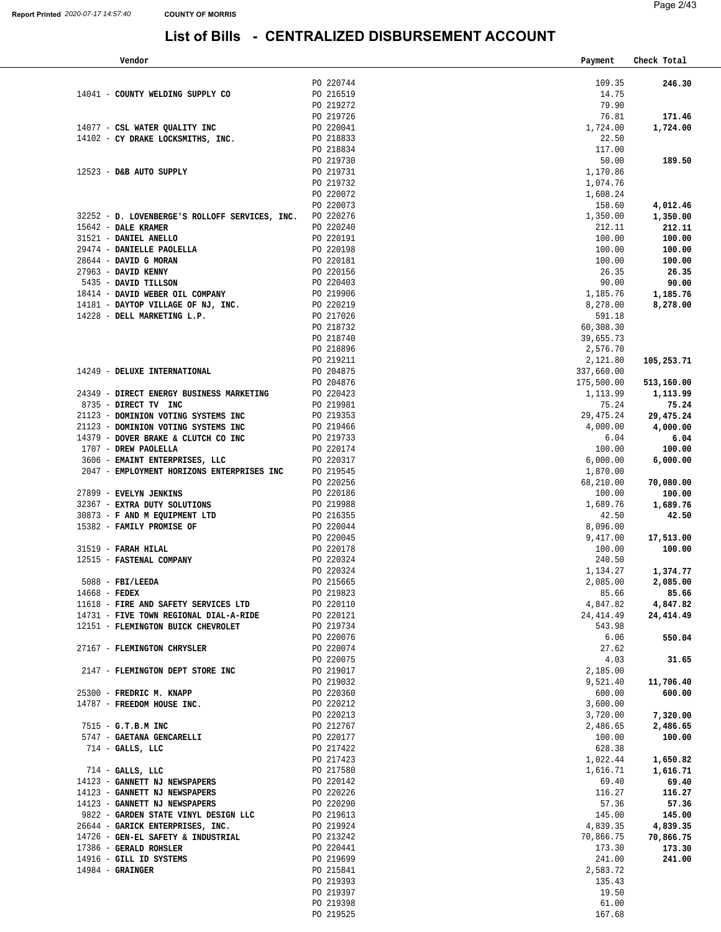| Vendor                                                   |                                     | Payment    | Check Total |
|----------------------------------------------------------|-------------------------------------|------------|-------------|
|                                                          |                                     |            |             |
|                                                          | PO 220744                           | 109.35     | 246.30      |
| 14041 - COUNTY WELDING SUPPLY CO                         | PO 216519                           | 14.75      |             |
|                                                          | PO 219272                           | 79.90      |             |
|                                                          | PO 219726                           | 76.81      | 171.46      |
| 14077 - CSL WATER QUALITY INC                            | PO 220041                           | 1,724.00   | 1,724.00    |
| 14102 - CY DRAKE LOCKSMITHS, INC.                        | PO 218833                           | 22.50      |             |
|                                                          | PO 218834                           | 117.00     |             |
|                                                          | PO 219730                           | 50.00      | 189.50      |
| 12523 - D&B AUTO SUPPLY                                  | PO 219731                           | 1,170.86   |             |
|                                                          | PO 219732                           | 1,074.76   |             |
|                                                          | PO 220072                           | 1,608.24   |             |
|                                                          | PO 220073                           | 158.60     | 4,012.46    |
| 32252 - D. LOVENBERGE'S ROLLOFF SERVICES, INC. PO 220276 |                                     | 1,350.00   | 1,350.00    |
| 15642 - DALE KRAMER                                      | PO 220240                           | 212.11     | 212.11      |
| 31521 - DANIEL ANELLO                                    | PO 220191                           | 100.00     | 100.00      |
| 29474 - DANIELLE PAOLELLA                                | PO 220198                           | 100.00     | 100.00      |
| 28644 - DAVID G MORAN                                    | PO 220181                           | 100.00     | 100.00      |
| 27963 - DAVID KENNY                                      | PO 220156                           | 26.35      | 26.35       |
| 5435 - DAVID TILLSON                                     | PO 220403                           | 90.00      | 90.00       |
| 18414 - DAVID WEBER OIL COMPANY                          |                                     | 1,185.76   | 1,185.76    |
| 14181 - DAYTOP VILLAGE OF NJ, INC.                       | PO 219906<br>PO 220219              | 8,278.00   | 8,278.00    |
| 14228 - DELL MARKETING L.P.                              | PO 217026                           | 591.18     |             |
|                                                          | PO 218732                           | 60,308.30  |             |
|                                                          | PO 218740                           |            |             |
|                                                          |                                     | 39,655.73  |             |
|                                                          | PO 218896                           | 2,576.70   |             |
|                                                          | PO 219211                           | 2,121.80   | 105,253.71  |
| 14249 - DELUXE INTERNATIONAL                             | PO 204875                           | 337,660.00 |             |
|                                                          | PO 204876                           | 175,500.00 | 513,160.00  |
| 24349 - DIRECT ENERGY BUSINESS MARKETING                 | PO 220423                           | 1,113.99   | 1,113.99    |
| 8735 - DIRECT TV INC                                     | PO 219981                           | 75.24      | 75.24       |
| 21123 - DOMINION VOTING SYSTEMS INC                      | PO 219353                           | 29,475.24  | 29,475.24   |
| 21123 - DOMINION VOTING SYSTEMS INC                      | PO 219466                           | 4,000.00   | 4,000.00    |
| 14379 - DOVER BRAKE & CLUTCH CO INC                      | PO 219733                           | 6.04       | 6.04        |
| 1707 - DREW PAOLELLA                                     | PO 220174                           | 100.00     | 100.00      |
| 3606 - EMAINT ENTERPRISES, LLC                           | PO 220317                           | 6,000.00   | 6,000.00    |
| 2047 - EMPLOYMENT HORIZONS ENTERPRISES INC               | PO 219545                           | 1,870.00   |             |
|                                                          | PO 220256                           | 68,210.00  | 70,080.00   |
| 27899 - EVELYN JENKINS                                   | PO 220186                           | 100.00     | 100.00      |
| 32367 - EXTRA DUTY SOLUTIONS                             | PO 219988<br>PO 219988<br>PO 216355 | 1,689.76   | 1,689.76    |
| 30873 - F AND M EQUIPMENT LTD                            |                                     | 42.50      | 42.50       |
| 15382 - FAMILY PROMISE OF                                | PO 220044                           | 8,096.00   |             |
|                                                          | PO 220045                           | 9,417.00   | 17,513.00   |
| 31519 - FARAH HILAL                                      | PO 220178                           | 100.00     | 100.00      |
| 12515 - FASTENAL COMPANY                                 | PO 220324                           | 240.50     |             |
|                                                          | PO 220324                           | 1,134.27   | 1,374.77    |
| $5088$ - FBI/LEEDA                                       | PO 215665                           | 2,085.00   | 2,085.00    |
| $14668$ - FEDEX                                          | PO 219823                           | 85.66      | 85.66       |
| 11618 - FIRE AND SAFETY SERVICES LTD                     | PO 220110                           | 4,847.82   | 4,847.82    |
| 14731 - FIVE TOWN REGIONAL DIAL-A-RIDE                   | PO 220121                           | 24,414.49  | 24,414.49   |
| 12151 - FLEMINGTON BUICK CHEVROLET                       | PO 219734                           | 543.98     |             |
|                                                          | PO 220076                           | 6.06       | 550.04      |
| 27167 - FLEMINGTON CHRYSLER                              | PO 220074                           | 27.62      |             |
|                                                          | PO 220075                           | 4.03       | 31.65       |
| 2147 - FLEMINGTON DEPT STORE INC                         | PO 219017                           | 2,185.00   |             |
|                                                          | PO 219032                           | 9,521.40   | 11,706.40   |
| 25300 - FREDRIC M. KNAPP                                 | PO 220360                           | 600.00     | 600.00      |
| 14787 - FREEDOM HOUSE INC.                               | PO 220212                           | 3,600.00   |             |
|                                                          | PO 220213                           | 3,720.00   | 7,320.00    |
| 7515 - G.T.B.M INC                                       | PO 212767                           | 2,486.65   | 2,486.65    |
| 5747 - GAETANA GENCARELLI                                | PO 220177                           | 100.00     | 100.00      |
| $714$ - GALLS, LLC                                       | PO 217422                           | 628.38     |             |
|                                                          | PO 217423                           | 1,022.44   | 1,650.82    |
| $714$ - GALLS, LLC                                       | PO 217580                           | 1,616.71   | 1,616.71    |
| 14123 - GANNETT NJ NEWSPAPERS                            | PO 220142                           | 69.40      | 69.40       |
| 14123 - GANNETT NJ NEWSPAPERS                            | PO 220226                           | 116.27     | 116.27      |
| 14123 - GANNETT NJ NEWSPAPERS                            | PO 220290                           | 57.36      | 57.36       |
| 9822 - GARDEN STATE VINYL DESIGN LLC                     | PO 219613                           | 145.00     | 145.00      |
| 26644 - GARICK ENTERPRISES, INC.                         | PO 219924                           | 4,839.35   | 4,839.35    |
| 14726 - GEN-EL SAFETY & INDUSTRIAL                       | PO 213242                           | 70,866.75  | 70,866.75   |
| 17386 - GERALD ROHSLER                                   | PO 220441                           | 173.30     | 173.30      |
| 14916 - GILL ID SYSTEMS                                  | PO 219699                           | 241.00     | 241.00      |
| $14984 -$ GRAINGER                                       | PO 215841                           | 2,583.72   |             |
|                                                          | PO 219393                           | 135.43     |             |
|                                                          | PO 219397                           | 19.50      |             |
|                                                          | PO 219398                           | 61.00      |             |
|                                                          | PO 219525                           | 167.68     |             |
|                                                          |                                     |            |             |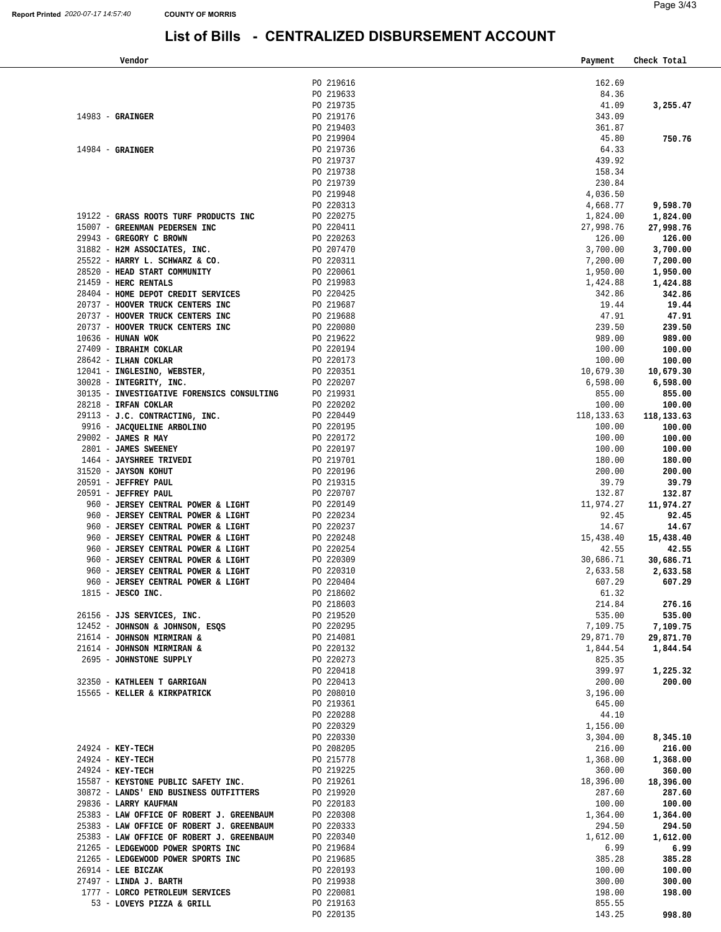| Vendor                                                                        |                        | Payment               | Check Total          |
|-------------------------------------------------------------------------------|------------------------|-----------------------|----------------------|
|                                                                               |                        |                       |                      |
|                                                                               | PO 219616              | 162.69                |                      |
|                                                                               | PO 219633              | 84.36                 |                      |
|                                                                               | PO 219735              | 41.09                 | 3,255.47             |
| $14983$ - GRAINGER                                                            | PO 219176              | 343.09                |                      |
|                                                                               | PO 219403              | 361.87                |                      |
|                                                                               | PO 219904              | 45.80                 | 750.76               |
| $14984$ - GRAINGER                                                            | PO 219736              | 64.33                 |                      |
|                                                                               | PO 219737              | 439.92<br>158.34      |                      |
|                                                                               | PO 219738<br>PO 219739 | 230.84                |                      |
|                                                                               | PO 219948              | 4,036.50              |                      |
|                                                                               | PO 220313              | 4,668.77              | 9,598.70             |
| 19122 - GRASS ROOTS TURF PRODUCTS INC                                         | PO 220275              | 1,824.00              | 1,824.00             |
| 15007 - GREENMAN PEDERSEN INC                                                 | PO 220411              | 27,998.76             | 27,998.76            |
| 29943 - GREGORY C BROWN                                                       | PO 220263              | 126.00                | 126.00               |
| 31882 - H2M ASSOCIATES, INC.                                                  | PO 207470              | 3,700.00              | 3,700.00             |
| 25522 - HARRY L. SCHWARZ & CO.                                                | PO 220311              | 7,200.00              | 7,200.00             |
| 28520 - HEAD START COMMUNITY                                                  | PO 220061              | 1,950.00              | 1,950.00             |
| 21459 - HERC RENTALS                                                          | PO 219983              | 1,424.88              | 1,424.88             |
| 28404 - HOME DEPOT CREDIT SERVICES                                            | PO 220425              | 342.86                | 342.86               |
| 20737 - HOOVER TRUCK CENTERS INC                                              | PO 219687              | 19.44                 | 19.44                |
| 20737 - HOOVER TRUCK CENTERS INC                                              | PO 219688              | 47.91                 | 47.91                |
| 20737 - HOOVER TRUCK CENTERS INC                                              | PO 220080              | 239.50                | 239.50               |
| $10636$ - HUNAN WOK                                                           | PO 219622              | 989.00                | 989.00               |
| 27409 - IBRAHIM COKLAR                                                        | PO 220194              | 100.00                | 100.00               |
| 28642 - ILHAN COKLAR                                                          | PO 220173              | 100.00                | 100.00               |
| 12041 - INGLESINO, WEBSTER,                                                   | PO 220351              | 10,679.30             | 10,679.30            |
|                                                                               | PO 220207              | 6,598.00              | 6,598.00             |
| 30135 - INVESTIGATIVE FORENSICS CONSULTING<br>28218 - IRFAN COKLAR<br>00116 - | PO 219931              | 855.00                | 855.00               |
| 29113 - J.C. CONTRACTING, INC.                                                | PO 220202<br>PO 220449 | 100.00<br>118, 133.63 | 100.00<br>118,133.63 |
| 9916 - JACQUELINE ARBOLINO                                                    | PO 220195              | 100.00                | 100.00               |
| 29002 - JAMES R MAY                                                           | PO 220172              | 100.00                | 100.00               |
| 2801 - JAMES SWEENEY                                                          | PO 220197              | 100.00                | 100.00               |
| 1464 - JAYSHREE TRIVEDI                                                       | PO 219701              | 180.00                | 180.00               |
| 31520 - JAYSON KOHUT                                                          | PO 220196              | 200.00                | 200.00               |
| 20591 - JEFFREY PAUL                                                          | PO 219315              | 39.79                 | 39.79                |
| 20591 - JEFFREY PAUL                                                          | PO 220707              | 132.87                | 132.87               |
| 960 - JERSEY CENTRAL POWER & LIGHT                                            | PO 220149              | 11,974.27             | 11,974.27            |
| 960 - JERSEY CENTRAL POWER & LIGHT                                            | PO 220234              | 92.45                 | 92.45                |
| 960 - JERSEY CENTRAL POWER & LIGHT                                            | PO 220237              | 14.67                 | 14.67                |
| 960 - JERSEY CENTRAL POWER & LIGHT                                            | PO 220248              | 15,438.40             | 15,438.40            |
| 960 - JERSEY CENTRAL POWER & LIGHT                                            | PO 220254              | 42.55                 | 42.55                |
| 960 - JERSEY CENTRAL POWER & LIGHT<br>960 - JERSEY CENTRAL POWER & LIGHT      | PO 220309<br>PO 220310 | 30,686.71             | 30,686.71            |
| 960 - JERSEY CENTRAL POWER & LIGHT                                            | PO 220404              | 2,633.58<br>607.29    | 2,633.58<br>607.29   |
| $1815$ - JESCO INC.                                                           | PO 218602              | 61.32                 |                      |
|                                                                               | PO 218603              | 214.84                | 276.16               |
| 26156 - JJS SERVICES, INC.                                                    | PO 219520              | 535.00                | 535.00               |
| 12452 - JOHNSON & JOHNSON, ESQS                                               | PO 220295              | 7,109.75              | 7,109.75             |
| 21614 - JOHNSON MIRMIRAN &                                                    | PO 214081              | 29,871.70             | 29,871.70            |
| 21614 - JOHNSON MIRMIRAN &                                                    | PO 220132              |                       | 1,844.54 1,844.54    |
| 2695 - JOHNSTONE SUPPLY                                                       | PO 220273              | 825.35                |                      |
|                                                                               | PO 220418              | 399.97                | 1,225.32             |
| 32350 - KATHLEEN T GARRIGAN                                                   | PO 220413              | 200.00                | 200.00               |
| 15565 - KELLER & KIRKPATRICK                                                  | PO 208010              | 3,196.00              |                      |
|                                                                               | PO 219361              | 645.00                |                      |
|                                                                               | PO 220288              | 44.10                 |                      |
|                                                                               | PO 220329              | 1,156.00              |                      |
| 24924 - KEY-TECH                                                              | PO 220330<br>PO 208205 | 3,304.00              | 8,345.10<br>216.00   |
| $24924 - KEY-TECH$                                                            | PO 215778              | 216.00<br>1,368.00    | 1,368.00             |
| $24924 - KEY-TECH$                                                            | PO 219225              | 360.00                | 360.00               |
| 15587 - KEYSTONE PUBLIC SAFETY INC.                                           | PO 219261              | 18,396.00             | 18,396.00            |
| 30872 - LANDS' END BUSINESS OUTFITTERS                                        | PO 219920              | 287.60                | 287.60               |
| 29836 - LARRY KAUFMAN                                                         | PO 220183              | 100.00                | 100.00               |
| 25383 - LAW OFFICE OF ROBERT J. GREENBAUM                                     | PO 220308              | 1,364.00              | 1,364.00             |
| 25383 - LAW OFFICE OF ROBERT J. GREENBAUM                                     | PO 220333              | 294.50                | 294.50               |
| 25383 - LAW OFFICE OF ROBERT J. GREENBAUM                                     | PO 220340              | 1,612.00              | 1,612.00             |
| 21265 - LEDGEWOOD POWER SPORTS INC                                            | PO 219684              | 6.99                  | 6.99                 |
| 21265 - LEDGEWOOD POWER SPORTS INC                                            | PO 219685              | 385.28                | 385.28               |
| $26914$ - LEE BICZAK                                                          | PO 220193              | 100.00                | 100.00               |
| 27497 - LINDA J. BARTH                                                        | PO 219938              | 300.00                | 300.00               |
| 1777 - LORCO PETROLEUM SERVICES                                               | PO 220081              | 198.00                | 198.00               |
| 53 - LOVEYS PIZZA & GRILL                                                     | PO 219163<br>PO 220135 | 855.55<br>143.25      |                      |
|                                                                               |                        |                       | 998.80               |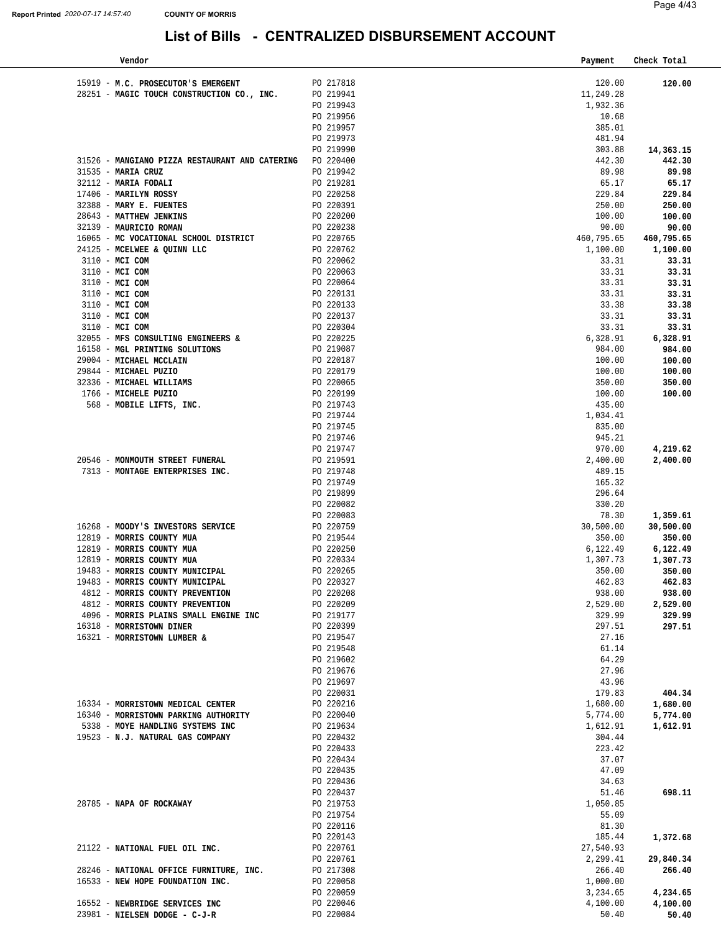| Vendor                                                             |                        | Payment              | Check Total          |
|--------------------------------------------------------------------|------------------------|----------------------|----------------------|
|                                                                    |                        |                      |                      |
| 15919 - M.C. PROSECUTOR'S EMERGENT                                 | PO 217818              | 120.00               | 120.00               |
| 28251 - MAGIC TOUCH CONSTRUCTION CO., INC.                         | PO 219941              | 11,249.28            |                      |
|                                                                    | PO 219943              | 1,932.36             |                      |
|                                                                    | PO 219956              | 10.68                |                      |
|                                                                    | PO 219957              | 385.01               |                      |
|                                                                    | PO 219973              | 481.94               |                      |
|                                                                    | PO 219990              | 303.88               | 14,363.15            |
| 31526 - MANGIANO PIZZA RESTAURANT AND CATERING PO 220400           |                        | 442.30               | 442.30               |
| 31535 - MARIA CRUZ<br>32112 - MARIA FODALI                         | PO 219942<br>PO 219281 | 89.98<br>65.17       | 89.98<br>65.17       |
| 17406 - MARILYN ROSSY                                              | PO 220258              | 229.84               | 229.84               |
| 32388 - MARY E. FUENTES                                            |                        | 250.00               | 250.00               |
| 28643 - MATTHEW JENKINS                                            | PO 220391<br>PO 220200 | 100.00               | 100.00               |
| 32139 - MAURICIO ROMAN                                             | PO 220238              | 90.00                | 90.00                |
| 16065 - MC VOCATIONAL SCHOOL DISTRICT                              |                        | 460,795.65           | 460,795.65           |
| 24125 - MCELWEE & QUINN LLC                                        | PO 220765<br>PO 220762 | 1,100.00             | 1,100.00             |
| 3110 - MCI COM                                                     | PO 220062              | 33.31                | 33.31                |
| 3110 - MCI COM                                                     | PO 220063              | 33.31                | 33.31                |
| 3110 - MCI COM                                                     | PO 220064              | 33.31                | 33.31                |
| 3110 - MCI COM                                                     | PO 220131              | 33.31                | 33.31                |
| 3110 - MCI COM                                                     | PO 220133              | 33.38                | 33.38                |
| 3110 - MCI COM                                                     | PO 220137              | 33.31                | 33.31                |
| 3110 - MCI COM                                                     | PO 220304              | 33.31                | 33.31                |
| 32055 - MFS CONSULTING ENGINEERS &                                 | PO 220225<br>PO 219087 | 6,328.91             | 6,328.91             |
| 16158 - MGL PRINTING SOLUTIONS                                     |                        | 984.00               | 984.00               |
| 29004 - MICHAEL MCCLAIN                                            | PO 220187<br>PO 220179 | 100.00               | 100.00               |
| 29844 - MICHAEL PUZIO                                              |                        | 100.00               | 100.00               |
| 32336 - MICHAEL WILLIAMS                                           | PO 220065              | 350.00               | 350.00               |
| 1766 - MICHELE PUZIO                                               | PO 220199              | 100.00               | 100.00               |
| 568 - MOBILE LIFTS, INC.                                           | PO 219743              | 435.00               |                      |
|                                                                    | PO 219744              | 1,034.41             |                      |
|                                                                    | PO 219745              | 835.00               |                      |
|                                                                    | PO 219746              | 945.21               |                      |
|                                                                    | PO 219747              | 970.00               | 4,219.62             |
| 20546 - MONMOUTH STREET FUNERAL<br>7313 - MONTAGE ENTERPRISES INC. | PO 219591              | 2,400.00<br>489.15   | 2,400.00             |
|                                                                    | PO 219748<br>PO 219749 | 165.32               |                      |
|                                                                    | PO 219899              | 296.64               |                      |
|                                                                    | PO 220082              | 330.20               |                      |
|                                                                    | PO 220083              | 78.30                | 1,359.61             |
| 16268 - MOODY'S INVESTORS SERVICE                                  | PO 220083<br>PO 220759 | 30,500.00            | 30,500.00            |
| 12819 - MORRIS COUNTY MUA                                          |                        | 350.00               | 350.00               |
| 12819 - MORRIS COUNTY MUA                                          | PO 219544<br>PO 220250 | 6,122.49             | 6,122.49             |
| 12819 - MORRIS COUNTY MUA                                          | PO 220334              | 1,307.73             | 1,307.73             |
| 19483 - MORRIS COUNTY MUNICIPAL                                    | PO 220265              | 350.00               | 350.00               |
| 19483 - MORRIS COUNTY MUNICIPAL                                    | PO 220327              | 462.83               | 462.83               |
| 4812 - MORRIS COUNTY PREVENTION                                    | PO 220208              | 938.00               | 938.00               |
| 4812 - MORRIS COUNTY PREVENTION                                    | PO 220209              | 2,529.00             | 2,529.00             |
| 4096 - MORRIS PLAINS SMALL ENGINE INC                              | PO 219177              | 329.99               | 329.99               |
| 16318 - MORRISTOWN DINER                                           | PO 220399              | 297.51               | 297.51               |
| 16321 - MORRISTOWN LUMBER &                                        | PO 219547              | 27.16                |                      |
|                                                                    | PO 219548              | 61.14                |                      |
|                                                                    | PO 219602              | 64.29                |                      |
|                                                                    | PO 219676              | 27.96                |                      |
|                                                                    | PO 219697              | 43.96                |                      |
| 16334 - MORRISTOWN MEDICAL CENTER                                  | PO 220031<br>PO 220216 | 179.83<br>1,680.00   | 404.34<br>1,680.00   |
| 16340 - MORRISTOWN PARKING AUTHORITY                               | PO 220040              | 5,774.00             | 5,774.00             |
| 5338 - MOYE HANDLING SYSTEMS INC                                   | PO 219634              | 1,612.91             | 1,612.91             |
| 19523 - N.J. NATURAL GAS COMPANY                                   | PO 220432              | 304.44               |                      |
|                                                                    | PO 220433              | 223.42               |                      |
|                                                                    | PO 220434              | 37.07                |                      |
|                                                                    | PO 220435              | 47.09                |                      |
|                                                                    | PO 220436              | 34.63                |                      |
|                                                                    | PO 220437              | 51.46                | 698.11               |
| 28785 - NAPA OF ROCKAWAY                                           | PO 219753              | 1,050.85             |                      |
|                                                                    | PO 219754              | 55.09                |                      |
|                                                                    | PO 220116              | 81.30                |                      |
|                                                                    | PO 220143              | 185.44               | 1,372.68             |
| 21122 - NATIONAL FUEL OIL INC.                                     | PO 220761              | 27,540.93            |                      |
|                                                                    | PO 220761              | 2,299.41             | 29,840.34            |
| 28246 - NATIONAL OFFICE FURNITURE, INC.                            | PO 217308              | 266.40               | 266.40               |
| 16533 - NEW HOPE FOUNDATION INC.                                   | PO 220058              | 1,000.00             |                      |
| 16552 - NEWBRIDGE SERVICES INC                                     | PO 220059<br>PO 220046 | 3,234.65<br>4,100.00 | 4,234.65<br>4,100.00 |
| 23981 - NIELSEN DODGE - C-J-R                                      | PO 220084              | 50.40                | 50.40                |
|                                                                    |                        |                      |                      |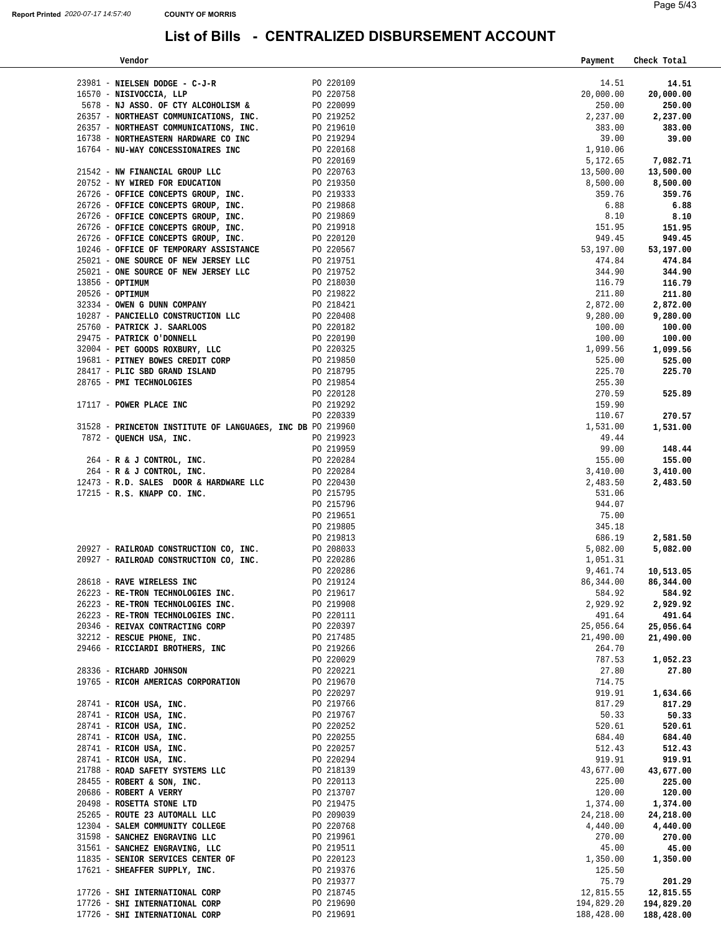| Vendor                                                                                                                                                                                                                                                                                                                                               |                        | Payment    | Check Total |
|------------------------------------------------------------------------------------------------------------------------------------------------------------------------------------------------------------------------------------------------------------------------------------------------------------------------------------------------------|------------------------|------------|-------------|
|                                                                                                                                                                                                                                                                                                                                                      |                        |            |             |
| 23981 - NIELSEN DODGE - C-J-R<br>PO 220109                                                                                                                                                                                                                                                                                                           |                        | 14.51      | 14.51       |
| 16570 - NISIVOCCIA, LLP                                                                                                                                                                                                                                                                                                                              |                        | 20,000.00  | 20,000.00   |
| 5678 - NJ ASSO. OF CTY ALCOHOLISM &                                                                                                                                                                                                                                                                                                                  | PO 220758<br>PO 220099 | 250.00     | 250.00      |
|                                                                                                                                                                                                                                                                                                                                                      |                        | 2,237.00   | 2,237.00    |
| 26357 - NORTHEAST COMMUNICATIONS, INC.<br>26357 - NORTHEAST COMMUNICATIONS, INC.<br>26357 - NORTHEAST COMMUNICATIONS, INC.<br>26357 - NORTHEAST COMMUNICATIONS, INC.<br>20752 - NW WIRED FOR EDUCATION PO 220169<br>21542 - NW WIRED FOR                                                                                                             |                        | 383.00     | 383.00      |
|                                                                                                                                                                                                                                                                                                                                                      |                        |            |             |
|                                                                                                                                                                                                                                                                                                                                                      |                        | 39.00      | 39.00       |
|                                                                                                                                                                                                                                                                                                                                                      |                        | 1,910.06   |             |
|                                                                                                                                                                                                                                                                                                                                                      |                        | 5,172.65   | 7,082.71    |
|                                                                                                                                                                                                                                                                                                                                                      |                        | 13,500.00  | 13,500.00   |
|                                                                                                                                                                                                                                                                                                                                                      |                        | 8,500.00   | 8,500.00    |
|                                                                                                                                                                                                                                                                                                                                                      |                        | 359.76     | 359.76      |
|                                                                                                                                                                                                                                                                                                                                                      |                        | 6.88       | 6.88        |
|                                                                                                                                                                                                                                                                                                                                                      |                        | 8.10       |             |
|                                                                                                                                                                                                                                                                                                                                                      |                        |            | 8.10        |
|                                                                                                                                                                                                                                                                                                                                                      |                        | 151.95     | 151.95      |
|                                                                                                                                                                                                                                                                                                                                                      |                        | 949.45     | 949.45      |
| 10246 - OFFICE OF TEMPORARY ASSISTANCE                                                                                                                                                                                                                                                                                                               |                        | 53,197.00  | 53,197.00   |
| 25021 - ONE SOURCE OF NEW JERSEY LLC                                                                                                                                                                                                                                                                                                                 | PO 220567<br>PO 219751 | 474.84     | 474.84      |
| PO 219752<br>25021 - ONE SOURCE OF NEW JERSEY LLC                                                                                                                                                                                                                                                                                                    |                        | 344.90     | 344.90      |
| 13856 - OPTIMUM                                                                                                                                                                                                                                                                                                                                      | PO 218030              | 116.79     | 116.79      |
|                                                                                                                                                                                                                                                                                                                                                      |                        | 211.80     | 211.80      |
| $\begin{tabular}{lllllllll} 20526 & - \texttt{OPTIMUM} & & \texttt{PO} & 219822 \\ 32334 & - \texttt{OWEN} & \texttt{DUNN} & \texttt{COMPANY} & & \texttt{PO} & 218421 \\ 10287 & - \texttt{PANCIELLO} & \texttt{CONSTRUCTION} & \texttt{LLC} & & \texttt{PO} & 220408 \\ \end{tabular}$                                                             |                        | 2,872.00   |             |
|                                                                                                                                                                                                                                                                                                                                                      |                        |            | 2,872.00    |
|                                                                                                                                                                                                                                                                                                                                                      |                        | 9,280.00   | 9,280.00    |
| 25760 - PATRICK J. SAARLOOS                                                                                                                                                                                                                                                                                                                          | PO 220182<br>PO 220190 | 100.00     | 100.00      |
| 29475 - PATRICK O'DONNELL                                                                                                                                                                                                                                                                                                                            |                        | 100.00     | 100.00      |
| $\begin{tabular}{lllllllllll} 32004 & - & \texttt{PET} \texttt{GOOD} & \texttt{ROXBURY, LLC} & \texttt{PO} & 220325 \\ 19681 & - & \texttt{PITNBY} & \texttt{BOWES} & \texttt{CREDIT} & \texttt{CORP} & \texttt{PO} & 219850 \\ 28417 & - & \texttt{PLIC} & \texttt{SBD} & \texttt{GRAND} & \texttt{ISLAND} & \texttt{PO} & 218795 \\ \end{tabular}$ |                        | 1,099.56   | 1,099.56    |
|                                                                                                                                                                                                                                                                                                                                                      |                        | 525.00     | 525.00      |
|                                                                                                                                                                                                                                                                                                                                                      |                        | 225.70     | 225.70      |
| 28765 - PMI TECHNOLOGIES                                                                                                                                                                                                                                                                                                                             | PO 219854              | 255.30     |             |
|                                                                                                                                                                                                                                                                                                                                                      | PO 220128              | 270.59     | 525.89      |
| 17117 - POWER PLACE INC                                                                                                                                                                                                                                                                                                                              | PO 219292              | 159.90     |             |
|                                                                                                                                                                                                                                                                                                                                                      |                        |            |             |
|                                                                                                                                                                                                                                                                                                                                                      | PO 220339              | 110.67     | 270.57      |
| 31528 - PRINCETON INSTITUTE OF LANGUAGES, INC DB PO 219960                                                                                                                                                                                                                                                                                           |                        | 1,531.00   | 1,531.00    |
| 7872 - QUENCH USA, INC.                                                                                                                                                                                                                                                                                                                              | PO 219923              | 49.44      |             |
|                                                                                                                                                                                                                                                                                                                                                      | PO 219959              | 99.00      | 148.44      |
| $264 - R & J$ CONTROL, INC.                                                                                                                                                                                                                                                                                                                          | PO 220284              | 155.00     | 155.00      |
| 264 - R & J CONTROL, INC.                                                                                                                                                                                                                                                                                                                            | PO 220284              | 3,410.00   | 3,410.00    |
| 12473 - R.D. SALES DOOR & HARDWARE LLC                                                                                                                                                                                                                                                                                                               | PO 220430              | 2,483.50   | 2,483.50    |
| 17215 - R.S. KNAPP CO. INC.                                                                                                                                                                                                                                                                                                                          | PO 215795              | 531.06     |             |
|                                                                                                                                                                                                                                                                                                                                                      |                        |            |             |
|                                                                                                                                                                                                                                                                                                                                                      | PO 215796              | 944.07     |             |
|                                                                                                                                                                                                                                                                                                                                                      | PO 219651              | 75.00      |             |
|                                                                                                                                                                                                                                                                                                                                                      | PO 219805              | 345.18     |             |
|                                                                                                                                                                                                                                                                                                                                                      | PO 219813              | 686.19     | 2,581.50    |
| PO 208033<br>20927 - RAILROAD CONSTRUCTION CO, INC.                                                                                                                                                                                                                                                                                                  |                        | 5,082.00   | 5,082.00    |
| 20927 - RAILROAD CONSTRUCTION CO, INC.                                                                                                                                                                                                                                                                                                               | PO 220286              | 1,051.31   |             |
|                                                                                                                                                                                                                                                                                                                                                      | PO 220286              | 9,461.74   | 10,513.05   |
| 28618 - RAVE WIRELESS INC                                                                                                                                                                                                                                                                                                                            | PO 219124              | 86,344.00  | 86,344.00   |
| 26223 - RE-TRON TECHNOLOGIES INC.                                                                                                                                                                                                                                                                                                                    | PO 219617              | 584.92     | 584.92      |
| 26223 - RE-TRON TECHNOLOGIES INC.                                                                                                                                                                                                                                                                                                                    | PO 219908              | 2,929.92   | 2,929.92    |
|                                                                                                                                                                                                                                                                                                                                                      | PO 220111              | 491.64     |             |
| 26223 - RE-TRON TECHNOLOGIES INC.                                                                                                                                                                                                                                                                                                                    |                        |            | 491.64      |
| 20346 - REIVAX CONTRACTING CORP                                                                                                                                                                                                                                                                                                                      | PO 220397              | 25,056.64  | 25,056.64   |
| 32212 - RESCUE PHONE, INC.                                                                                                                                                                                                                                                                                                                           | PO 217485              | 21,490.00  | 21,490.00   |
| 29466 - RICCIARDI BROTHERS, INC                                                                                                                                                                                                                                                                                                                      | PO 219266              | 264.70     |             |
|                                                                                                                                                                                                                                                                                                                                                      | PO 220029              | 787.53     | 1,052.23    |
| 28336 - RICHARD JOHNSON                                                                                                                                                                                                                                                                                                                              | PO 220221              | 27.80      | 27.80       |
| 19765 - RICOH AMERICAS CORPORATION                                                                                                                                                                                                                                                                                                                   | PO 219670              | 714.75     |             |
|                                                                                                                                                                                                                                                                                                                                                      | PO 220297              | 919.91     | 1,634.66    |
| 28741 - RICOH USA, INC.                                                                                                                                                                                                                                                                                                                              | PO 219766              | 817.29     | 817.29      |
| 28741 - RICOH USA, INC.                                                                                                                                                                                                                                                                                                                              | PO 219767              | 50.33      | 50.33       |
| 28741 - RICOH USA, INC.                                                                                                                                                                                                                                                                                                                              | PO 220252              | 520.61     | 520.61      |
|                                                                                                                                                                                                                                                                                                                                                      |                        |            |             |
| 28741 - RICOH USA, INC.                                                                                                                                                                                                                                                                                                                              | PO 220255              | 684.40     | 684.40      |
| 28741 - RICOH USA, INC.                                                                                                                                                                                                                                                                                                                              | PO 220257              | 512.43     | 512.43      |
| 28741 - RICOH USA, INC.                                                                                                                                                                                                                                                                                                                              | PO 220294              | 919.91     | 919.91      |
| 21788 - ROAD SAFETY SYSTEMS LLC                                                                                                                                                                                                                                                                                                                      | PO 218139              | 43,677.00  | 43,677.00   |
| 28455 - ROBERT & SON, INC.                                                                                                                                                                                                                                                                                                                           | PO 220113              | 225.00     | 225.00      |
| 20686 - ROBERT A VERRY                                                                                                                                                                                                                                                                                                                               | PO 213707              | 120.00     | 120.00      |
| 20498 - ROSETTA STONE LTD                                                                                                                                                                                                                                                                                                                            | PO 219475              | 1,374.00   | 1,374.00    |
| 25265 - ROUTE 23 AUTOMALL LLC                                                                                                                                                                                                                                                                                                                        | PO 209039              | 24,218.00  | 24,218.00   |
| 12304 - SALEM COMMUNITY COLLEGE                                                                                                                                                                                                                                                                                                                      | PO 220768              | 4,440.00   | 4,440.00    |
| 31598 - SANCHEZ ENGRAVING LLC                                                                                                                                                                                                                                                                                                                        | PO 219961              | 270.00     | 270.00      |
|                                                                                                                                                                                                                                                                                                                                                      |                        |            |             |
| 31561 - SANCHEZ ENGRAVING, LLC                                                                                                                                                                                                                                                                                                                       | PO 219511              | 45.00      | 45.00       |
| 11835 - SENIOR SERVICES CENTER OF                                                                                                                                                                                                                                                                                                                    | PO 220123              | 1,350.00   | 1,350.00    |
| 17621 - SHEAFFER SUPPLY, INC.                                                                                                                                                                                                                                                                                                                        | PO 219376              | 125.50     |             |
|                                                                                                                                                                                                                                                                                                                                                      | PO 219377              | 75.79      | 201.29      |
| 17726 - SHI INTERNATIONAL CORP                                                                                                                                                                                                                                                                                                                       | PO 218745              | 12,815.55  | 12,815.55   |
| 17726 - SHI INTERNATIONAL CORP                                                                                                                                                                                                                                                                                                                       | PO 219690              | 194,829.20 | 194,829.20  |
| 17726 - SHI INTERNATIONAL CORP                                                                                                                                                                                                                                                                                                                       | PO 219691              | 188,428.00 | 188,428.00  |
|                                                                                                                                                                                                                                                                                                                                                      |                        |            |             |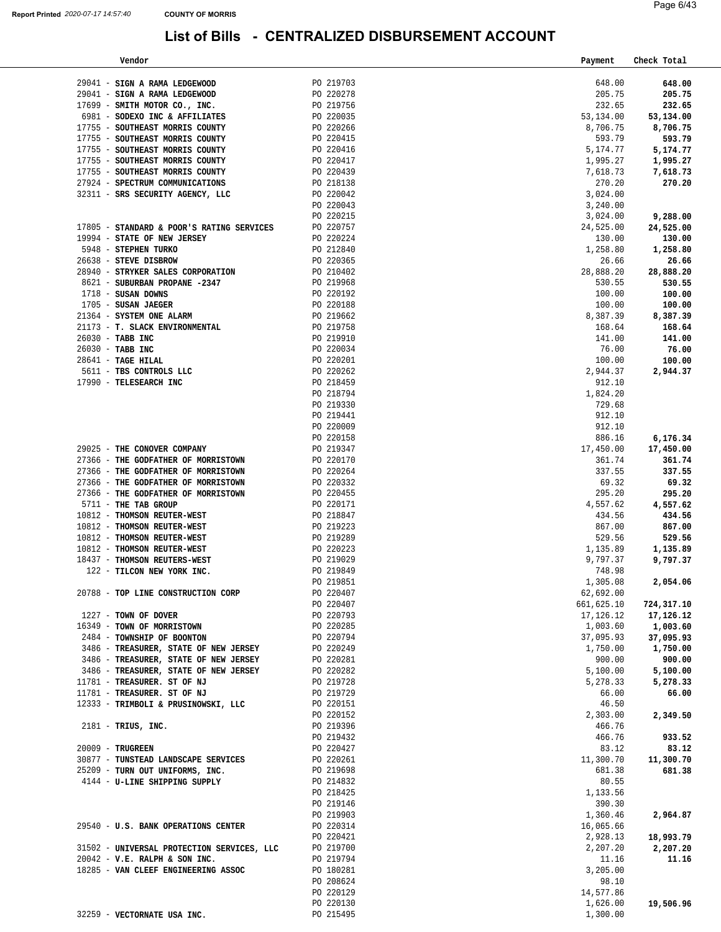| Vendor                                     |           | Payment    | Check Total |
|--------------------------------------------|-----------|------------|-------------|
|                                            |           |            |             |
| 29041 - SIGN A RAMA LEDGEWOOD              | PO 219703 | 648.00     | 648.00      |
| 29041 - SIGN A RAMA LEDGEWOOD              | PO 220278 | 205.75     | 205.75      |
| 17699 - SMITH MOTOR CO., INC.              | PO 219756 | 232.65     | 232.65      |
| 6981 - SODEXO INC & AFFILIATES             | PO 220035 | 53,134.00  | 53,134.00   |
| 17755 - SOUTHEAST MORRIS COUNTY            | PO 220266 | 8,706.75   | 8,706.75    |
| 17755 - SOUTHEAST MORRIS COUNTY            | PO 220415 | 593.79     | 593.79      |
| 17755 - SOUTHEAST MORRIS COUNTY            | PO 220416 | 5,174.77   | 5,174.77    |
| 17755 - SOUTHEAST MORRIS COUNTY            | PO 220417 | 1,995.27   | 1,995.27    |
| 17755 - SOUTHEAST MORRIS COUNTY            | PO 220439 | 7,618.73   | 7,618.73    |
| 27924 - SPECTRUM COMMUNICATIONS            | PO 218138 | 270.20     | 270.20      |
| 32311 - SRS SECURITY AGENCY, LLC           | PO 220042 | 3,024.00   |             |
|                                            | PO 220043 | 3,240.00   |             |
|                                            | PO 220215 | 3,024.00   | 9,288.00    |
| 17805 - STANDARD & POOR'S RATING SERVICES  | PO 220757 | 24,525.00  | 24,525.00   |
| 19994 - STATE OF NEW JERSEY                | PO 220224 | 130.00     | 130.00      |
| 5948 - STEPHEN TURKO                       | PO 212840 | 1,258.80   | 1,258.80    |
| 26638 - STEVE DISBROW                      | PO 220365 | 26.66      | 26.66       |
| 28940 - STRYKER SALES CORPORATION          | PO 210402 | 28,888.20  | 28,888.20   |
| 8621 - SUBURBAN PROPANE -2347              | PO 219968 | 530.55     | 530.55      |
| $1718$ - SUSAN DOWNS                       | PO 220192 | 100.00     | 100.00      |
| 1705 - SUSAN JAEGER                        | PO 220188 | 100.00     | 100.00      |
| 21364 - SYSTEM ONE ALARM                   | PO 219662 | 8,387.39   | 8,387.39    |
| 21173 - T. SLACK ENVIRONMENTAL             | PO 219758 | 168.64     | 168.64      |
| 26030 - TABB INC                           | PO 219910 | 141.00     | 141.00      |
| 26030 - TABB INC                           | PO 220034 | 76.00      | 76.00       |
| 28641 - TAGE HILAL                         | PO 220201 | 100.00     | 100.00      |
| 5611 - TBS CONTROLS LLC                    | PO 220262 | 2,944.37   | 2,944.37    |
| 17990 - TELESEARCH INC                     | PO 218459 | 912.10     |             |
|                                            | PO 218794 | 1,824.20   |             |
|                                            | PO 219330 | 729.68     |             |
|                                            | PO 219441 | 912.10     |             |
|                                            | PO 220009 | 912.10     |             |
|                                            | PO 220158 | 886.16     | 6,176.34    |
| 29025 - THE CONOVER COMPANY                | PO 219347 | 17,450.00  | 17,450.00   |
| 27366 - THE GODFATHER OF MORRISTOWN        | PO 220170 | 361.74     | 361.74      |
| 27366 - THE GODFATHER OF MORRISTOWN        | PO 220264 | 337.55     | 337.55      |
| 27366 - THE GODFATHER OF MORRISTOWN        | PO 220332 | 69.32      | 69.32       |
| 27366 - THE GODFATHER OF MORRISTOWN        | PO 220455 | 295.20     | 295.20      |
| 5711 - THE TAB GROUP                       | PO 220171 | 4,557.62   | 4,557.62    |
| 10812 - THOMSON REUTER-WEST                | PO 218847 | 434.56     | 434.56      |
| 10812 - THOMSON REUTER-WEST                | PO 219223 | 867.00     | 867.00      |
| 10812 - THOMSON REUTER-WEST                | PO 219289 | 529.56     | 529.56      |
| 10812 - THOMSON REUTER-WEST                | PO 220223 | 1,135.89   | 1,135.89    |
| 18437 - THOMSON REUTERS-WEST               | PO 219029 | 9,797.37   | 9,797.37    |
| 122 - TILCON NEW YORK INC.                 | PO 219849 | 748.98     |             |
|                                            | PO 219851 | 1,305.08   | 2,054.06    |
| 20788 - TOP LINE CONSTRUCTION CORP         | PO 220407 | 62,692.00  |             |
|                                            | PO 220407 | 661,625.10 | 724,317.10  |
| 1227 - TOWN OF DOVER                       | PO 220793 | 17,126.12  | 17,126.12   |
| 16349 - TOWN OF MORRISTOWN                 | PO 220285 | 1,003.60   | 1,003.60    |
| 2484 - TOWNSHIP OF BOONTON                 | PO 220794 | 37,095.93  | 37,095.93   |
| 3486 - TREASURER, STATE OF NEW JERSEY      | PO 220249 | 1,750.00   | 1,750.00    |
| 3486 - TREASURER, STATE OF NEW JERSEY      | PO 220281 | 900.00     | 900.00      |
| 3486 - TREASURER, STATE OF NEW JERSEY      | PO 220282 | 5,100.00   | 5,100.00    |
| 11781 - TREASURER. ST OF NJ                | PO 219728 | 5,278.33   | 5,278.33    |
| 11781 - TREASURER. ST OF NJ                | PO 219729 | 66.00      | 66.00       |
| 12333 - TRIMBOLI & PRUSINOWSKI, LLC        | PO 220151 | 46.50      |             |
|                                            | PO 220152 | 2,303.00   | 2,349.50    |
| $2181$ - TRIUS, INC.                       | PO 219396 | 466.76     |             |
|                                            | PO 219432 | 466.76     | 933.52      |
| 20009 - TRUGREEN                           | PO 220427 | 83.12      | 83.12       |
| 30877 - TUNSTEAD LANDSCAPE SERVICES        | PO 220261 | 11,300.70  | 11,300.70   |
| 25209 - TURN OUT UNIFORMS, INC.            | PO 219698 | 681.38     | 681.38      |
| 4144 - U-LINE SHIPPING SUPPLY              | PO 214832 | 80.55      |             |
|                                            | PO 218425 | 1,133.56   |             |
|                                            | PO 219146 | 390.30     |             |
|                                            | PO 219903 | 1,360.46   | 2,964.87    |
| 29540 - U.S. BANK OPERATIONS CENTER        | PO 220314 | 16,065.66  |             |
|                                            | PO 220421 | 2,928.13   | 18,993.79   |
| 31502 - UNIVERSAL PROTECTION SERVICES, LLC | PO 219700 | 2,207.20   | 2,207.20    |
| $20042 - V.E. RALPH & SON INC.$            | PO 219794 | 11.16      | 11.16       |
| 18285 - VAN CLEEF ENGINEERING ASSOC        | PO 180281 | 3,205.00   |             |
|                                            | PO 208624 | 98.10      |             |
|                                            | PO 220129 | 14,577.86  |             |
|                                            | PO 220130 | 1,626.00   | 19,506.96   |
| 32259 - VECTORNATE USA INC.                | PO 215495 | 1,300.00   |             |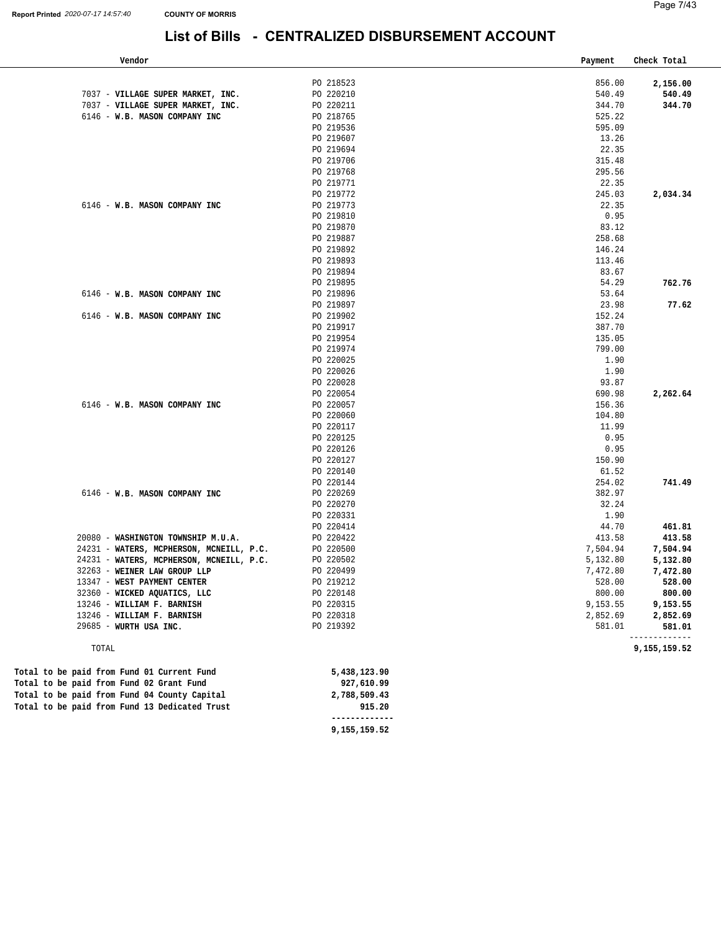| Page 7/43 |
|-----------|
|           |

| Vendor                                        |                        | Payment       | Check Total  |
|-----------------------------------------------|------------------------|---------------|--------------|
|                                               | PO 218523              | 856.00        | 2,156.00     |
| 7037 - VILLAGE SUPER MARKET, INC.             | PO 220210              | 540.49        | 540.49       |
| 7037 - VILLAGE SUPER MARKET, INC.             | PO 220211              | 344.70        | 344.70       |
| 6146 - W.B. MASON COMPANY INC                 | PO 218765              | 525.22        |              |
|                                               | PO 219536              | 595.09        |              |
|                                               | PO 219607              | 13.26         |              |
|                                               | PO 219694              | 22.35         |              |
|                                               | PO 219706              | 315.48        |              |
|                                               | PO 219768              | 295.56        |              |
|                                               | PO 219771              | 22.35         |              |
|                                               | PO 219772              | 245.03        | 2,034.34     |
| 6146 - W.B. MASON COMPANY INC                 | PO 219773              | 22.35         |              |
|                                               | PO 219810              | 0.95          |              |
|                                               | PO 219870              | 83.12         |              |
|                                               | PO 219887              | 258.68        |              |
|                                               | PO 219892              | 146.24        |              |
|                                               | PO 219893              | 113.46        |              |
|                                               | PO 219894              | 83.67         |              |
|                                               | PO 219895              | 54.29         | 762.76       |
| 6146 - W.B. MASON COMPANY INC                 | PO 219896              | 53.64         |              |
|                                               | PO 219897              | 23.98         | 77.62        |
| 6146 - W.B. MASON COMPANY INC                 | PO 219902              | 152.24        |              |
|                                               | PO 219917              | 387.70        |              |
|                                               | PO 219954              | 135.05        |              |
|                                               | PO 219974              | 799.00        |              |
|                                               | PO 220025              | 1.90          |              |
|                                               | PO 220026<br>PO 220028 | 1.90<br>93.87 |              |
|                                               | PO 220054              | 690.98        |              |
| 6146 - W.B. MASON COMPANY INC                 | PO 220057              | 156.36        | 2,262.64     |
|                                               | PO 220060              | 104.80        |              |
|                                               | PO 220117              | 11.99         |              |
|                                               | PO 220125              | 0.95          |              |
|                                               | PO 220126              | 0.95          |              |
|                                               | PO 220127              | 150.90        |              |
|                                               | PO 220140              | 61.52         |              |
|                                               | PO 220144              | 254.02        | 741.49       |
| 6146 - W.B. MASON COMPANY INC                 | PO 220269              | 382.97        |              |
|                                               | PO 220270              | 32.24         |              |
|                                               | PO 220331              | 1.90          |              |
|                                               | PO 220414              | 44.70         | 461.81       |
| 20080 - WASHINGTON TOWNSHIP M.U.A.            | PO 220422              | 413.58        | 413.58       |
| 24231 - WATERS, MCPHERSON, MCNEILL, P.C.      | PO 220500              | 7,504.94      | 7,504.94     |
| 24231 - WATERS, MCPHERSON, MCNEILL, P.C.      | PO 220502              | 5,132.80      | 5,132.80     |
| 32263 - WEINER LAW GROUP LLP                  | PO 220499              | 7,472.80      | 7,472.80     |
| 13347 - WEST PAYMENT CENTER                   | PO 219212              | 528.00        | 528.00       |
| 32360 - WICKED AQUATICS, LLC                  | PO 220148              | 800.00        | 800.00       |
| 13246 - WILLIAM F. BARNISH                    | PO 220315              | 9,153.55      | 9,153.55     |
| 13246 - WILLIAM F. BARNISH                    | PO 220318              | 2,852.69      | 2,852.69     |
| 29685 - WURTH USA INC.                        | PO 219392              | 581.01        | 581.01       |
| TOTAL                                         |                        |               | 9,155,159.52 |
| Total to be paid from Fund 01 Current Fund    | 5,438,123.90           |               |              |
| Total to be paid from Fund 02 Grant Fund      | 927,610.99             |               |              |
| Total to be paid from Fund 04 County Capital  | 2,788,509.43           |               |              |
| Total to be paid from Fund 13 Dedicated Trust | 915.20                 |               |              |
|                                               | -------------          |               |              |

**[9,155,159.52](https://9,155,159.52)**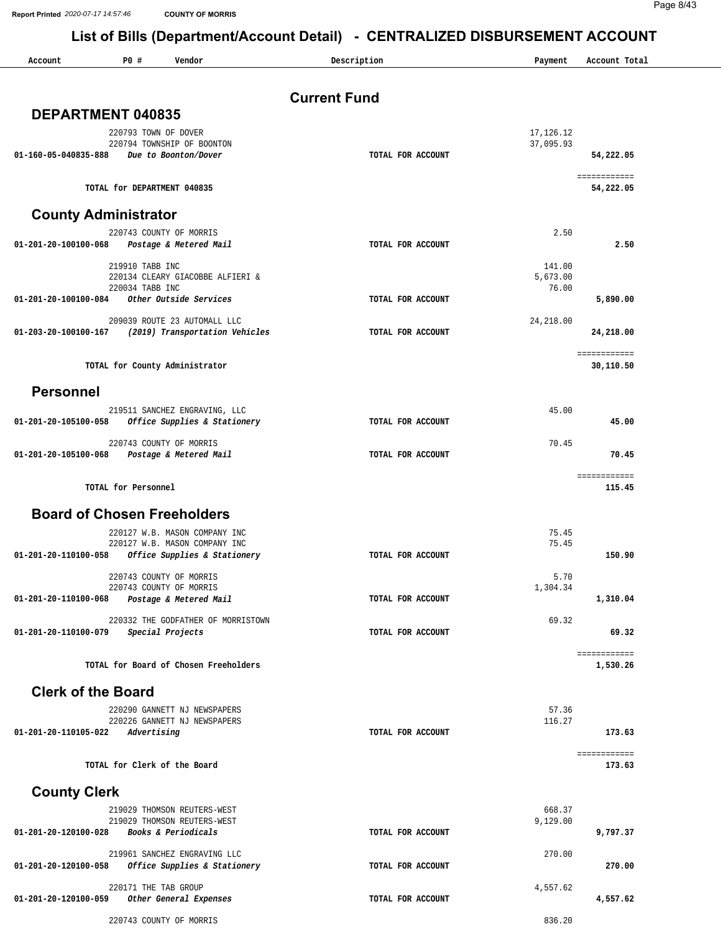**Report Printed** *2020-07-17 14:57:46* **COUNTY OF MORRIS**

Page 8/43

| Account                     | PO#<br>Vendor                                                           | Description         | Payment            | Account Total             |
|-----------------------------|-------------------------------------------------------------------------|---------------------|--------------------|---------------------------|
|                             |                                                                         | <b>Current Fund</b> |                    |                           |
| DEPARTMENT 040835           |                                                                         |                     |                    |                           |
|                             | 220793 TOWN OF DOVER                                                    |                     | 17,126.12          |                           |
|                             | 220794 TOWNSHIP OF BOONTON<br>01-160-05-040835-888 Due to Boonton/Dover | TOTAL FOR ACCOUNT   | 37,095.93          | 54,222.05                 |
|                             |                                                                         |                     |                    | ============              |
|                             | TOTAL for DEPARTMENT 040835                                             |                     |                    | 54,222.05                 |
| <b>County Administrator</b> |                                                                         |                     |                    |                           |
| 01-201-20-100100-068        | 220743 COUNTY OF MORRIS<br>Postage & Metered Mail                       | TOTAL FOR ACCOUNT   | 2.50               | 2.50                      |
|                             | 219910 TABB INC                                                         |                     | 141.00             |                           |
|                             | 220134 CLEARY GIACOBBE ALFIERI &<br>220034 TABB INC                     |                     | 5,673.00<br>76.00  |                           |
| 01-201-20-100100-084        | Other Outside Services                                                  | TOTAL FOR ACCOUNT   |                    | 5,890.00                  |
|                             | 209039 ROUTE 23 AUTOMALL LLC                                            |                     | 24, 218.00         |                           |
| 01-203-20-100100-167        | (2019) Transportation Vehicles                                          | TOTAL FOR ACCOUNT   |                    | 24,218.00                 |
|                             | TOTAL for County Administrator                                          |                     |                    | ============<br>30,110.50 |
| <b>Personnel</b>            |                                                                         |                     |                    |                           |
|                             | 219511 SANCHEZ ENGRAVING, LLC                                           |                     | 45.00              |                           |
| 01-201-20-105100-058        | Office Supplies & Stationery                                            | TOTAL FOR ACCOUNT   |                    | 45.00                     |
|                             | 220743 COUNTY OF MORRIS<br>01-201-20-105100-068 Postage & Metered Mail  | TOTAL FOR ACCOUNT   | 70.45              | 70.45                     |
|                             |                                                                         |                     |                    | ============              |
|                             | TOTAL for Personnel                                                     |                     |                    | 115.45                    |
|                             | <b>Board of Chosen Freeholders</b>                                      |                     |                    |                           |
|                             | 220127 W.B. MASON COMPANY INC<br>220127 W.B. MASON COMPANY INC          |                     | 75.45<br>75.45     |                           |
| 01-201-20-110100-058        | Office Supplies & Stationery                                            | TOTAL FOR ACCOUNT   |                    | 150.90                    |
|                             | 220743 COUNTY OF MORRIS                                                 |                     | 5.70               |                           |
| 01-201-20-110100-068        | 220743 COUNTY OF MORRIS<br>Postage & Metered Mail                       | TOTAL FOR ACCOUNT   | 1,304.34           | 1,310.04                  |
|                             | 220332 THE GODFATHER OF MORRISTOWN                                      |                     | 69.32              |                           |
| 01-201-20-110100-079        | Special Projects                                                        | TOTAL FOR ACCOUNT   |                    | 69.32                     |
|                             | TOTAL for Board of Chosen Freeholders                                   |                     |                    | ============<br>1,530.26  |
| <b>Clerk of the Board</b>   |                                                                         |                     |                    |                           |
|                             | 220290 GANNETT NJ NEWSPAPERS                                            |                     | 57.36              |                           |
| 01-201-20-110105-022        | 220226 GANNETT NJ NEWSPAPERS<br>Advertising                             | TOTAL FOR ACCOUNT   | 116.27             | 173.63                    |
|                             |                                                                         |                     |                    | ============              |
|                             | TOTAL for Clerk of the Board                                            |                     |                    | 173.63                    |
| <b>County Clerk</b>         |                                                                         |                     |                    |                           |
|                             | 219029 THOMSON REUTERS-WEST<br>219029 THOMSON REUTERS-WEST              |                     | 668.37<br>9,129.00 |                           |
| 01-201-20-120100-028        | Books & Periodicals                                                     | TOTAL FOR ACCOUNT   |                    | 9,797.37                  |
| 01-201-20-120100-058        | 219961 SANCHEZ ENGRAVING LLC                                            | TOTAL FOR ACCOUNT   | 270.00             | 270.00                    |
|                             | Office Supplies & Stationery                                            |                     |                    |                           |
| 01-201-20-120100-059        | 220171 THE TAB GROUP<br>Other General Expenses                          | TOTAL FOR ACCOUNT   | 4,557.62           | 4,557.62                  |
|                             | 220743 COUNTY OF MORRIS                                                 |                     | 836.20             |                           |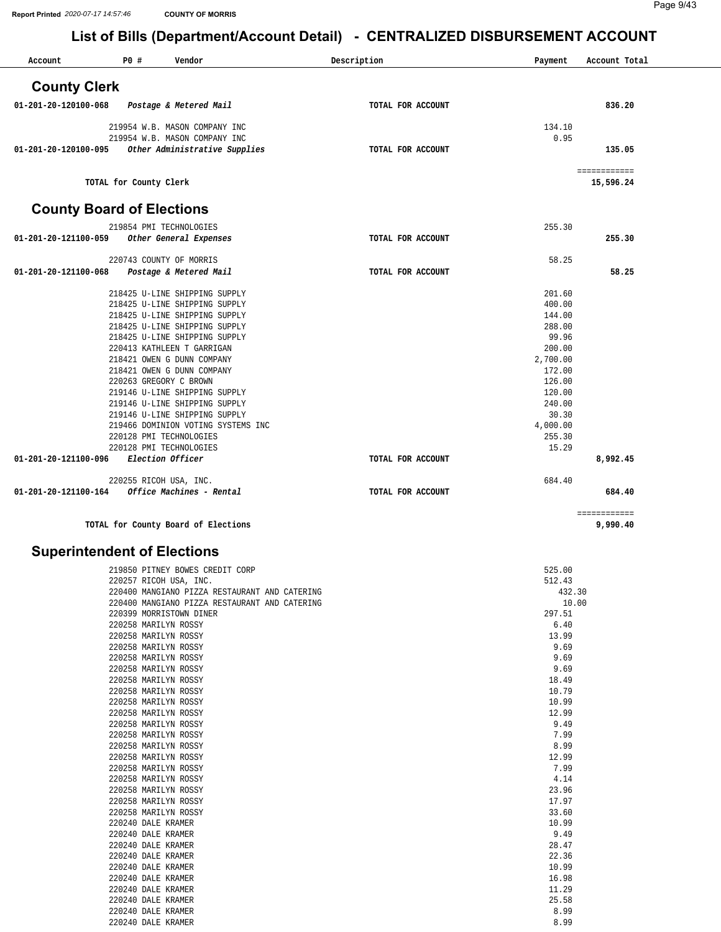| Account                          | P0 #                                                           | Vendor                             | Description       | Payment          | Account Total |
|----------------------------------|----------------------------------------------------------------|------------------------------------|-------------------|------------------|---------------|
| <b>County Clerk</b>              |                                                                |                                    |                   |                  |               |
| $01 - 201 - 20 - 120100 - 068$   | Postage & Metered Mail                                         |                                    | TOTAL FOR ACCOUNT |                  | 836.20        |
|                                  | 219954 W.B. MASON COMPANY INC                                  |                                    |                   | 134.10           |               |
|                                  | 219954 W.B. MASON COMPANY INC                                  |                                    |                   | 0.95             |               |
| 01-201-20-120100-095             |                                                                | Other Administrative Supplies      | TOTAL FOR ACCOUNT |                  | 135.05        |
|                                  |                                                                |                                    |                   |                  | ============  |
|                                  | TOTAL for County Clerk                                         |                                    |                   |                  | 15,596.24     |
| <b>County Board of Elections</b> |                                                                |                                    |                   |                  |               |
|                                  | 219854 PMI TECHNOLOGIES                                        |                                    |                   | 255.30           |               |
| 01-201-20-121100-059             | Other General Expenses                                         |                                    | TOTAL FOR ACCOUNT |                  | 255.30        |
|                                  | 220743 COUNTY OF MORRIS                                        |                                    |                   | 58.25            |               |
| 01-201-20-121100-068             | Postage & Metered Mail                                         |                                    | TOTAL FOR ACCOUNT |                  | 58.25         |
|                                  | 218425 U-LINE SHIPPING SUPPLY                                  |                                    |                   | 201.60           |               |
|                                  | 218425 U-LINE SHIPPING SUPPLY                                  |                                    |                   | 400.00           |               |
|                                  | 218425 U-LINE SHIPPING SUPPLY                                  |                                    |                   | 144.00           |               |
|                                  | 218425 U-LINE SHIPPING SUPPLY                                  |                                    |                   | 288.00           |               |
|                                  | 218425 U-LINE SHIPPING SUPPLY                                  |                                    |                   | 99.96            |               |
|                                  | 220413 KATHLEEN T GARRIGAN                                     |                                    |                   | 200.00           |               |
|                                  | 218421 OWEN G DUNN COMPANY                                     |                                    |                   | 2,700.00         |               |
|                                  | 218421 OWEN G DUNN COMPANY                                     |                                    |                   | 172.00           |               |
|                                  | 220263 GREGORY C BROWN                                         |                                    |                   | 126.00           |               |
|                                  | 219146 U-LINE SHIPPING SUPPLY<br>219146 U-LINE SHIPPING SUPPLY |                                    |                   | 120.00<br>240.00 |               |
|                                  | 219146 U-LINE SHIPPING SUPPLY                                  |                                    |                   | 30.30            |               |
|                                  |                                                                | 219466 DOMINION VOTING SYSTEMS INC |                   | 4,000.00         |               |
|                                  | 220128 PMI TECHNOLOGIES                                        |                                    |                   | 255.30           |               |
|                                  | 220128 PMI TECHNOLOGIES                                        |                                    |                   | 15.29            |               |
| 01-201-20-121100-096             | Election Officer                                               |                                    | TOTAL FOR ACCOUNT |                  | 8,992.45      |
|                                  | 220255 RICOH USA, INC.                                         |                                    |                   | 684.40           |               |
| 01-201-20-121100-164             | Office Machines - Rental                                       |                                    | TOTAL FOR ACCOUNT |                  | 684.40        |
|                                  |                                                                |                                    |                   |                  | ============  |

**TOTAL for County Board of Elections 9,990.40**

#### **Superintendent of Elections**

| 219850 PITNEY BOWES CREDIT CORP               | 525.00 |
|-----------------------------------------------|--------|
| 220257 RICOH USA, INC.                        | 512.43 |
| 220400 MANGIANO PIZZA RESTAURANT AND CATERING | 432.30 |
| 220400 MANGIANO PIZZA RESTAURANT AND CATERING | 10.00  |
| 220399 MORRISTOWN DINER                       | 297.51 |
| 220258 MARILYN ROSSY                          | 6.40   |
| 220258 MARILYN ROSSY                          | 13.99  |
| 220258 MARILYN ROSSY                          | 9.69   |
| 220258 MARILYN ROSSY                          | 9.69   |
| 220258 MARILYN ROSSY                          | 9.69   |
| 220258 MARILYN ROSSY                          | 18.49  |
| 220258 MARILYN ROSSY                          | 10.79  |
| 220258 MARILYN ROSSY                          | 10.99  |
| 220258 MARILYN ROSSY                          | 12.99  |
| 220258 MARILYN ROSSY                          | 9.49   |
| 220258 MARILYN ROSSY                          | 7.99   |
| 220258 MARILYN ROSSY                          | 8.99   |
| 220258 MARILYN ROSSY                          | 12.99  |
| 220258 MARILYN ROSSY                          | 7.99   |
| 220258 MARILYN ROSSY                          | 4.14   |
| 220258 MARILYN ROSSY                          | 23.96  |
| 220258 MARILYN ROSSY                          | 17.97  |
| 220258 MARILYN ROSSY                          | 33.60  |
| 220240 DALE KRAMER                            | 10.99  |
| 220240 DALE KRAMER                            | 9.49   |
| 220240 DALE KRAMER                            | 28.47  |
| 220240 DALE KRAMER                            | 22.36  |
| 220240 DALE KRAMER                            | 10.99  |
| 220240 DALE KRAMER                            | 16.98  |
| 220240 DALE KRAMER                            | 11.29  |
| 220240 DALE KRAMER                            | 25.58  |
| 220240 DALE KRAMER                            | 8.99   |
| 220240 DALE KRAMER                            | 8.99   |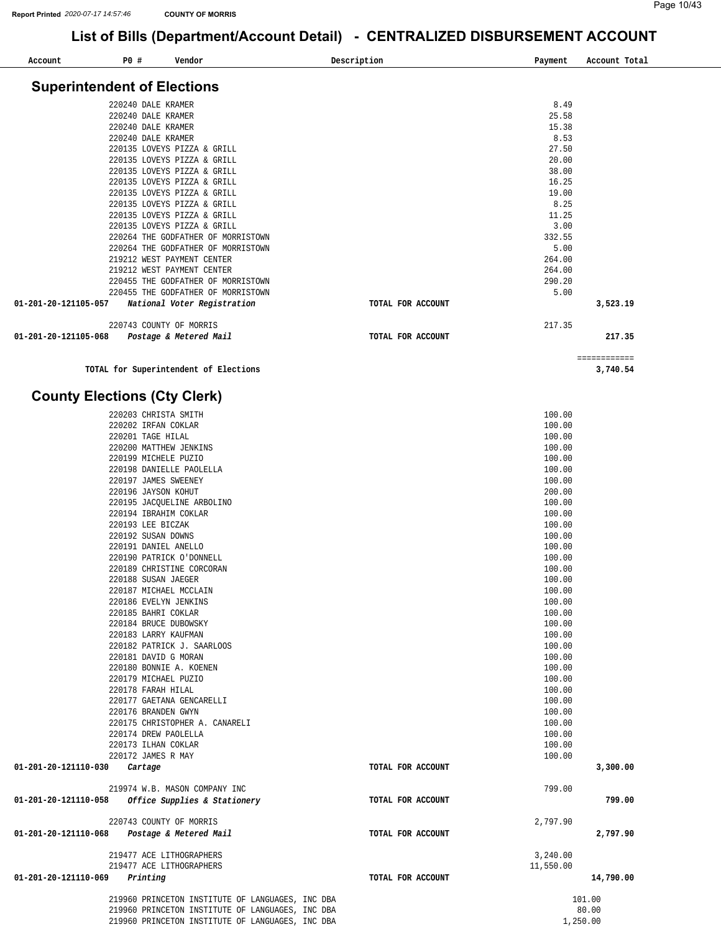i,

**[3,740.54](https://3,740.54)** 

## **List of Bills (Department/Account Detail) - CENTRALIZED DISBURSEMENT ACCOUNT**

| Account                            | P0# | Vendor                             | Description       | Payment | Account Total |
|------------------------------------|-----|------------------------------------|-------------------|---------|---------------|
| <b>Superintendent of Elections</b> |     |                                    |                   |         |               |
|                                    |     |                                    |                   |         |               |
|                                    |     | 220240 DALE KRAMER                 |                   | 8.49    |               |
|                                    |     | 220240 DALE KRAMER                 |                   | 25.58   |               |
|                                    |     | 220240 DALE KRAMER                 |                   | 15.38   |               |
|                                    |     | 220240 DALE KRAMER                 |                   | 8.53    |               |
|                                    |     | 220135 LOVEYS PIZZA & GRILL        |                   | 27.50   |               |
|                                    |     | 220135 LOVEYS PIZZA & GRILL        |                   | 20.00   |               |
|                                    |     | 220135 LOVEYS PIZZA & GRILL        |                   | 38.00   |               |
|                                    |     | 220135 LOVEYS PIZZA & GRILL        |                   | 16.25   |               |
|                                    |     | 220135 LOVEYS PIZZA & GRILL        |                   | 19.00   |               |
|                                    |     | 220135 LOVEYS PIZZA & GRILL        |                   | 8.25    |               |
|                                    |     | 220135 LOVEYS PIZZA & GRILL        |                   | 11.25   |               |
|                                    |     | 220135 LOVEYS PIZZA & GRILL        |                   | 3.00    |               |
|                                    |     | 220264 THE GODFATHER OF MORRISTOWN |                   | 332.55  |               |
|                                    |     | 220264 THE GODFATHER OF MORRISTOWN |                   | 5.00    |               |
|                                    |     | 219212 WEST PAYMENT CENTER         |                   | 264.00  |               |
|                                    |     | 219212 WEST PAYMENT CENTER         |                   | 264.00  |               |
|                                    |     | 220455 THE GODFATHER OF MORRISTOWN |                   | 290.20  |               |
|                                    |     | 220455 THE GODFATHER OF MORRISTOWN |                   | 5.00    |               |
| 01-201-20-121105-057               |     | National Voter Registration        | TOTAL FOR ACCOUNT |         | 3,523.19      |
|                                    |     | 220743 COUNTY OF MORRIS            |                   | 217.35  |               |
| 01-201-20-121105-068               |     | Postage & Metered Mail             | TOTAL FOR ACCOUNT |         | 217.35        |

============

**TOTAL for Superintendent of Elections** 

#### **County Elections (Cty Clerk)**

|                                              | 220203 CHRISTA SMITH                              |                   | 100.00    |           |
|----------------------------------------------|---------------------------------------------------|-------------------|-----------|-----------|
|                                              | 220202 IRFAN COKLAR                               |                   | 100.00    |           |
|                                              | 220201 TAGE HILAL                                 |                   | 100.00    |           |
|                                              | 220200 MATTHEW JENKINS                            |                   | 100.00    |           |
|                                              | 220199 MICHELE PUZIO                              |                   | 100.00    |           |
|                                              | 220198 DANIELLE PAOLELLA                          |                   | 100.00    |           |
|                                              | 220197 JAMES SWEENEY                              |                   | 100.00    |           |
|                                              | 220196 JAYSON KOHUT                               |                   | 200.00    |           |
|                                              | 220195 JACQUELINE ARBOLINO                        |                   | 100.00    |           |
|                                              | 220194 IBRAHIM COKLAR                             |                   | 100.00    |           |
|                                              | 220193 LEE BICZAK                                 |                   | 100.00    |           |
|                                              | 220192 SUSAN DOWNS                                |                   | 100.00    |           |
|                                              | 220191 DANIEL ANELLO                              |                   | 100.00    |           |
|                                              | 220190 PATRICK O'DONNELL                          |                   | 100.00    |           |
|                                              | 220189 CHRISTINE CORCORAN                         |                   | 100.00    |           |
|                                              | 220188 SUSAN JAEGER                               |                   | 100.00    |           |
|                                              | 220187 MICHAEL MCCLAIN                            |                   | 100.00    |           |
|                                              | 220186 EVELYN JENKINS                             |                   | 100.00    |           |
|                                              | 220185 BAHRI COKLAR                               |                   | 100.00    |           |
|                                              | 220184 BRUCE DUBOWSKY                             |                   | 100.00    |           |
|                                              | 220183 LARRY KAUFMAN                              |                   | 100.00    |           |
|                                              | 220182 PATRICK J. SAARLOOS                        |                   | 100.00    |           |
|                                              | 220181 DAVID G MORAN                              |                   | 100.00    |           |
|                                              | 220180 BONNIE A. KOENEN                           |                   | 100.00    |           |
|                                              | 220179 MICHAEL PUZIO                              |                   | 100.00    |           |
|                                              | 220178 FARAH HILAL                                |                   | 100.00    |           |
|                                              | 220177 GAETANA GENCARELLI                         |                   | 100.00    |           |
|                                              | 220176 BRANDEN GWYN                               |                   | 100.00    |           |
|                                              | 220175 CHRISTOPHER A. CANARELI                    |                   | 100.00    |           |
|                                              | 220174 DREW PAOLELLA                              |                   | 100.00    |           |
|                                              | 220173 ILHAN COKLAR                               |                   | 100.00    |           |
|                                              | 220172 JAMES R MAY                                |                   | 100.00    |           |
| 01-201-20-121110-030                         | Cartage                                           | TOTAL FOR ACCOUNT |           | 3,300.00  |
|                                              | 219974 W.B. MASON COMPANY INC                     |                   | 799.00    |           |
|                                              | 01-201-20-121110-058 Office Supplies & Stationery | TOTAL FOR ACCOUNT |           | 799.00    |
|                                              |                                                   |                   |           |           |
|                                              | 220743 COUNTY OF MORRIS                           |                   | 2,797.90  |           |
| 01-201-20-121110-068  Postage & Metered Mail |                                                   | TOTAL FOR ACCOUNT |           | 2,797.90  |
|                                              | 219477 ACE LITHOGRAPHERS                          |                   | 3,240.00  |           |
|                                              | 219477 ACE LITHOGRAPHERS                          |                   | 11,550.00 |           |
| 01-201-20-121110-069                         | Printing                                          | TOTAL FOR ACCOUNT |           | 14,790.00 |
|                                              |                                                   |                   |           |           |
|                                              | 219960 PRINCETON INSTITUTE OF LANGUAGES, INC DBA  |                   |           | 101.00    |
|                                              | 219960 PRINCETON INSTITUTE OF LANGUAGES, INC DBA  |                   |           | 80.00     |
|                                              | 219960 PRINCETON INSTITUTE OF LANGUAGES, INC DBA  |                   | 1,250.00  |           |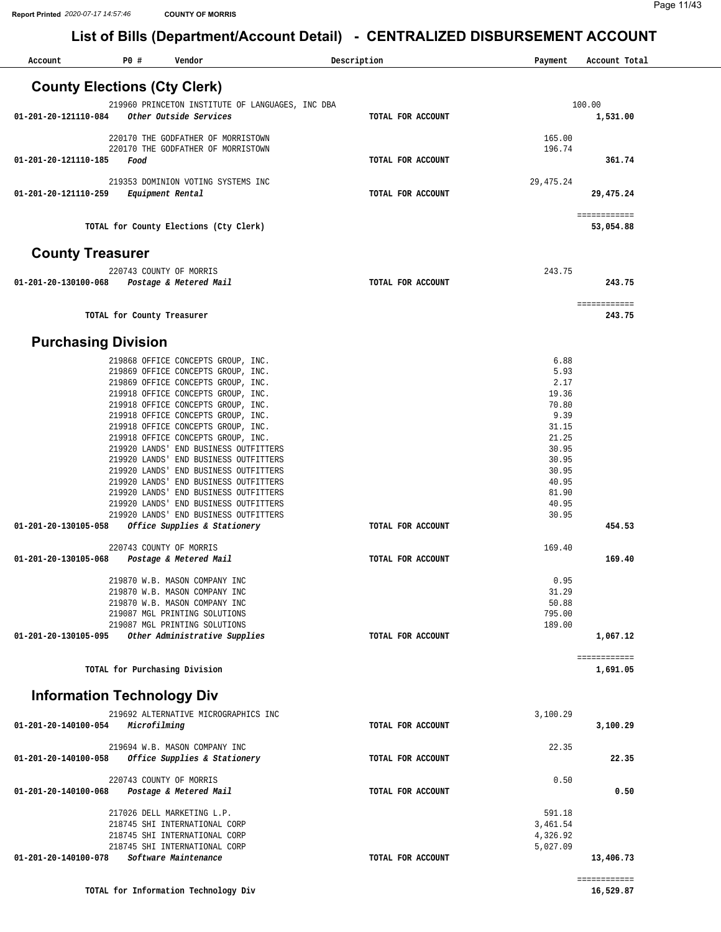| Account                             | P0 #                       | Vendor                                                                         |                                                  | Description       | Payment        | Account Total             |
|-------------------------------------|----------------------------|--------------------------------------------------------------------------------|--------------------------------------------------|-------------------|----------------|---------------------------|
| <b>County Elections (Cty Clerk)</b> |                            |                                                                                |                                                  |                   |                |                           |
|                                     |                            |                                                                                | 219960 PRINCETON INSTITUTE OF LANGUAGES, INC DBA |                   |                | 100.00                    |
| 01-201-20-121110-084                |                            | Other Outside Services                                                         |                                                  | TOTAL FOR ACCOUNT |                | 1,531.00                  |
|                                     |                            | 220170 THE GODFATHER OF MORRISTOWN                                             |                                                  |                   | 165.00         |                           |
|                                     |                            | 220170 THE GODFATHER OF MORRISTOWN                                             |                                                  |                   | 196.74         |                           |
| 01-201-20-121110-185                | Food                       |                                                                                |                                                  | TOTAL FOR ACCOUNT |                | 361.74                    |
|                                     |                            | 219353 DOMINION VOTING SYSTEMS INC                                             |                                                  |                   | 29,475.24      |                           |
| 01-201-20-121110-259                | Equipment Rental           |                                                                                |                                                  | TOTAL FOR ACCOUNT |                | 29,475.24                 |
|                                     |                            | TOTAL for County Elections (Cty Clerk)                                         |                                                  |                   |                | ============<br>53,054.88 |
| <b>County Treasurer</b>             |                            |                                                                                |                                                  |                   |                |                           |
|                                     |                            |                                                                                |                                                  |                   | 243.75         |                           |
| 01-201-20-130100-068                |                            | 220743 COUNTY OF MORRIS<br>Postage & Metered Mail                              |                                                  | TOTAL FOR ACCOUNT |                | 243.75                    |
|                                     |                            |                                                                                |                                                  |                   |                | ============              |
|                                     | TOTAL for County Treasurer |                                                                                |                                                  |                   |                | 243.75                    |
| <b>Purchasing Division</b>          |                            |                                                                                |                                                  |                   |                |                           |
|                                     |                            | 219868 OFFICE CONCEPTS GROUP, INC.                                             |                                                  |                   | 6.88           |                           |
|                                     |                            | 219869 OFFICE CONCEPTS GROUP, INC.                                             |                                                  |                   | 5.93           |                           |
|                                     |                            | 219869 OFFICE CONCEPTS GROUP, INC.                                             |                                                  |                   | 2.17           |                           |
|                                     |                            | 219918 OFFICE CONCEPTS GROUP, INC.<br>219918 OFFICE CONCEPTS GROUP, INC.       |                                                  |                   | 19.36<br>70.80 |                           |
|                                     |                            | 219918 OFFICE CONCEPTS GROUP, INC.                                             |                                                  |                   | 9.39           |                           |
|                                     |                            | 219918 OFFICE CONCEPTS GROUP, INC.                                             |                                                  |                   | 31.15          |                           |
|                                     |                            | 219918 OFFICE CONCEPTS GROUP, INC.                                             |                                                  |                   | 21.25          |                           |
|                                     |                            | 219920 LANDS' END BUSINESS OUTFITTERS                                          |                                                  |                   | 30.95          |                           |
|                                     |                            | 219920 LANDS' END BUSINESS OUTFITTERS                                          |                                                  |                   | 30.95          |                           |
|                                     |                            | 219920 LANDS' END BUSINESS OUTFITTERS<br>219920 LANDS' END BUSINESS OUTFITTERS |                                                  |                   | 30.95<br>40.95 |                           |
|                                     |                            | 219920 LANDS' END BUSINESS OUTFITTERS                                          |                                                  |                   | 81.90          |                           |
|                                     |                            | 219920 LANDS' END BUSINESS OUTFITTERS                                          |                                                  |                   | 40.95          |                           |
|                                     |                            | 219920 LANDS' END BUSINESS OUTFITTERS                                          |                                                  |                   | 30.95          |                           |
| 01-201-20-130105-058                |                            | Office Supplies & Stationery                                                   |                                                  | TOTAL FOR ACCOUNT |                | 454.53                    |
|                                     |                            | 220743 COUNTY OF MORRIS                                                        |                                                  |                   | 169.40         |                           |
| 01-201-20-130105-068                |                            | Postage & Metered Mail                                                         |                                                  | TOTAL FOR ACCOUNT |                | 169.40                    |
|                                     |                            | 219870 W.B. MASON COMPANY INC                                                  |                                                  |                   | 0.95           |                           |
|                                     |                            | 219870 W.B. MASON COMPANY INC                                                  |                                                  |                   | 31.29          |                           |
|                                     |                            | 219870 W.B. MASON COMPANY INC                                                  |                                                  |                   | 50.88          |                           |
|                                     |                            | 219087 MGL PRINTING SOLUTIONS                                                  |                                                  |                   | 795.00         |                           |
|                                     |                            | 219087 MGL PRINTING SOLUTIONS                                                  |                                                  |                   | 189.00         |                           |
| 01-201-20-130105-095                |                            | Other Administrative Supplies                                                  |                                                  | TOTAL FOR ACCOUNT |                | 1,067.12                  |
|                                     |                            | TOTAL for Purchasing Division                                                  |                                                  |                   |                | ============<br>1,691.05  |
| <b>Information Technology Div</b>   |                            |                                                                                |                                                  |                   |                |                           |
|                                     |                            | 219692 ALTERNATIVE MICROGRAPHICS INC                                           |                                                  |                   | 3,100.29       |                           |
| 01-201-20-140100-054                | Microfilming               |                                                                                |                                                  | TOTAL FOR ACCOUNT |                | 3,100.29                  |
|                                     |                            | 219694 W.B. MASON COMPANY INC                                                  |                                                  |                   | 22.35          |                           |
| 01-201-20-140100-058                |                            | Office Supplies & Stationery                                                   |                                                  | TOTAL FOR ACCOUNT |                | 22.35                     |
|                                     |                            | 220743 COUNTY OF MORRIS                                                        |                                                  |                   | 0.50           |                           |
| 01-201-20-140100-068                |                            | Postage & Metered Mail                                                         |                                                  | TOTAL FOR ACCOUNT |                | 0.50                      |
|                                     |                            | 217026 DELL MARKETING L.P.                                                     |                                                  |                   | 591.18         |                           |
|                                     |                            | 218745 SHI INTERNATIONAL CORP                                                  |                                                  |                   | 3,461.54       |                           |
|                                     |                            | 218745 SHI INTERNATIONAL CORP                                                  |                                                  |                   | 4,326.92       |                           |
| 01-201-20-140100-078                |                            | 218745 SHI INTERNATIONAL CORP<br>Software Maintenance                          |                                                  | TOTAL FOR ACCOUNT | 5,027.09       |                           |
|                                     |                            |                                                                                |                                                  |                   |                | 13,406.73                 |
|                                     |                            |                                                                                |                                                  |                   |                | ============              |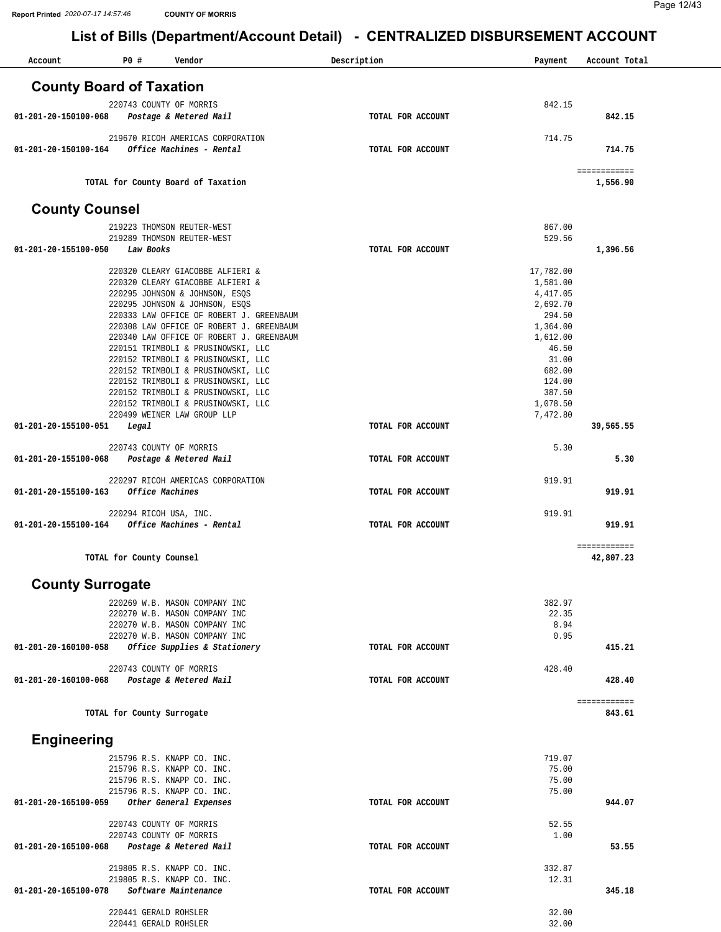| Account                         | P0 #                                           | Vendor                                                                               | Description       | Payment            | Account Total             |
|---------------------------------|------------------------------------------------|--------------------------------------------------------------------------------------|-------------------|--------------------|---------------------------|
| <b>County Board of Taxation</b> |                                                |                                                                                      |                   |                    |                           |
|                                 |                                                | 220743 COUNTY OF MORRIS                                                              |                   | 842.15             |                           |
| 01-201-20-150100-068            |                                                | Postage & Metered Mail                                                               | TOTAL FOR ACCOUNT |                    | 842.15                    |
|                                 |                                                | 219670 RICOH AMERICAS CORPORATION                                                    |                   | 714.75             |                           |
| 01-201-20-150100-164            |                                                | Office Machines - Rental                                                             | TOTAL FOR ACCOUNT |                    | 714.75                    |
|                                 |                                                | TOTAL for County Board of Taxation                                                   |                   |                    | ============<br>1,556.90  |
| <b>County Counsel</b>           |                                                |                                                                                      |                   |                    |                           |
|                                 |                                                | 219223 THOMSON REUTER-WEST                                                           |                   | 867.00             |                           |
|                                 |                                                | 219289 THOMSON REUTER-WEST                                                           |                   | 529.56             |                           |
| 01-201-20-155100-050            | Law Books                                      |                                                                                      | TOTAL FOR ACCOUNT |                    | 1,396.56                  |
|                                 |                                                | 220320 CLEARY GIACOBBE ALFIERI &                                                     |                   | 17,782.00          |                           |
|                                 |                                                | 220320 CLEARY GIACOBBE ALFIERI &                                                     |                   | 1,581.00           |                           |
|                                 |                                                | 220295 JOHNSON & JOHNSON, ESQS                                                       |                   | 4,417.05           |                           |
|                                 |                                                | 220295 JOHNSON & JOHNSON, ESQS                                                       |                   | 2,692.70           |                           |
|                                 |                                                | 220333 LAW OFFICE OF ROBERT J. GREENBAUM<br>220308 LAW OFFICE OF ROBERT J. GREENBAUM |                   | 294.50<br>1,364.00 |                           |
|                                 |                                                | 220340 LAW OFFICE OF ROBERT J. GREENBAUM                                             |                   | 1,612.00           |                           |
|                                 |                                                | 220151 TRIMBOLI & PRUSINOWSKI, LLC                                                   |                   | 46.50              |                           |
|                                 |                                                | 220152 TRIMBOLI & PRUSINOWSKI, LLC<br>220152 TRIMBOLI & PRUSINOWSKI, LLC             |                   | 31.00<br>682.00    |                           |
|                                 |                                                | 220152 TRIMBOLI & PRUSINOWSKI, LLC                                                   |                   | 124.00             |                           |
|                                 |                                                | 220152 TRIMBOLI & PRUSINOWSKI, LLC                                                   |                   | 387.50             |                           |
|                                 |                                                | 220152 TRIMBOLI & PRUSINOWSKI, LLC                                                   |                   | 1,078.50           |                           |
| 01-201-20-155100-051            | Legal                                          | 220499 WEINER LAW GROUP LLP                                                          | TOTAL FOR ACCOUNT | 7,472.80           | 39,565.55                 |
|                                 |                                                | 220743 COUNTY OF MORRIS                                                              |                   | 5.30               |                           |
| 01-201-20-155100-068            |                                                | Postage & Metered Mail                                                               | TOTAL FOR ACCOUNT |                    | 5.30                      |
|                                 |                                                |                                                                                      |                   |                    |                           |
| 01-201-20-155100-163            |                                                | 220297 RICOH AMERICAS CORPORATION<br>Office Machines                                 | TOTAL FOR ACCOUNT | 919.91             | 919.91                    |
|                                 |                                                |                                                                                      |                   |                    |                           |
|                                 |                                                | 220294 RICOH USA, INC.                                                               |                   | 919.91             |                           |
| 01-201-20-155100-164            |                                                | Office Machines - Rental                                                             | TOTAL FOR ACCOUNT |                    | 919.91                    |
|                                 | TOTAL for County Counsel                       |                                                                                      |                   |                    | ============<br>42,807.23 |
| <b>County Surrogate</b>         |                                                |                                                                                      |                   |                    |                           |
|                                 |                                                |                                                                                      |                   |                    |                           |
|                                 |                                                | 220269 W.B. MASON COMPANY INC<br>220270 W.B. MASON COMPANY INC                       |                   | 382.97<br>22.35    |                           |
|                                 |                                                | 220270 W.B. MASON COMPANY INC                                                        |                   | 8.94               |                           |
|                                 |                                                | 220270 W.B. MASON COMPANY INC                                                        |                   | 0.95               |                           |
| 01-201-20-160100-058            |                                                | Office Supplies & Stationery                                                         | TOTAL FOR ACCOUNT |                    | 415.21                    |
|                                 |                                                | 220743 COUNTY OF MORRIS                                                              |                   | 428.40             |                           |
| 01-201-20-160100-068            |                                                | Postage & Metered Mail                                                               | TOTAL FOR ACCOUNT |                    | 428.40                    |
|                                 |                                                |                                                                                      |                   |                    | ============              |
|                                 | TOTAL for County Surrogate                     |                                                                                      |                   |                    | 843.61                    |
| <b>Engineering</b>              |                                                |                                                                                      |                   |                    |                           |
|                                 |                                                | 215796 R.S. KNAPP CO. INC.                                                           |                   | 719.07             |                           |
|                                 |                                                | 215796 R.S. KNAPP CO. INC.                                                           |                   | 75.00              |                           |
|                                 |                                                | 215796 R.S. KNAPP CO. INC.<br>215796 R.S. KNAPP CO. INC.                             |                   | 75.00<br>75.00     |                           |
| 01-201-20-165100-059            |                                                | Other General Expenses                                                               | TOTAL FOR ACCOUNT |                    | 944.07                    |
|                                 |                                                |                                                                                      |                   |                    |                           |
|                                 |                                                | 220743 COUNTY OF MORRIS                                                              |                   | 52.55<br>1.00      |                           |
| 01-201-20-165100-068            |                                                | 220743 COUNTY OF MORRIS<br>Postage & Metered Mail                                    | TOTAL FOR ACCOUNT |                    | 53.55                     |
|                                 |                                                |                                                                                      |                   |                    |                           |
|                                 |                                                | 219805 R.S. KNAPP CO. INC.                                                           |                   | 332.87             |                           |
| 01-201-20-165100-078            |                                                | 219805 R.S. KNAPP CO. INC.<br>Software Maintenance                                   | TOTAL FOR ACCOUNT | 12.31              | 345.18                    |
|                                 |                                                |                                                                                      |                   |                    |                           |
|                                 | 220441 GERALD ROHSLER<br>220441 GERALD ROHSLER |                                                                                      |                   | 32.00<br>32.00     |                           |
|                                 |                                                |                                                                                      |                   |                    |                           |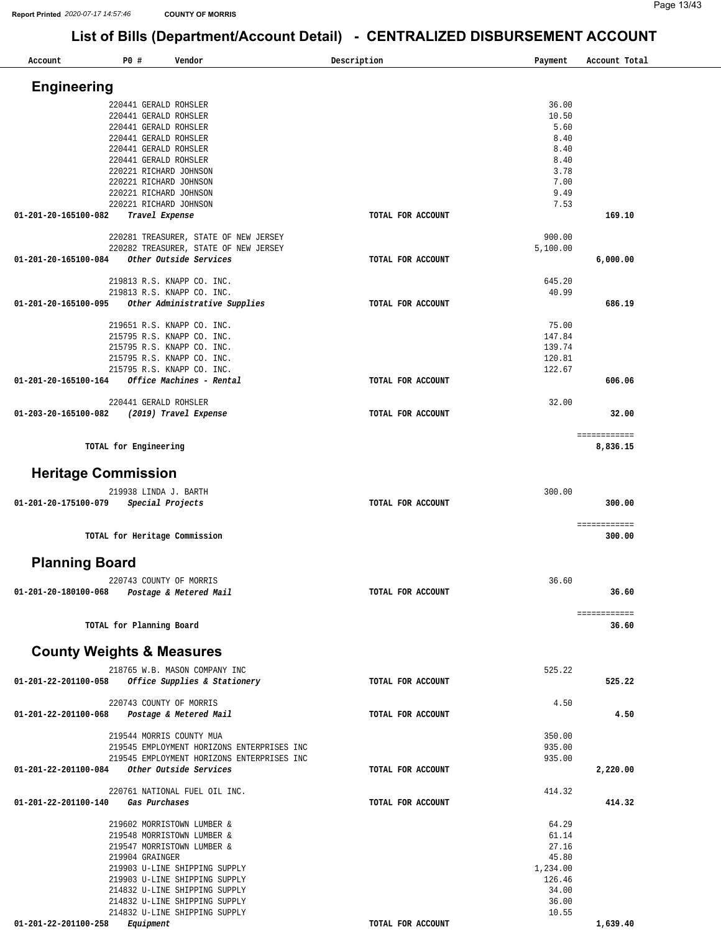| Account                        | P0 #<br>Vendor                                                                           | Description       | Payment          | Account Total |
|--------------------------------|------------------------------------------------------------------------------------------|-------------------|------------------|---------------|
|                                |                                                                                          |                   |                  |               |
| <b>Engineering</b>             |                                                                                          |                   |                  |               |
|                                | 220441 GERALD ROHSLER                                                                    |                   | 36.00            |               |
|                                | 220441 GERALD ROHSLER                                                                    |                   | 10.50            |               |
|                                | 220441 GERALD ROHSLER<br>220441 GERALD ROHSLER                                           |                   | 5.60<br>8.40     |               |
|                                | 220441 GERALD ROHSLER                                                                    |                   | 8.40             |               |
|                                | 220441 GERALD ROHSLER                                                                    |                   | 8.40             |               |
|                                | 220221 RICHARD JOHNSON                                                                   |                   | 3.78             |               |
|                                | 220221 RICHARD JOHNSON                                                                   |                   | 7.00             |               |
|                                | 220221 RICHARD JOHNSON<br>220221 RICHARD JOHNSON                                         |                   | 9.49             |               |
| 01-201-20-165100-082           | Travel Expense                                                                           | TOTAL FOR ACCOUNT | 7.53             | 169.10        |
|                                |                                                                                          |                   |                  |               |
|                                | 220281 TREASURER, STATE OF NEW JERSEY                                                    |                   | 900.00           |               |
|                                | 220282 TREASURER, STATE OF NEW JERSEY                                                    |                   | 5,100.00         |               |
| 01-201-20-165100-084           | Other Outside Services                                                                   | TOTAL FOR ACCOUNT |                  | 6,000.00      |
|                                | 219813 R.S. KNAPP CO. INC.                                                               |                   | 645.20           |               |
|                                | 219813 R.S. KNAPP CO. INC.                                                               |                   | 40.99            |               |
| 01-201-20-165100-095           | Other Administrative Supplies                                                            | TOTAL FOR ACCOUNT |                  | 686.19        |
|                                |                                                                                          |                   |                  |               |
|                                | 219651 R.S. KNAPP CO. INC.                                                               |                   | 75.00<br>147.84  |               |
|                                | 215795 R.S. KNAPP CO. INC.<br>215795 R.S. KNAPP CO. INC.                                 |                   | 139.74           |               |
|                                | 215795 R.S. KNAPP CO. INC.                                                               |                   | 120.81           |               |
|                                | 215795 R.S. KNAPP CO. INC.                                                               |                   | 122.67           |               |
| 01-201-20-165100-164           | Office Machines - Rental                                                                 | TOTAL FOR ACCOUNT |                  | 606.06        |
|                                |                                                                                          |                   |                  |               |
| 01-203-20-165100-082           | 220441 GERALD ROHSLER                                                                    | TOTAL FOR ACCOUNT | 32.00            | 32.00         |
|                                | (2019) Travel Expense                                                                    |                   |                  |               |
|                                |                                                                                          |                   |                  | ============  |
|                                | TOTAL for Engineering                                                                    |                   |                  | 8,836.15      |
|                                |                                                                                          |                   |                  |               |
| <b>Heritage Commission</b>     |                                                                                          |                   |                  |               |
|                                | 219938 LINDA J. BARTH                                                                    |                   | 300.00           |               |
| 01-201-20-175100-079           | Special Projects                                                                         | TOTAL FOR ACCOUNT |                  | 300.00        |
|                                |                                                                                          |                   |                  |               |
|                                |                                                                                          |                   |                  | ============  |
|                                | TOTAL for Heritage Commission                                                            |                   |                  | 300.00        |
|                                |                                                                                          |                   |                  |               |
| <b>Planning Board</b>          |                                                                                          |                   |                  |               |
|                                | 220743 COUNTY OF MORRIS                                                                  |                   | 36.60            |               |
| $01 - 201 - 20 - 180100 - 068$ | Postage & Metered Mail                                                                   | TOTAL FOR ACCOUNT |                  | 36.60         |
|                                |                                                                                          |                   |                  | ============  |
|                                | TOTAL for Planning Board                                                                 |                   |                  | 36.60         |
|                                |                                                                                          |                   |                  |               |
|                                | <b>County Weights &amp; Measures</b>                                                     |                   |                  |               |
|                                |                                                                                          |                   |                  |               |
|                                | 218765 W.B. MASON COMPANY INC                                                            |                   | 525.22           |               |
| 01-201-22-201100-058           | Office Supplies & Stationery                                                             | TOTAL FOR ACCOUNT |                  | 525.22        |
|                                | 220743 COUNTY OF MORRIS                                                                  |                   | 4.50             |               |
| 01-201-22-201100-068           | Postage & Metered Mail                                                                   | TOTAL FOR ACCOUNT |                  | 4.50          |
|                                |                                                                                          |                   |                  |               |
|                                | 219544 MORRIS COUNTY MUA                                                                 |                   | 350.00           |               |
|                                | 219545 EMPLOYMENT HORIZONS ENTERPRISES INC<br>219545 EMPLOYMENT HORIZONS ENTERPRISES INC |                   | 935.00<br>935.00 |               |
| 01-201-22-201100-084           | Other Outside Services                                                                   | TOTAL FOR ACCOUNT |                  | 2,220.00      |
|                                |                                                                                          |                   |                  |               |
|                                | 220761 NATIONAL FUEL OIL INC.                                                            |                   | 414.32           |               |
| 01-201-22-201100-140           | Gas Purchases                                                                            | TOTAL FOR ACCOUNT |                  | 414.32        |
|                                | 219602 MORRISTOWN LUMBER &                                                               |                   | 64.29            |               |
|                                | 219548 MORRISTOWN LUMBER &                                                               |                   | 61.14            |               |
|                                | 219547 MORRISTOWN LUMBER &                                                               |                   | 27.16            |               |
|                                | 219904 GRAINGER                                                                          |                   | 45.80            |               |
|                                | 219903 U-LINE SHIPPING SUPPLY                                                            |                   | 1,234.00         |               |
|                                | 219903 U-LINE SHIPPING SUPPLY                                                            |                   | 126.46           |               |
|                                | 214832 U-LINE SHIPPING SUPPLY<br>214832 U-LINE SHIPPING SUPPLY                           |                   | 34.00<br>36.00   |               |
|                                | 214832 U-LINE SHIPPING SUPPLY                                                            |                   | 10.55            |               |
| 01-201-22-201100-258           | Equipment                                                                                | TOTAL FOR ACCOUNT |                  | 1,639.40      |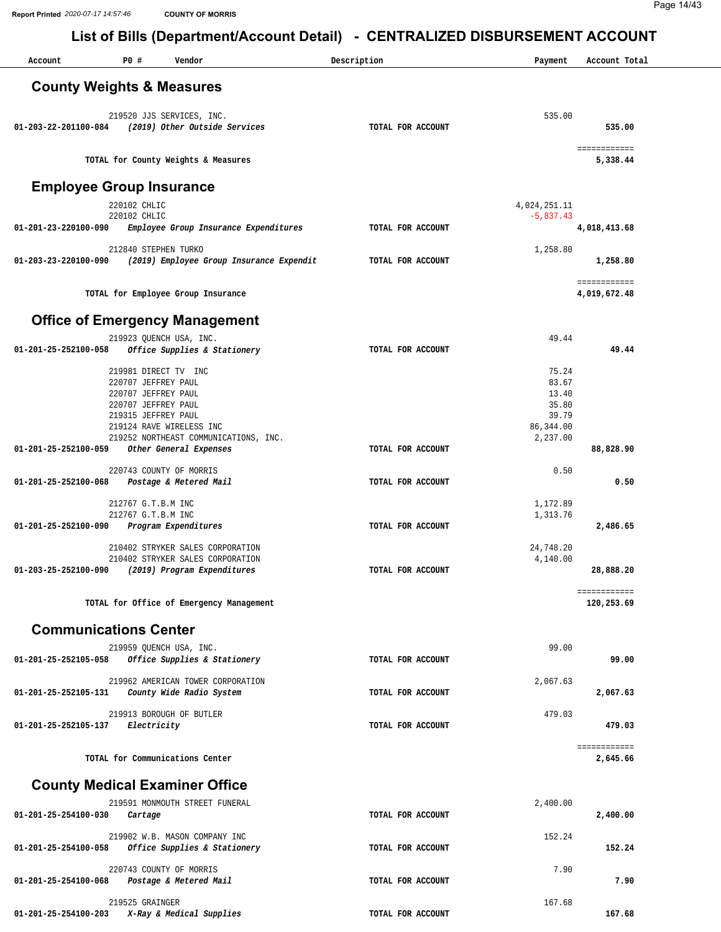| Account                              | P0 #                 | Vendor                                             | Description       | Payment             | Account Total |
|--------------------------------------|----------------------|----------------------------------------------------|-------------------|---------------------|---------------|
|                                      |                      |                                                    |                   |                     |               |
| <b>County Weights &amp; Measures</b> |                      |                                                    |                   |                     |               |
|                                      |                      |                                                    |                   |                     |               |
|                                      |                      | 219520 JJS SERVICES, INC.                          |                   | 535.00              |               |
|                                      |                      | 01-203-22-201100-084 (2019) Other Outside Services | TOTAL FOR ACCOUNT |                     | 535.00        |
|                                      |                      |                                                    |                   |                     | ============  |
|                                      |                      | TOTAL for County Weights & Measures                |                   |                     | 5,338.44      |
|                                      |                      |                                                    |                   |                     |               |
| <b>Employee Group Insurance</b>      |                      |                                                    |                   |                     |               |
|                                      |                      |                                                    |                   |                     |               |
|                                      | 220102 CHLIC         |                                                    |                   | 4,024,251.11        |               |
| 01-201-23-220100-090                 | 220102 CHLIC         | Employee Group Insurance Expenditures              | TOTAL FOR ACCOUNT | $-5,837.43$         | 4,018,413.68  |
|                                      |                      |                                                    |                   |                     |               |
|                                      | 212840 STEPHEN TURKO |                                                    |                   | 1,258.80            |               |
| 01-203-23-220100-090                 |                      | (2019) Employee Group Insurance Expendit           | TOTAL FOR ACCOUNT |                     | 1,258.80      |
|                                      |                      |                                                    |                   |                     | ============  |
|                                      |                      | TOTAL for Employee Group Insurance                 |                   |                     | 4,019,672.48  |
|                                      |                      |                                                    |                   |                     |               |
|                                      |                      | <b>Office of Emergency Management</b>              |                   |                     |               |
|                                      |                      |                                                    |                   |                     |               |
|                                      |                      | 219923 QUENCH USA, INC.                            |                   | 49.44               |               |
| 01-201-25-252100-058                 |                      | Office Supplies & Stationery                       | TOTAL FOR ACCOUNT |                     | 49.44         |
|                                      | 219981 DIRECT TV INC |                                                    |                   | 75.24               |               |
|                                      | 220707 JEFFREY PAUL  |                                                    |                   | 83.67               |               |
|                                      | 220707 JEFFREY PAUL  |                                                    |                   | 13.40               |               |
|                                      | 220707 JEFFREY PAUL  |                                                    |                   | 35.80               |               |
|                                      | 219315 JEFFREY PAUL  | 219124 RAVE WIRELESS INC                           |                   | 39.79<br>86, 344.00 |               |
|                                      |                      | 219252 NORTHEAST COMMUNICATIONS, INC.              |                   | 2,237.00            |               |
| 01-201-25-252100-059                 |                      | Other General Expenses                             | TOTAL FOR ACCOUNT |                     | 88,828.90     |
|                                      |                      |                                                    |                   |                     |               |
|                                      |                      | 220743 COUNTY OF MORRIS                            |                   | 0.50                |               |
| 01-201-25-252100-068                 |                      | Postage & Metered Mail                             | TOTAL FOR ACCOUNT |                     | 0.50          |
|                                      | 212767 G.T.B.M INC   |                                                    |                   | 1,172.89            |               |
|                                      | 212767 G.T.B.M INC   |                                                    |                   | 1,313.76            |               |
| 01-201-25-252100-090                 |                      | Program Expenditures                               | TOTAL FOR ACCOUNT |                     | 2,486.65      |
|                                      |                      | 210402 STRYKER SALES CORPORATION                   |                   | 24,748.20           |               |
|                                      |                      | 210402 STRYKER SALES CORPORATION                   |                   | 4,140.00            |               |
|                                      |                      | 01-203-25-252100-090 (2019) Program Expenditures   | TOTAL FOR ACCOUNT |                     | 28,888.20     |
|                                      |                      |                                                    |                   |                     |               |
|                                      |                      |                                                    |                   |                     | ============  |
|                                      |                      | TOTAL for Office of Emergency Management           |                   |                     | 120,253.69    |
|                                      |                      |                                                    |                   |                     |               |
| <b>Communications Center</b>         |                      |                                                    |                   |                     |               |
|                                      |                      | 219959 QUENCH USA, INC.                            |                   | 99.00               |               |
| 01-201-25-252105-058                 |                      | Office Supplies & Stationery                       | TOTAL FOR ACCOUNT |                     | 99.00         |
|                                      |                      | 219962 AMERICAN TOWER CORPORATION                  |                   | 2,067.63            |               |
| 01-201-25-252105-131                 |                      | County Wide Radio System                           | TOTAL FOR ACCOUNT |                     | 2,067.63      |
|                                      |                      |                                                    |                   |                     |               |
|                                      |                      | 219913 BOROUGH OF BUTLER                           |                   | 479.03              |               |
| 01-201-25-252105-137                 | Electricity          |                                                    | TOTAL FOR ACCOUNT |                     | 479.03        |
|                                      |                      |                                                    |                   |                     | ============  |
|                                      |                      | TOTAL for Communications Center                    |                   |                     | 2,645.66      |
|                                      |                      |                                                    |                   |                     |               |
|                                      |                      | <b>County Medical Examiner Office</b>              |                   |                     |               |
|                                      |                      | 219591 MONMOUTH STREET FUNERAL                     |                   | 2,400.00            |               |
| 01-201-25-254100-030                 | Cartage              |                                                    | TOTAL FOR ACCOUNT |                     | 2,400.00      |
|                                      |                      |                                                    |                   |                     |               |
|                                      |                      | 219902 W.B. MASON COMPANY INC                      |                   | 152.24              |               |
| 01-201-25-254100-058                 |                      | Office Supplies & Stationery                       | TOTAL FOR ACCOUNT |                     | 152.24        |
|                                      |                      |                                                    |                   |                     |               |
| 01-201-25-254100-068                 |                      | 220743 COUNTY OF MORRIS<br>Postage & Metered Mail  | TOTAL FOR ACCOUNT | 7.90                | 7.90          |
|                                      |                      |                                                    |                   |                     |               |
|                                      | 219525 GRAINGER      |                                                    |                   | 167.68              |               |
| 01-201-25-254100-203                 |                      | X-Ray & Medical Supplies                           | TOTAL FOR ACCOUNT |                     | 167.68        |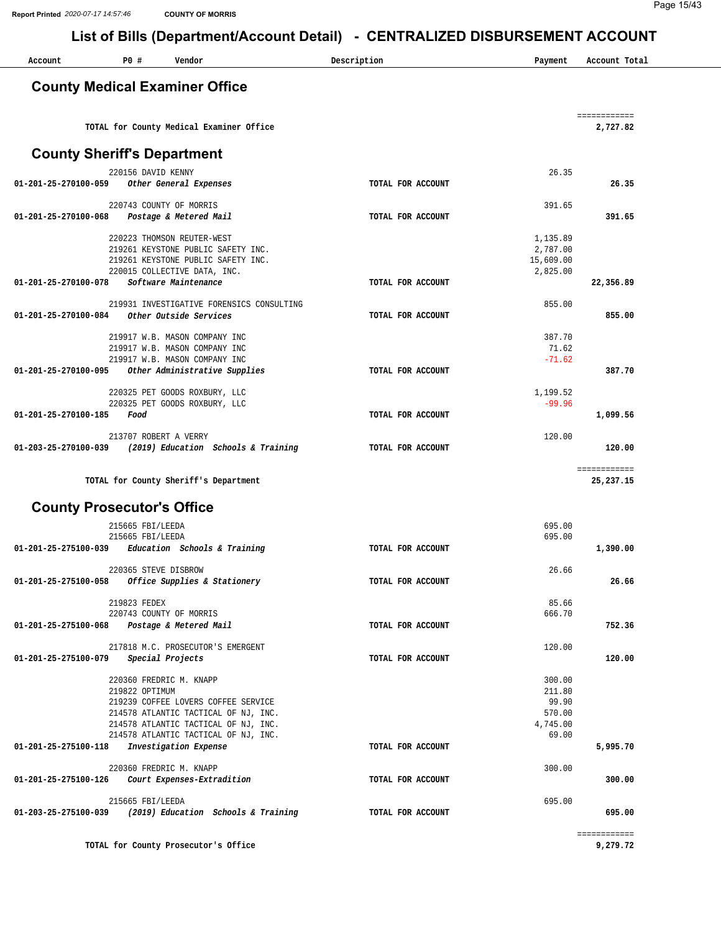Page 15/43

|                                             |                    |                                                                                                        | List of Bills (Department/Account Detail) - CENTRALIZED DISBURSEMENT ACCOUNT |                                   |                             |
|---------------------------------------------|--------------------|--------------------------------------------------------------------------------------------------------|------------------------------------------------------------------------------|-----------------------------------|-----------------------------|
| Account                                     | P0 #               | Vendor                                                                                                 | Description                                                                  | Payment                           | Account Total               |
|                                             |                    | <b>County Medical Examiner Office</b>                                                                  |                                                                              |                                   |                             |
|                                             |                    | TOTAL for County Medical Examiner Office                                                               |                                                                              |                                   | ============<br>2,727.82    |
|                                             |                    |                                                                                                        |                                                                              |                                   |                             |
| <b>County Sheriff's Department</b>          | 220156 DAVID KENNY |                                                                                                        |                                                                              | 26.35                             |                             |
| 01-201-25-270100-059                        |                    | Other General Expenses                                                                                 | TOTAL FOR ACCOUNT                                                            |                                   | 26.35                       |
|                                             |                    | 220743 COUNTY OF MORRIS                                                                                |                                                                              | 391.65                            |                             |
| 01-201-25-270100-068                        |                    | Postage & Metered Mail                                                                                 | TOTAL FOR ACCOUNT                                                            |                                   | 391.65                      |
|                                             |                    | 220223 THOMSON REUTER-WEST<br>219261 KEYSTONE PUBLIC SAFETY INC.<br>219261 KEYSTONE PUBLIC SAFETY INC. |                                                                              | 1,135.89<br>2,787.00<br>15,609.00 |                             |
| 01-201-25-270100-078                        |                    | 220015 COLLECTIVE DATA, INC.<br>Software Maintenance                                                   | TOTAL FOR ACCOUNT                                                            | 2,825.00                          | 22,356.89                   |
|                                             |                    | 219931 INVESTIGATIVE FORENSICS CONSULTING                                                              |                                                                              | 855.00                            |                             |
| 01-201-25-270100-084                        |                    | Other Outside Services                                                                                 | TOTAL FOR ACCOUNT                                                            |                                   | 855.00                      |
|                                             |                    | 219917 W.B. MASON COMPANY INC<br>219917 W.B. MASON COMPANY INC<br>219917 W.B. MASON COMPANY INC        |                                                                              | 387.70<br>71.62<br>$-71.62$       |                             |
| 01-201-25-270100-095                        |                    | Other Administrative Supplies                                                                          | TOTAL FOR ACCOUNT                                                            |                                   | 387.70                      |
|                                             |                    | 220325 PET GOODS ROXBURY, LLC<br>220325 PET GOODS ROXBURY, LLC                                         |                                                                              | 1,199.52<br>$-99.96$              |                             |
| 01-201-25-270100-185                        | Food               |                                                                                                        | TOTAL FOR ACCOUNT                                                            |                                   | 1,099.56                    |
|                                             |                    | 213707 ROBERT A VERRY                                                                                  |                                                                              | 120.00                            |                             |
| 01-203-25-270100-039                        |                    | (2019) Education Schools & Training                                                                    | TOTAL FOR ACCOUNT                                                            |                                   | 120.00                      |
|                                             |                    | TOTAL for County Sheriff's Department                                                                  |                                                                              |                                   | ============<br>25, 237. 15 |
| <b>County Prosecutor's Office</b>           |                    |                                                                                                        |                                                                              |                                   |                             |
|                                             | 215665 FBI/LEEDA   |                                                                                                        |                                                                              | 695.00                            |                             |
| 01-201-25-275100-039                        | 215665 FBI/LEEDA   | Education Schools & Training                                                                           | TOTAL FOR ACCOUNT                                                            | 695.00                            | 1,390.00                    |
|                                             |                    |                                                                                                        |                                                                              |                                   |                             |
|                                             |                    | 220365 STEVE DISBROW<br>01-201-25-275100-058 Office Supplies & Stationery                              | TOTAL FOR ACCOUNT                                                            | 26.66                             | 26.66                       |
|                                             | 219823 FEDEX       |                                                                                                        |                                                                              | 85.66                             |                             |
|                                             |                    | 220743 COUNTY OF MORRIS                                                                                |                                                                              | 666.70                            |                             |
| 01-201-25-275100-068 Postage & Metered Mail |                    |                                                                                                        | TOTAL FOR ACCOUNT                                                            |                                   | 752.36                      |
| 01-201-25-275100-079                        |                    | 217818 M.C. PROSECUTOR'S EMERGENT<br>Special Projects                                                  | TOTAL FOR ACCOUNT                                                            | 120.00                            | 120.00                      |
|                                             |                    |                                                                                                        |                                                                              |                                   |                             |
|                                             | 219822 OPTIMUM     | 220360 FREDRIC M. KNAPP                                                                                |                                                                              | 300.00<br>211.80                  |                             |
|                                             |                    | 219239 COFFEE LOVERS COFFEE SERVICE                                                                    |                                                                              | 99.90                             |                             |
|                                             |                    | 214578 ATLANTIC TACTICAL OF NJ, INC.                                                                   |                                                                              | 570.00                            |                             |
|                                             |                    | 214578 ATLANTIC TACTICAL OF NJ, INC.                                                                   |                                                                              | 4,745.00                          |                             |
| 01-201-25-275100-118                        |                    | 214578 ATLANTIC TACTICAL OF NJ, INC.<br>Investigation Expense                                          | TOTAL FOR ACCOUNT                                                            | 69.00                             | 5,995.70                    |
|                                             |                    | 220360 FREDRIC M. KNAPP                                                                                |                                                                              | 300.00                            |                             |
| 01-201-25-275100-126                        |                    | Court Expenses-Extradition                                                                             | TOTAL FOR ACCOUNT                                                            |                                   | 300.00                      |
|                                             | 215665 FBI/LEEDA   |                                                                                                        |                                                                              | 695.00                            |                             |
|                                             |                    | 01-203-25-275100-039 (2019) Education Schools & Training                                               | TOTAL FOR ACCOUNT                                                            |                                   | 695.00                      |
|                                             |                    |                                                                                                        |                                                                              |                                   | ============                |
|                                             |                    | TOTAL for County Prosecutor's Office                                                                   |                                                                              |                                   | 9,279.72                    |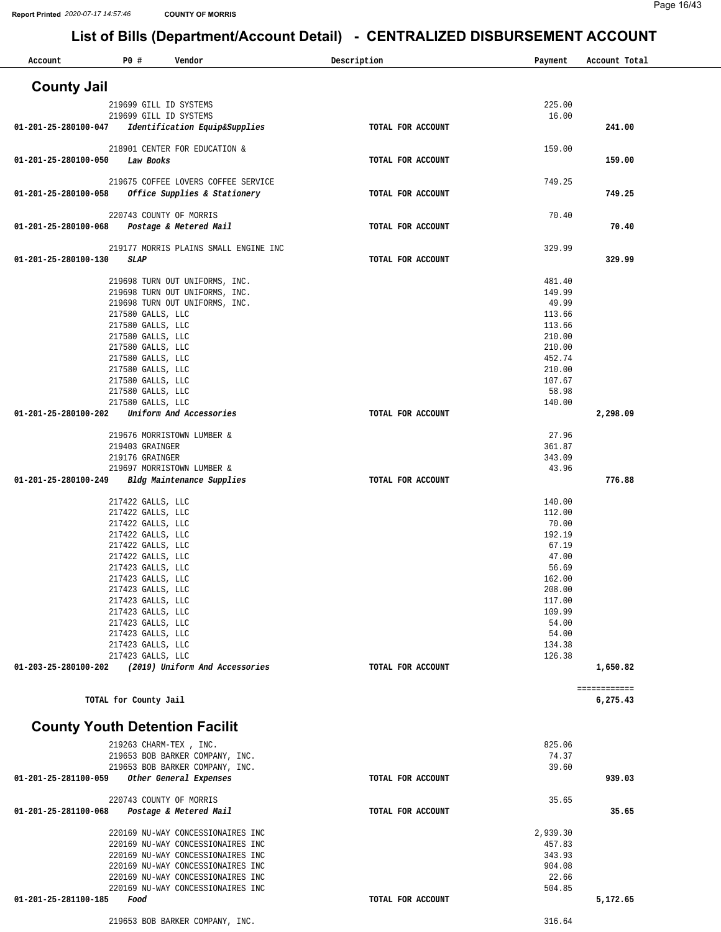| P0 #<br>Vendor<br>Account                                                 | Description       | Payment          | Account Total |
|---------------------------------------------------------------------------|-------------------|------------------|---------------|
| <b>County Jail</b>                                                        |                   |                  |               |
| 219699 GILL ID SYSTEMS                                                    |                   | 225.00           |               |
| 219699 GILL ID SYSTEMS                                                    |                   | 16.00            |               |
| 01-201-25-280100-047<br>Identification Equip&Supplies                     | TOTAL FOR ACCOUNT |                  | 241.00        |
| 218901 CENTER FOR EDUCATION &                                             |                   | 159.00           |               |
| Law Books<br>01-201-25-280100-050                                         | TOTAL FOR ACCOUNT |                  | 159.00        |
| 219675 COFFEE LOVERS COFFEE SERVICE                                       |                   | 749.25           |               |
| Office Supplies & Stationery<br>01-201-25-280100-058                      | TOTAL FOR ACCOUNT |                  | 749.25        |
|                                                                           |                   |                  |               |
| 220743 COUNTY OF MORRIS<br>01-201-25-280100-068<br>Postage & Metered Mail | TOTAL FOR ACCOUNT | 70.40            | 70.40         |
|                                                                           |                   |                  |               |
| 219177 MORRIS PLAINS SMALL ENGINE INC                                     |                   | 329.99           |               |
| 01-201-25-280100-130<br>SLAP                                              | TOTAL FOR ACCOUNT |                  | 329.99        |
| 219698 TURN OUT UNIFORMS, INC.                                            |                   | 481.40           |               |
| 219698 TURN OUT UNIFORMS, INC.                                            |                   | 149.99           |               |
| 219698 TURN OUT UNIFORMS, INC.                                            |                   | 49.99            |               |
| 217580 GALLS, LLC<br>217580 GALLS, LLC                                    |                   | 113.66<br>113.66 |               |
| 217580 GALLS, LLC                                                         |                   | 210.00           |               |
| 217580 GALLS, LLC                                                         |                   | 210.00           |               |
| 217580 GALLS, LLC                                                         |                   | 452.74           |               |
| 217580 GALLS, LLC                                                         |                   | 210.00<br>107.67 |               |
| 217580 GALLS, LLC<br>217580 GALLS, LLC                                    |                   | 58.98            |               |
| 217580 GALLS, LLC                                                         |                   | 140.00           |               |
| 01-201-25-280100-202<br>Uniform And Accessories                           | TOTAL FOR ACCOUNT |                  | 2,298.09      |
| 219676 MORRISTOWN LUMBER &                                                |                   | 27.96            |               |
| 219403 GRAINGER                                                           |                   | 361.87           |               |
| 219176 GRAINGER                                                           |                   | 343.09           |               |
| 219697 MORRISTOWN LUMBER &<br>01-201-25-280100-249                        |                   | 43.96            | 776.88        |
| Bldg Maintenance Supplies                                                 | TOTAL FOR ACCOUNT |                  |               |
| 217422 GALLS, LLC                                                         |                   | 140.00           |               |
| 217422 GALLS, LLC                                                         |                   | 112.00           |               |
| 217422 GALLS, LLC<br>217422 GALLS, LLC                                    |                   | 70.00<br>192.19  |               |
| 217422 GALLS, LLC                                                         |                   | 67.19            |               |
| 217422 GALLS, LLC                                                         |                   | 47.00            |               |
| 217423 GALLS, LLC                                                         |                   | 56.69            |               |
| 217423 GALLS, LLC<br>217423 GALLS, LLC                                    |                   | 162.00<br>208.00 |               |
| 217423 GALLS, LLC                                                         |                   | 117.00           |               |
| 217423 GALLS, LLC                                                         |                   | 109.99           |               |
| 217423 GALLS, LLC                                                         |                   | 54.00            |               |
| 217423 GALLS, LLC<br>217423 GALLS, LLC                                    |                   | 54.00<br>134.38  |               |
| 217423 GALLS, LLC                                                         |                   | 126.38           |               |
| (2019) Uniform And Accessories<br>01-203-25-280100-202                    | TOTAL FOR ACCOUNT |                  | 1,650.82      |
|                                                                           |                   |                  | ============  |
| TOTAL for County Jail                                                     |                   |                  | 6,275.43      |
|                                                                           |                   |                  |               |
| <b>County Youth Detention Facilit</b>                                     |                   |                  |               |
| 219263 CHARM-TEX, INC.                                                    |                   | 825.06           |               |
| 219653 BOB BARKER COMPANY, INC.                                           |                   | 74.37            |               |
| 219653 BOB BARKER COMPANY, INC.                                           |                   | 39.60            |               |
| 01-201-25-281100-059<br>Other General Expenses                            | TOTAL FOR ACCOUNT |                  | 939.03        |
| 220743 COUNTY OF MORRIS                                                   |                   | 35.65            |               |
| 01-201-25-281100-068<br>Postage & Metered Mail                            | TOTAL FOR ACCOUNT |                  | 35.65         |
| 220169 NU-WAY CONCESSIONAIRES INC                                         |                   | 2,939.30         |               |
| 220169 NU-WAY CONCESSIONAIRES INC                                         |                   | 457.83           |               |
| 220169 NU-WAY CONCESSIONAIRES INC                                         |                   | 343.93           |               |
| 220169 NU-WAY CONCESSIONAIRES INC                                         |                   | 904.08           |               |
| 220169 NU-WAY CONCESSIONAIRES INC<br>220169 NU-WAY CONCESSIONAIRES INC    |                   | 22.66<br>504.85  |               |
| 01-201-25-281100-185<br>Food                                              | TOTAL FOR ACCOUNT |                  | 5,172.65      |
|                                                                           |                   |                  |               |
| 219653 BOB BARKER COMPANY, INC.                                           |                   | 316.64           |               |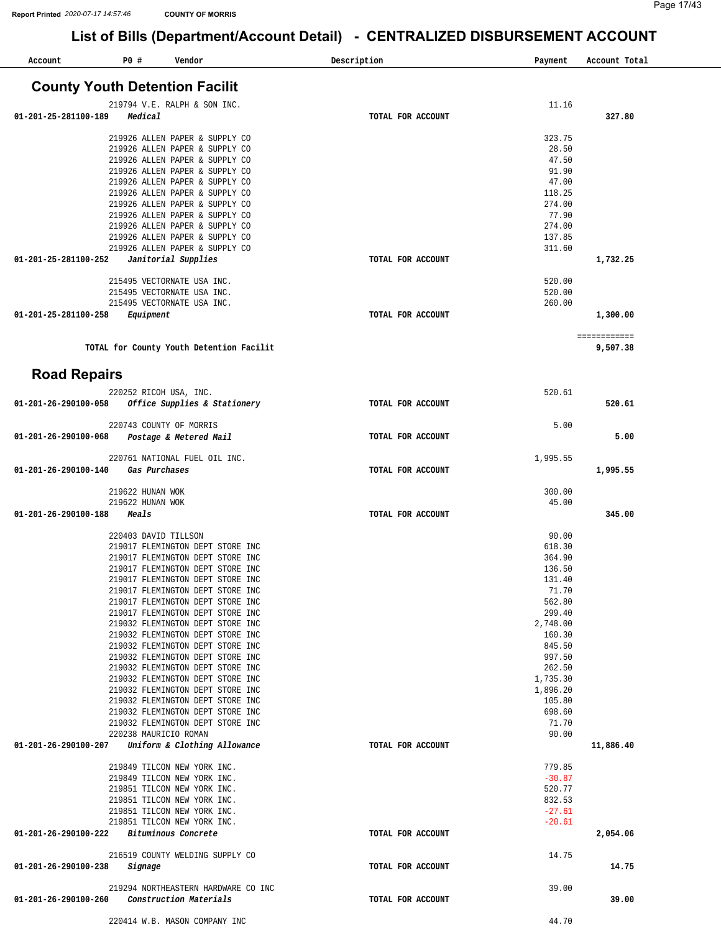| Account                               | P0 #                      | Vendor                                                               | Description       | Payment              | Account Total |
|---------------------------------------|---------------------------|----------------------------------------------------------------------|-------------------|----------------------|---------------|
| <b>County Youth Detention Facilit</b> |                           |                                                                      |                   |                      |               |
|                                       |                           | 219794 V.E. RALPH & SON INC.                                         |                   | 11.16                |               |
| 01-201-25-281100-189                  | Medical                   |                                                                      | TOTAL FOR ACCOUNT |                      | 327.80        |
|                                       |                           | 219926 ALLEN PAPER & SUPPLY CO                                       |                   | 323.75               |               |
|                                       |                           | 219926 ALLEN PAPER & SUPPLY CO                                       |                   | 28.50                |               |
|                                       |                           | 219926 ALLEN PAPER & SUPPLY CO                                       |                   | 47.50                |               |
|                                       |                           | 219926 ALLEN PAPER & SUPPLY CO<br>219926 ALLEN PAPER & SUPPLY CO     |                   | 91.90<br>47.00       |               |
|                                       |                           | 219926 ALLEN PAPER & SUPPLY CO                                       |                   | 118.25               |               |
|                                       |                           | 219926 ALLEN PAPER & SUPPLY CO                                       |                   | 274.00               |               |
|                                       |                           | 219926 ALLEN PAPER & SUPPLY CO                                       |                   | 77.90                |               |
|                                       |                           | 219926 ALLEN PAPER & SUPPLY CO<br>219926 ALLEN PAPER & SUPPLY CO     |                   | 274.00<br>137.85     |               |
|                                       |                           | 219926 ALLEN PAPER & SUPPLY CO                                       |                   | 311.60               |               |
| 01-201-25-281100-252                  |                           | Janitorial Supplies                                                  | TOTAL FOR ACCOUNT |                      | 1,732.25      |
|                                       |                           | 215495 VECTORNATE USA INC.                                           |                   | 520.00               |               |
|                                       |                           | 215495 VECTORNATE USA INC.                                           |                   | 520.00               |               |
|                                       |                           | 215495 VECTORNATE USA INC.                                           |                   | 260.00               |               |
| 01-201-25-281100-258                  | Equipment                 |                                                                      | TOTAL FOR ACCOUNT |                      | 1,300.00      |
|                                       |                           |                                                                      |                   |                      | ============  |
|                                       |                           | TOTAL for County Youth Detention Facilit                             |                   |                      | 9,507.38      |
|                                       |                           |                                                                      |                   |                      |               |
| <b>Road Repairs</b>                   |                           |                                                                      |                   |                      |               |
|                                       |                           | 220252 RICOH USA, INC.                                               |                   | 520.61               |               |
| 01-201-26-290100-058                  |                           | Office Supplies & Stationery                                         | TOTAL FOR ACCOUNT |                      | 520.61        |
|                                       |                           | 220743 COUNTY OF MORRIS                                              |                   | 5.00                 |               |
| 01-201-26-290100-068                  |                           | Postage & Metered Mail                                               | TOTAL FOR ACCOUNT |                      | 5.00          |
|                                       |                           |                                                                      |                   |                      |               |
| 01-201-26-290100-140                  | Gas Purchases             | 220761 NATIONAL FUEL OIL INC.                                        | TOTAL FOR ACCOUNT | 1,995.55             | 1,995.55      |
|                                       |                           |                                                                      |                   |                      |               |
|                                       | 219622 HUNAN WOK          |                                                                      |                   | 300.00               |               |
| 01-201-26-290100-188                  | 219622 HUNAN WOK<br>Meals |                                                                      | TOTAL FOR ACCOUNT | 45.00                | 345.00        |
|                                       |                           |                                                                      |                   |                      |               |
|                                       | 220403 DAVID TILLSON      |                                                                      |                   | 90.00                |               |
|                                       |                           | 219017 FLEMINGTON DEPT STORE INC                                     |                   | 618.30               |               |
|                                       |                           | 219017 FLEMINGTON DEPT STORE INC<br>219017 FLEMINGTON DEPT STORE INC |                   | 364.90<br>136.50     |               |
|                                       |                           | 219017 FLEMINGTON DEPT STORE INC                                     |                   | 131.40               |               |
|                                       |                           | 219017 FLEMINGTON DEPT STORE INC                                     |                   | 71.70                |               |
|                                       |                           | 219017 FLEMINGTON DEPT STORE INC                                     |                   | 562.80               |               |
|                                       |                           | 219017 FLEMINGTON DEPT STORE INC<br>219032 FLEMINGTON DEPT STORE INC |                   | 299.40<br>2,748.00   |               |
|                                       |                           | 219032 FLEMINGTON DEPT STORE INC                                     |                   | 160.30               |               |
|                                       |                           | 219032 FLEMINGTON DEPT STORE INC                                     |                   | 845.50               |               |
|                                       |                           | 219032 FLEMINGTON DEPT STORE INC                                     |                   | 997.50<br>262.50     |               |
|                                       |                           | 219032 FLEMINGTON DEPT STORE INC<br>219032 FLEMINGTON DEPT STORE INC |                   | 1,735.30             |               |
|                                       |                           | 219032 FLEMINGTON DEPT STORE INC                                     |                   | 1,896.20             |               |
|                                       |                           | 219032 FLEMINGTON DEPT STORE INC                                     |                   | 105.80               |               |
|                                       |                           | 219032 FLEMINGTON DEPT STORE INC<br>219032 FLEMINGTON DEPT STORE INC |                   | 698.60<br>71.70      |               |
|                                       | 220238 MAURICIO ROMAN     |                                                                      |                   | 90.00                |               |
| 01-201-26-290100-207                  |                           | Uniform & Clothing Allowance                                         | TOTAL FOR ACCOUNT |                      | 11,886.40     |
|                                       |                           | 219849 TILCON NEW YORK INC.                                          |                   | 779.85               |               |
|                                       |                           | 219849 TILCON NEW YORK INC.                                          |                   | $-30.87$             |               |
|                                       |                           | 219851 TILCON NEW YORK INC.                                          |                   | 520.77               |               |
|                                       |                           | 219851 TILCON NEW YORK INC.                                          |                   | 832.53               |               |
|                                       |                           | 219851 TILCON NEW YORK INC.<br>219851 TILCON NEW YORK INC.           |                   | $-27.61$<br>$-20.61$ |               |
| 01-201-26-290100-222                  |                           | Bituminous Concrete                                                  | TOTAL FOR ACCOUNT |                      | 2,054.06      |
|                                       |                           | 216519 COUNTY WELDING SUPPLY CO                                      |                   | 14.75                |               |
| 01-201-26-290100-238                  | Signage                   |                                                                      | TOTAL FOR ACCOUNT |                      | 14.75         |
|                                       |                           |                                                                      |                   |                      |               |
| 01-201-26-290100-260                  |                           | 219294 NORTHEASTERN HARDWARE CO INC<br>Construction Materials        | TOTAL FOR ACCOUNT | 39.00                | 39.00         |
|                                       |                           |                                                                      |                   |                      |               |
|                                       |                           | 220414 W.B. MASON COMPANY INC                                        |                   | 44.70                |               |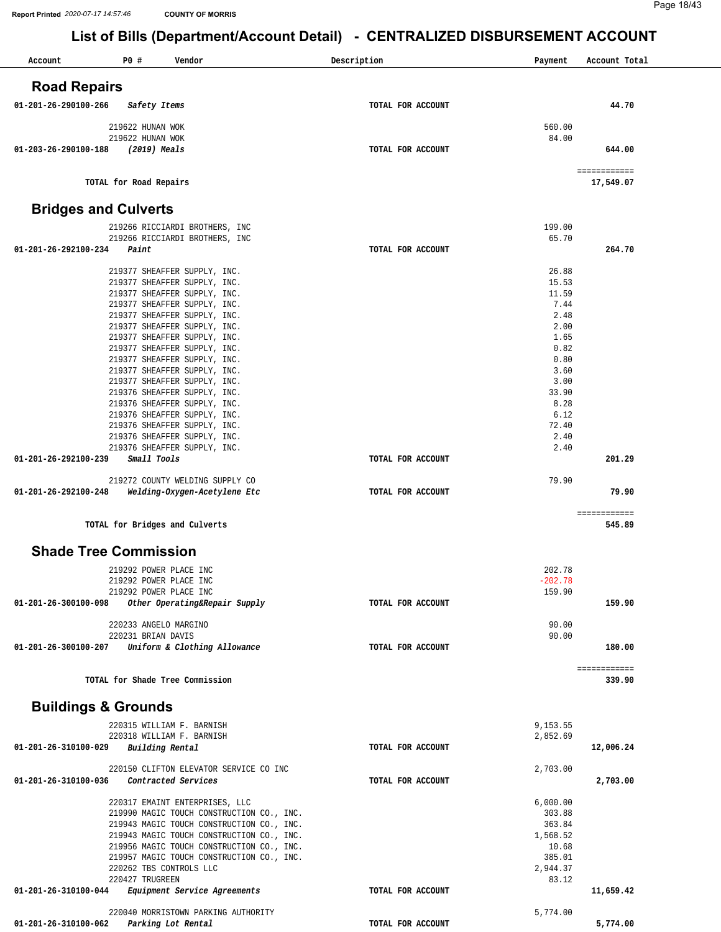| Account              | P0#<br>Vendor                                                                          | Description       | Payment             | Account Total             |
|----------------------|----------------------------------------------------------------------------------------|-------------------|---------------------|---------------------------|
|                      |                                                                                        |                   |                     |                           |
| <b>Road Repairs</b>  |                                                                                        |                   |                     |                           |
| 01-201-26-290100-266 | Safety Items                                                                           | TOTAL FOR ACCOUNT |                     | 44.70                     |
|                      | 219622 HUNAN WOK                                                                       |                   | 560.00              |                           |
|                      | 219622 HUNAN WOK                                                                       |                   | 84.00               |                           |
| 01-203-26-290100-188 | (2019) Meals                                                                           | TOTAL FOR ACCOUNT |                     | 644.00                    |
|                      | TOTAL for Road Repairs                                                                 |                   |                     | ============<br>17,549.07 |
|                      | <b>Bridges and Culverts</b>                                                            |                   |                     |                           |
|                      | 219266 RICCIARDI BROTHERS, INC                                                         |                   | 199.00              |                           |
|                      | 219266 RICCIARDI BROTHERS, INC                                                         |                   | 65.70               |                           |
| 01-201-26-292100-234 | Paint                                                                                  | TOTAL FOR ACCOUNT |                     | 264.70                    |
|                      | 219377 SHEAFFER SUPPLY, INC.                                                           |                   | 26.88               |                           |
|                      | 219377 SHEAFFER SUPPLY, INC.                                                           |                   | 15.53               |                           |
|                      | 219377 SHEAFFER SUPPLY, INC.<br>219377 SHEAFFER SUPPLY, INC.                           |                   | 11.59<br>7.44       |                           |
|                      | 219377 SHEAFFER SUPPLY, INC.                                                           |                   | 2.48                |                           |
|                      | 219377 SHEAFFER SUPPLY, INC.                                                           |                   | 2.00                |                           |
|                      | 219377 SHEAFFER SUPPLY, INC.                                                           |                   | 1.65                |                           |
|                      | 219377 SHEAFFER SUPPLY, INC.<br>219377 SHEAFFER SUPPLY, INC.                           |                   | 0.82<br>0.80        |                           |
|                      | 219377 SHEAFFER SUPPLY, INC.                                                           |                   | 3.60                |                           |
|                      | 219377 SHEAFFER SUPPLY, INC.                                                           |                   | 3.00                |                           |
|                      | 219376 SHEAFFER SUPPLY, INC.                                                           |                   | 33.90<br>8.28       |                           |
|                      | 219376 SHEAFFER SUPPLY, INC.<br>219376 SHEAFFER SUPPLY, INC.                           |                   | 6.12                |                           |
|                      | 219376 SHEAFFER SUPPLY, INC.                                                           |                   | 72.40               |                           |
|                      | 219376 SHEAFFER SUPPLY, INC.                                                           |                   | 2.40                |                           |
| 01-201-26-292100-239 | 219376 SHEAFFER SUPPLY, INC.<br>Small Tools                                            | TOTAL FOR ACCOUNT | 2.40                | 201.29                    |
|                      |                                                                                        |                   |                     |                           |
|                      | 219272 COUNTY WELDING SUPPLY CO                                                        |                   | 79.90               |                           |
| 01-201-26-292100-248 | Welding-Oxygen-Acetylene Etc                                                           | TOTAL FOR ACCOUNT |                     | 79.90                     |
|                      | TOTAL for Bridges and Culverts                                                         |                   |                     | ============<br>545.89    |
|                      | <b>Shade Tree Commission</b>                                                           |                   |                     |                           |
|                      |                                                                                        |                   |                     |                           |
|                      | 219292 POWER PLACE INC                                                                 |                   | 202.78              |                           |
|                      | 219292 POWER PLACE INC<br>219292 POWER PLACE INC                                       |                   | $-202.78$<br>159.90 |                           |
| 01-201-26-300100-098 | Other Operating&Repair Supply                                                          | TOTAL FOR ACCOUNT |                     | 159.90                    |
|                      |                                                                                        |                   |                     |                           |
|                      | 220233 ANGELO MARGINO<br>220231 BRIAN DAVIS                                            |                   | 90.00<br>90.00      |                           |
| 01-201-26-300100-207 | Uniform & Clothing Allowance                                                           | TOTAL FOR ACCOUNT |                     | 180.00                    |
|                      |                                                                                        |                   |                     | ============              |
|                      | TOTAL for Shade Tree Commission                                                        |                   |                     | 339.90                    |
|                      | <b>Buildings &amp; Grounds</b>                                                         |                   |                     |                           |
|                      | 220315 WILLIAM F. BARNISH                                                              |                   | 9,153.55            |                           |
|                      | 220318 WILLIAM F. BARNISH                                                              |                   | 2,852.69            |                           |
| 01-201-26-310100-029 | Building Rental                                                                        | TOTAL FOR ACCOUNT |                     | 12,006.24                 |
|                      | 220150 CLIFTON ELEVATOR SERVICE CO INC                                                 |                   | 2,703.00            |                           |
| 01-201-26-310100-036 | Contracted Services                                                                    | TOTAL FOR ACCOUNT |                     | 2,703.00                  |
|                      | 220317 EMAINT ENTERPRISES, LLC                                                         |                   | 6,000.00            |                           |
|                      | 219990 MAGIC TOUCH CONSTRUCTION CO., INC.                                              |                   | 303.88              |                           |
|                      | 219943 MAGIC TOUCH CONSTRUCTION CO., INC.                                              |                   | 363.84              |                           |
|                      | 219943 MAGIC TOUCH CONSTRUCTION CO., INC.                                              |                   | 1,568.52<br>10.68   |                           |
|                      | 219956 MAGIC TOUCH CONSTRUCTION CO., INC.<br>219957 MAGIC TOUCH CONSTRUCTION CO., INC. |                   | 385.01              |                           |
|                      | 220262 TBS CONTROLS LLC                                                                |                   | 2,944.37            |                           |
|                      | 220427 TRUGREEN                                                                        |                   | 83.12               |                           |
| 01-201-26-310100-044 | Equipment Service Agreements                                                           | TOTAL FOR ACCOUNT |                     | 11,659.42                 |
|                      | 220040 MORRISTOWN PARKING AUTHORITY                                                    |                   | 5,774.00            |                           |
| 01-201-26-310100-062 | Parking Lot Rental                                                                     | TOTAL FOR ACCOUNT |                     | 5,774.00                  |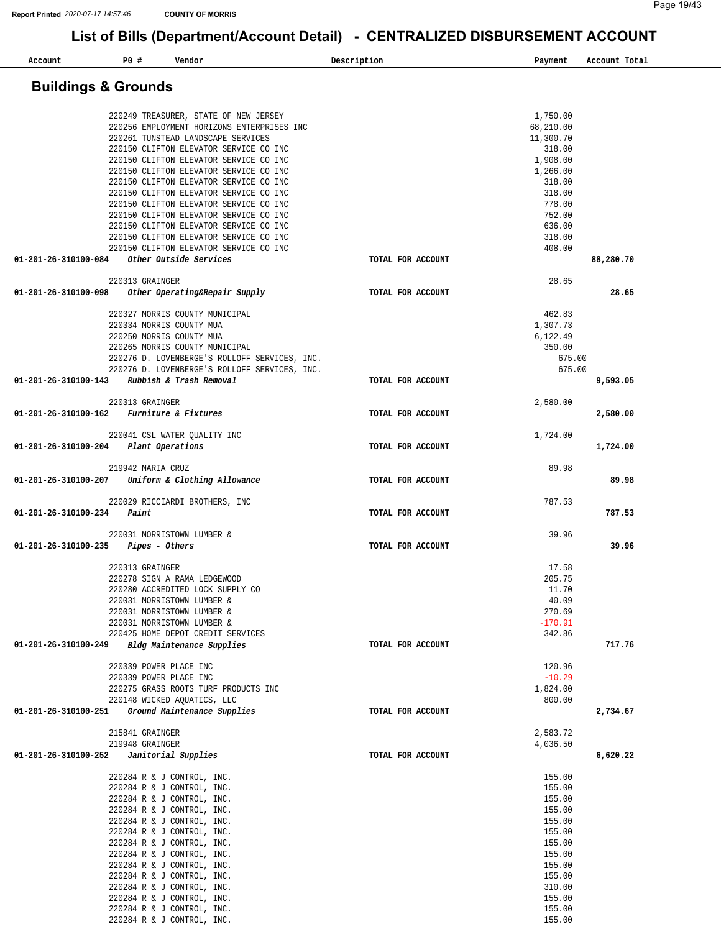| Account                        | P0 #<br>Vendor                                                                   | Description       | Payment<br>Account Total |  |
|--------------------------------|----------------------------------------------------------------------------------|-------------------|--------------------------|--|
| <b>Buildings &amp; Grounds</b> |                                                                                  |                   |                          |  |
|                                |                                                                                  |                   |                          |  |
|                                | 220249 TREASURER, STATE OF NEW JERSEY                                            |                   | 1,750.00                 |  |
|                                | 220256 EMPLOYMENT HORIZONS ENTERPRISES INC                                       |                   | 68,210.00                |  |
|                                | 220261 TUNSTEAD LANDSCAPE SERVICES                                               |                   | 11,300.70                |  |
|                                | 220150 CLIFTON ELEVATOR SERVICE CO INC<br>220150 CLIFTON ELEVATOR SERVICE CO INC |                   | 318.00<br>1,908.00       |  |
|                                | 220150 CLIFTON ELEVATOR SERVICE CO INC                                           |                   | 1,266.00                 |  |
|                                | 220150 CLIFTON ELEVATOR SERVICE CO INC                                           |                   | 318.00                   |  |
|                                | 220150 CLIFTON ELEVATOR SERVICE CO INC                                           |                   | 318.00                   |  |
|                                | 220150 CLIFTON ELEVATOR SERVICE CO INC                                           |                   | 778.00                   |  |
|                                | 220150 CLIFTON ELEVATOR SERVICE CO INC                                           |                   | 752.00                   |  |
|                                | 220150 CLIFTON ELEVATOR SERVICE CO INC                                           |                   | 636.00                   |  |
|                                | 220150 CLIFTON ELEVATOR SERVICE CO INC                                           |                   | 318.00                   |  |
|                                | 220150 CLIFTON ELEVATOR SERVICE CO INC                                           |                   | 408.00                   |  |
| 01-201-26-310100-084           | Other Outside Services                                                           | TOTAL FOR ACCOUNT | 88,280.70                |  |
|                                | 220313 GRAINGER                                                                  |                   | 28.65                    |  |
| 01-201-26-310100-098           | Other Operating&Repair Supply                                                    | TOTAL FOR ACCOUNT | 28.65                    |  |
|                                | 220327 MORRIS COUNTY MUNICIPAL                                                   |                   | 462.83                   |  |
|                                | 220334 MORRIS COUNTY MUA                                                         |                   | 1,307.73                 |  |
|                                | 220250 MORRIS COUNTY MUA                                                         |                   | 6,122.49                 |  |
|                                | 220265 MORRIS COUNTY MUNICIPAL                                                   |                   | 350.00                   |  |
|                                | 220276 D. LOVENBERGE'S ROLLOFF SERVICES, INC.                                    |                   | 675.00                   |  |
| 01-201-26-310100-143           | 220276 D. LOVENBERGE'S ROLLOFF SERVICES, INC.<br>Rubbish & Trash Removal         | TOTAL FOR ACCOUNT | 675.00<br>9,593.05       |  |
|                                |                                                                                  |                   |                          |  |
| 01-201-26-310100-162           | 220313 GRAINGER<br>Furniture & Fixtures                                          | TOTAL FOR ACCOUNT | 2,580.00<br>2,580.00     |  |
|                                |                                                                                  |                   |                          |  |
|                                | 220041 CSL WATER QUALITY INC                                                     |                   | 1,724.00                 |  |
| 01-201-26-310100-204           | Plant Operations                                                                 | TOTAL FOR ACCOUNT | 1,724.00                 |  |
|                                | 219942 MARIA CRUZ                                                                |                   | 89.98                    |  |
| 01-201-26-310100-207           | Uniform & Clothing Allowance                                                     | TOTAL FOR ACCOUNT | 89.98                    |  |
|                                | 220029 RICCIARDI BROTHERS, INC                                                   |                   | 787.53                   |  |
| 01-201-26-310100-234           | Paint                                                                            | TOTAL FOR ACCOUNT | 787.53                   |  |
| 01-201-26-310100-235           | 220031 MORRISTOWN LUMBER &<br>Pipes - Others                                     | TOTAL FOR ACCOUNT | 39.96<br>39.96           |  |
|                                |                                                                                  |                   |                          |  |
|                                | 220313 GRAINGER                                                                  |                   | 17.58                    |  |
|                                | 220278 SIGN A RAMA LEDGEWOOD                                                     |                   | 205.75                   |  |
|                                | 220280 ACCREDITED LOCK SUPPLY CO                                                 |                   | 11.70                    |  |
|                                | 220031 MORRISTOWN LUMBER &                                                       |                   | 40.09                    |  |
|                                | 220031 MORRISTOWN LUMBER &                                                       |                   | 270.69                   |  |
|                                | 220031 MORRISTOWN LUMBER &                                                       |                   | $-170.91$                |  |
| 01-201-26-310100-249           | 220425 HOME DEPOT CREDIT SERVICES<br>Bldg Maintenance Supplies                   | TOTAL FOR ACCOUNT | 342.86<br>717.76         |  |
|                                |                                                                                  |                   |                          |  |
|                                | 220339 POWER PLACE INC                                                           |                   | 120.96                   |  |
|                                | 220339 POWER PLACE INC                                                           |                   | $-10.29$                 |  |
|                                | 220275 GRASS ROOTS TURF PRODUCTS INC<br>220148 WICKED AQUATICS, LLC              |                   | 1,824.00<br>800.00       |  |
| 01-201-26-310100-251           | Ground Maintenance Supplies                                                      | TOTAL FOR ACCOUNT | 2,734.67                 |  |
|                                | 215841 GRAINGER                                                                  |                   | 2,583.72                 |  |
|                                | 219948 GRAINGER                                                                  |                   | 4,036.50                 |  |
| 01-201-26-310100-252           | Janitorial Supplies                                                              | TOTAL FOR ACCOUNT | 6,620.22                 |  |
|                                | 220284 R & J CONTROL, INC.                                                       |                   | 155.00                   |  |
|                                | 220284 R & J CONTROL, INC.                                                       |                   | 155.00                   |  |
|                                | 220284 R & J CONTROL, INC.                                                       |                   | 155.00                   |  |
|                                | 220284 R & J CONTROL, INC.                                                       |                   | 155.00                   |  |
|                                | 220284 R & J CONTROL, INC.                                                       |                   | 155.00                   |  |
|                                | 220284 R & J CONTROL, INC.                                                       |                   | 155.00                   |  |
|                                | 220284 R & J CONTROL, INC.                                                       |                   | 155.00                   |  |
|                                | 220284 R & J CONTROL, INC.                                                       |                   | 155.00                   |  |
|                                | 220284 R & J CONTROL, INC.                                                       |                   | 155.00                   |  |
|                                | 220284 R & J CONTROL, INC.                                                       |                   | 155.00                   |  |
|                                | 220284 R & J CONTROL, INC.                                                       |                   | 310.00                   |  |
|                                | 220284 R & J CONTROL, INC.                                                       |                   | 155.00                   |  |
|                                | 220284 R & J CONTROL, INC.                                                       |                   | 155.00                   |  |
|                                | 220284 R & J CONTROL, INC.                                                       |                   | 155.00                   |  |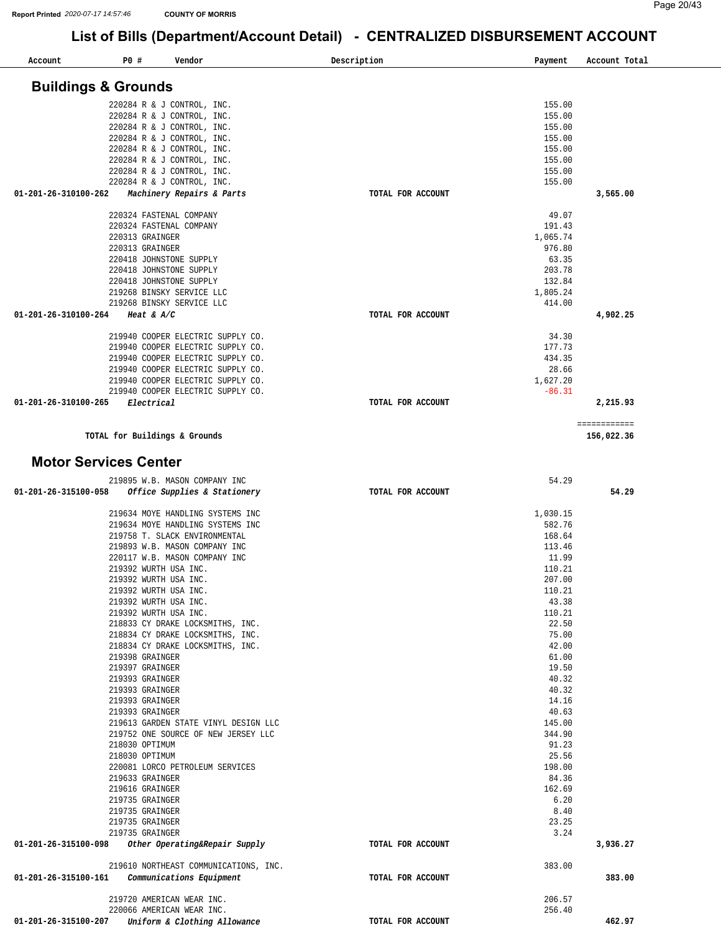| Account                        | P0 #                               | Vendor                                | Description       | Payment        | Account Total |
|--------------------------------|------------------------------------|---------------------------------------|-------------------|----------------|---------------|
| <b>Buildings &amp; Grounds</b> |                                    |                                       |                   |                |               |
|                                |                                    | 220284 R & J CONTROL, INC.            |                   | 155.00         |               |
|                                |                                    | 220284 R & J CONTROL, INC.            |                   | 155.00         |               |
|                                |                                    | 220284 R & J CONTROL, INC.            |                   | 155.00         |               |
|                                |                                    | 220284 R & J CONTROL, INC.            |                   | 155.00         |               |
|                                |                                    | 220284 R & J CONTROL, INC.            |                   | 155.00         |               |
|                                |                                    | 220284 R & J CONTROL, INC.            |                   | 155.00         |               |
|                                |                                    | 220284 R & J CONTROL, INC.            |                   | 155.00         |               |
|                                |                                    | 220284 R & J CONTROL, INC.            |                   | 155.00         |               |
| 01-201-26-310100-262           |                                    | Machinery Repairs & Parts             | TOTAL FOR ACCOUNT |                | 3,565.00      |
|                                |                                    | 220324 FASTENAL COMPANY               |                   | 49.07          |               |
|                                |                                    | 220324 FASTENAL COMPANY               |                   | 191.43         |               |
|                                | 220313 GRAINGER                    |                                       |                   | 1,065.74       |               |
|                                | 220313 GRAINGER                    |                                       |                   | 976.80         |               |
|                                |                                    | 220418 JOHNSTONE SUPPLY               |                   | 63.35          |               |
|                                |                                    | 220418 JOHNSTONE SUPPLY               |                   | 203.78         |               |
|                                |                                    | 220418 JOHNSTONE SUPPLY               |                   | 132.84         |               |
|                                |                                    | 219268 BINSKY SERVICE LLC             |                   | 1,805.24       |               |
|                                |                                    | 219268 BINSKY SERVICE LLC             |                   | 414.00         |               |
| 01-201-26-310100-264           |                                    | Heat & $A/C$                          | TOTAL FOR ACCOUNT |                | 4,902.25      |
|                                |                                    | 219940 COOPER ELECTRIC SUPPLY CO.     |                   | 34.30          |               |
|                                |                                    | 219940 COOPER ELECTRIC SUPPLY CO.     |                   | 177.73         |               |
|                                |                                    | 219940 COOPER ELECTRIC SUPPLY CO.     |                   | 434.35         |               |
|                                |                                    | 219940 COOPER ELECTRIC SUPPLY CO.     |                   | 28.66          |               |
|                                |                                    | 219940 COOPER ELECTRIC SUPPLY CO.     |                   | 1,627.20       |               |
|                                |                                    | 219940 COOPER ELECTRIC SUPPLY CO.     |                   | $-86.31$       |               |
| 01-201-26-310100-265           |                                    | Electrical                            | TOTAL FOR ACCOUNT |                | 2,215.93      |
|                                |                                    |                                       |                   |                | ============  |
|                                |                                    | TOTAL for Buildings & Grounds         |                   |                | 156,022.36    |
| <b>Motor Services Center</b>   |                                    |                                       |                   |                |               |
|                                |                                    | 219895 W.B. MASON COMPANY INC         |                   | 54.29          |               |
| 01-201-26-315100-058           |                                    | Office Supplies & Stationery          | TOTAL FOR ACCOUNT |                | 54.29         |
|                                |                                    |                                       |                   |                |               |
|                                |                                    | 219634 MOYE HANDLING SYSTEMS INC      |                   | 1,030.15       |               |
|                                |                                    | 219634 MOYE HANDLING SYSTEMS INC      |                   | 582.76         |               |
|                                |                                    | 219758 T. SLACK ENVIRONMENTAL         |                   | 168.64         |               |
|                                |                                    | 219893 W.B. MASON COMPANY INC         |                   | 113.46         |               |
|                                |                                    | 220117 W.B. MASON COMPANY INC         |                   | 11.99          |               |
|                                |                                    | 219392 WURTH USA INC.                 |                   | 110.21         |               |
|                                |                                    | 219392 WURTH USA INC.                 |                   | 207.00         |               |
|                                |                                    | 219392 WURTH USA INC.                 |                   | 110.21         |               |
|                                |                                    | 219392 WURTH USA INC.                 |                   | 43.38          |               |
|                                |                                    | 219392 WURTH USA INC.                 |                   | 110.21         |               |
|                                |                                    | 218833 CY DRAKE LOCKSMITHS, INC.      |                   | 22.50          |               |
|                                |                                    | 218834 CY DRAKE LOCKSMITHS, INC.      |                   | 75.00          |               |
|                                |                                    | 218834 CY DRAKE LOCKSMITHS, INC.      |                   | 42.00          |               |
|                                | 219398 GRAINGER                    |                                       |                   | 61.00          |               |
|                                | 219397 GRAINGER                    |                                       |                   | 19.50          |               |
|                                | 219393 GRAINGER<br>219393 GRAINGER |                                       |                   | 40.32<br>40.32 |               |
|                                | 219393 GRAINGER                    |                                       |                   | 14.16          |               |
|                                | 219393 GRAINGER                    |                                       |                   | 40.63          |               |
|                                |                                    | 219613 GARDEN STATE VINYL DESIGN LLC  |                   | 145.00         |               |
|                                |                                    | 219752 ONE SOURCE OF NEW JERSEY LLC   |                   | 344.90         |               |
|                                | 218030 OPTIMUM                     |                                       |                   | 91.23          |               |
|                                | 218030 OPTIMUM                     |                                       |                   | 25.56          |               |
|                                |                                    | 220081 LORCO PETROLEUM SERVICES       |                   | 198.00         |               |
|                                | 219633 GRAINGER                    |                                       |                   | 84.36          |               |
|                                | 219616 GRAINGER                    |                                       |                   | 162.69         |               |
|                                | 219735 GRAINGER                    |                                       |                   | 6.20           |               |
|                                | 219735 GRAINGER                    |                                       |                   | 8.40           |               |
|                                | 219735 GRAINGER                    |                                       |                   | 23.25          |               |
|                                | 219735 GRAINGER                    |                                       |                   | 3.24           |               |
| 01-201-26-315100-098           |                                    | Other Operating&Repair Supply         | TOTAL FOR ACCOUNT |                | 3,936.27      |
|                                |                                    | 219610 NORTHEAST COMMUNICATIONS, INC. |                   | 383.00         |               |
| 01-201-26-315100-161           |                                    | Communications Equipment              | TOTAL FOR ACCOUNT |                | 383.00        |
|                                |                                    |                                       |                   |                |               |
|                                |                                    | 219720 AMERICAN WEAR INC.             |                   | 206.57         |               |
|                                |                                    | 220066 AMERICAN WEAR INC.             |                   | 256.40         |               |
| 01-201-26-315100-207           |                                    | Uniform & Clothing Allowance          | TOTAL FOR ACCOUNT |                | 462.97        |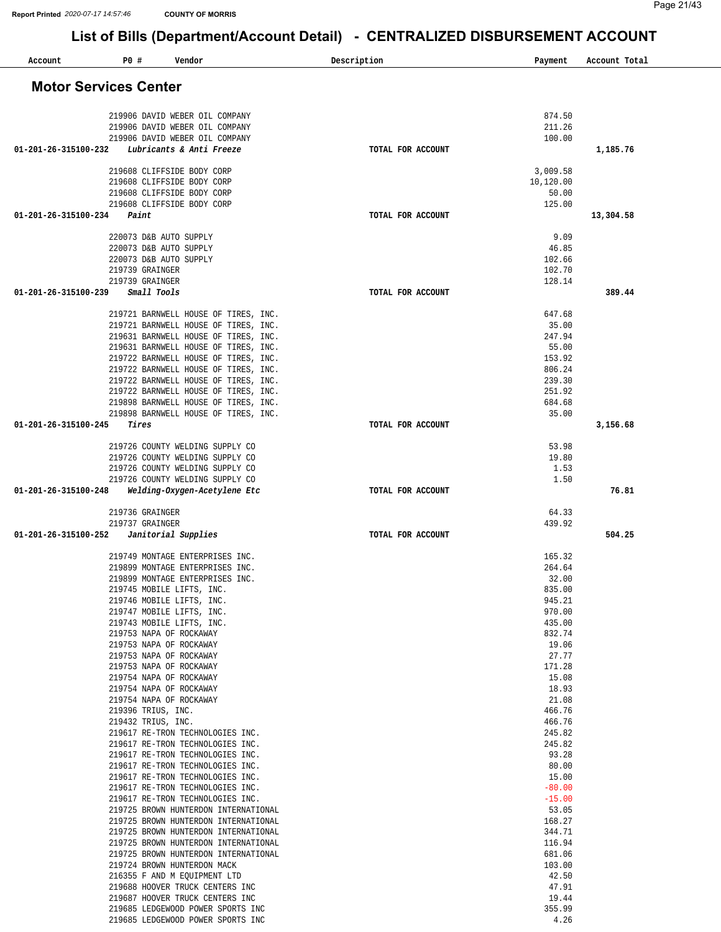| Account                      | P0 #<br>Vendor                                                               |                                      | Description       | Payment           | Account Total |
|------------------------------|------------------------------------------------------------------------------|--------------------------------------|-------------------|-------------------|---------------|
| <b>Motor Services Center</b> |                                                                              |                                      |                   |                   |               |
|                              |                                                                              |                                      |                   |                   |               |
|                              | 219906 DAVID WEBER OIL COMPANY<br>219906 DAVID WEBER OIL COMPANY             |                                      |                   | 874.50<br>211.26  |               |
|                              | 219906 DAVID WEBER OIL COMPANY                                               |                                      |                   | 100.00            |               |
| 01-201-26-315100-232         | Lubricants & Anti Freeze                                                     |                                      | TOTAL FOR ACCOUNT |                   | 1,185.76      |
|                              | 219608 CLIFFSIDE BODY CORP                                                   |                                      |                   | 3,009.58          |               |
|                              | 219608 CLIFFSIDE BODY CORP                                                   |                                      |                   | 10,120.00         |               |
|                              | 219608 CLIFFSIDE BODY CORP                                                   |                                      |                   | 50.00             |               |
| 01-201-26-315100-234         | 219608 CLIFFSIDE BODY CORP<br>Paint                                          |                                      | TOTAL FOR ACCOUNT | 125.00            | 13,304.58     |
|                              |                                                                              |                                      |                   |                   |               |
|                              | 220073 D&B AUTO SUPPLY                                                       |                                      |                   | 9.09              |               |
|                              | 220073 D&B AUTO SUPPLY<br>220073 D&B AUTO SUPPLY                             |                                      |                   | 46.85<br>102.66   |               |
|                              | 219739 GRAINGER                                                              |                                      |                   | 102.70            |               |
|                              | 219739 GRAINGER                                                              |                                      |                   | 128.14            |               |
| 01-201-26-315100-239         | Small Tools                                                                  |                                      | TOTAL FOR ACCOUNT |                   | 389.44        |
|                              | 219721 BARNWELL HOUSE OF TIRES, INC.                                         |                                      |                   | 647.68            |               |
|                              | 219721 BARNWELL HOUSE OF TIRES, INC.                                         |                                      |                   | 35.00             |               |
|                              | 219631 BARNWELL HOUSE OF TIRES, INC.                                         |                                      |                   | 247.94            |               |
|                              | 219631 BARNWELL HOUSE OF TIRES, INC.<br>219722 BARNWELL HOUSE OF TIRES, INC. |                                      |                   | 55.00<br>153.92   |               |
|                              | 219722 BARNWELL HOUSE OF TIRES, INC.                                         |                                      |                   | 806.24            |               |
|                              | 219722 BARNWELL HOUSE OF TIRES, INC.                                         |                                      |                   | 239.30            |               |
|                              | 219722 BARNWELL HOUSE OF TIRES, INC.                                         |                                      |                   | 251.92            |               |
|                              | 219898 BARNWELL HOUSE OF TIRES, INC.<br>219898 BARNWELL HOUSE OF TIRES, INC. |                                      |                   | 684.68<br>35.00   |               |
| 01-201-26-315100-245         | Tires                                                                        |                                      | TOTAL FOR ACCOUNT |                   | 3,156.68      |
|                              | 219726 COUNTY WELDING SUPPLY CO                                              |                                      |                   | 53.98             |               |
|                              | 219726 COUNTY WELDING SUPPLY CO                                              |                                      |                   | 19.80             |               |
|                              | 219726 COUNTY WELDING SUPPLY CO                                              |                                      |                   | 1.53              |               |
|                              | 219726 COUNTY WELDING SUPPLY CO                                              |                                      |                   | 1.50              |               |
| 01-201-26-315100-248         | Welding-Oxygen-Acetylene Etc                                                 |                                      | TOTAL FOR ACCOUNT |                   | 76.81         |
|                              | 219736 GRAINGER                                                              |                                      |                   | 64.33             |               |
| 01-201-26-315100-252         | 219737 GRAINGER<br>Janitorial Supplies                                       |                                      | TOTAL FOR ACCOUNT | 439.92            | 504.25        |
|                              |                                                                              |                                      |                   | 165.32            |               |
|                              | 219749 MONTAGE ENTERPRISES INC.<br>219899 MONTAGE ENTERPRISES INC.           |                                      |                   | 264.64            |               |
|                              | 219899 MONTAGE ENTERPRISES INC.                                              |                                      |                   | 32.00             |               |
|                              | 219745 MOBILE LIFTS, INC.                                                    |                                      |                   | 835.00            |               |
|                              | 219746 MOBILE LIFTS, INC.<br>219747 MOBILE LIFTS, INC.                       |                                      |                   | 945.21<br>970.00  |               |
|                              | 219743 MOBILE LIFTS, INC.                                                    |                                      |                   | 435.00            |               |
|                              | 219753 NAPA OF ROCKAWAY                                                      |                                      |                   | 832.74            |               |
|                              | 219753 NAPA OF ROCKAWAY                                                      |                                      |                   | 19.06             |               |
|                              | 219753 NAPA OF ROCKAWAY<br>219753 NAPA OF ROCKAWAY                           |                                      |                   | 27.77<br>171.28   |               |
|                              | 219754 NAPA OF ROCKAWAY                                                      |                                      |                   | 15.08             |               |
|                              | 219754 NAPA OF ROCKAWAY                                                      |                                      |                   | 18.93             |               |
|                              | 219754 NAPA OF ROCKAWAY<br>219396 TRIUS, INC.                                |                                      |                   | 21.08<br>466.76   |               |
|                              | 219432 TRIUS, INC.                                                           |                                      |                   | 466.76            |               |
|                              | 219617 RE-TRON TECHNOLOGIES INC.                                             |                                      |                   | 245.82            |               |
|                              | 219617 RE-TRON TECHNOLOGIES INC.                                             |                                      |                   | 245.82            |               |
|                              | 219617 RE-TRON TECHNOLOGIES INC.<br>219617 RE-TRON TECHNOLOGIES INC.         |                                      |                   | 93.28<br>80.00    |               |
|                              | 219617 RE-TRON TECHNOLOGIES INC.                                             |                                      |                   | 15.00             |               |
|                              | 219617 RE-TRON TECHNOLOGIES INC.                                             |                                      |                   | $-80.00$          |               |
|                              | 219617 RE-TRON TECHNOLOGIES INC.                                             | 219725 BROWN HUNTERDON INTERNATIONAL |                   | $-15.00$<br>53.05 |               |
|                              |                                                                              | 219725 BROWN HUNTERDON INTERNATIONAL |                   | 168.27            |               |
|                              |                                                                              | 219725 BROWN HUNTERDON INTERNATIONAL |                   | 344.71            |               |
|                              |                                                                              | 219725 BROWN HUNTERDON INTERNATIONAL |                   | 116.94            |               |
|                              | 219724 BROWN HUNTERDON MACK                                                  | 219725 BROWN HUNTERDON INTERNATIONAL |                   | 681.06<br>103.00  |               |
|                              | 216355 F AND M EQUIPMENT LTD                                                 |                                      |                   | 42.50             |               |
|                              | 219688 HOOVER TRUCK CENTERS INC                                              |                                      |                   | 47.91             |               |
|                              | 219687 HOOVER TRUCK CENTERS INC                                              |                                      |                   | 19.44             |               |
|                              | 219685 LEDGEWOOD POWER SPORTS INC                                            |                                      |                   | 355.99<br>4.26    |               |
|                              | 219685 LEDGEWOOD POWER SPORTS INC                                            |                                      |                   |                   |               |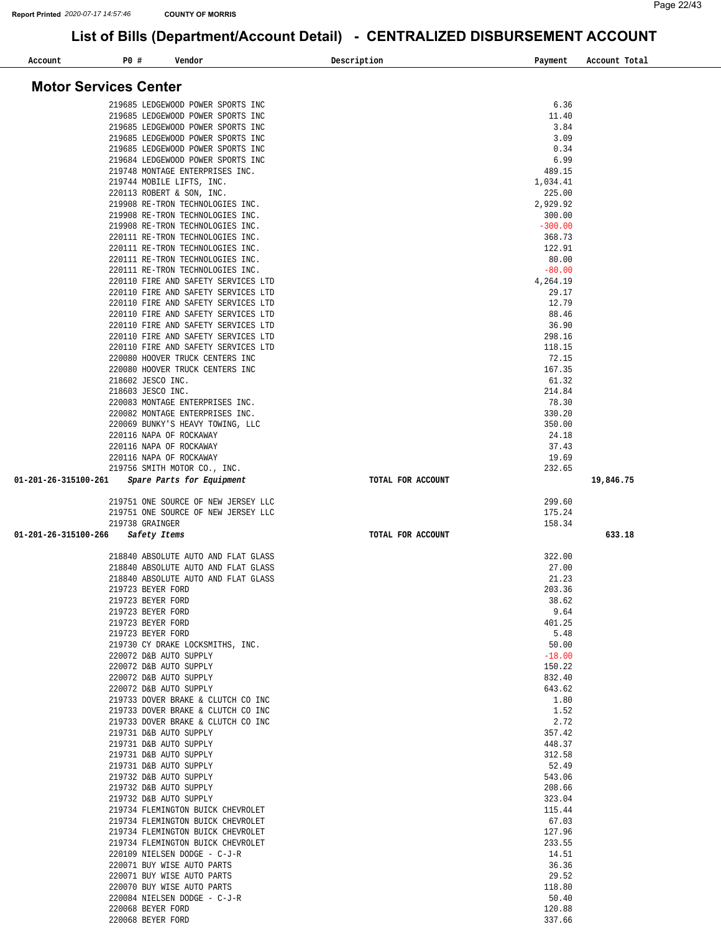$\overline{\phantom{0}}$ 

| Account              | P0 #<br>Vendor                                                             | Description       | Payment            | Account Total |
|----------------------|----------------------------------------------------------------------------|-------------------|--------------------|---------------|
|                      |                                                                            |                   |                    |               |
|                      | <b>Motor Services Center</b>                                               |                   |                    |               |
|                      |                                                                            |                   |                    |               |
|                      | 219685 LEDGEWOOD POWER SPORTS INC                                          |                   | 6.36               |               |
|                      | 219685 LEDGEWOOD POWER SPORTS INC                                          |                   | 11.40              |               |
|                      | 219685 LEDGEWOOD POWER SPORTS INC                                          |                   | 3.84               |               |
|                      | 219685 LEDGEWOOD POWER SPORTS INC                                          |                   | 3.09               |               |
|                      | 219685 LEDGEWOOD POWER SPORTS INC                                          |                   | 0.34               |               |
|                      | 219684 LEDGEWOOD POWER SPORTS INC                                          |                   | 6.99               |               |
|                      | 219748 MONTAGE ENTERPRISES INC.                                            |                   | 489.15             |               |
|                      | 219744 MOBILE LIFTS, INC.                                                  |                   | 1,034.41           |               |
|                      | 220113 ROBERT & SON, INC.                                                  |                   | 225.00<br>2,929.92 |               |
|                      | 219908 RE-TRON TECHNOLOGIES INC.<br>219908 RE-TRON TECHNOLOGIES INC.       |                   | 300.00             |               |
|                      | 219908 RE-TRON TECHNOLOGIES INC.                                           |                   | $-300.00$          |               |
|                      | 220111 RE-TRON TECHNOLOGIES INC.                                           |                   | 368.73             |               |
|                      | 220111 RE-TRON TECHNOLOGIES INC.                                           |                   | 122.91             |               |
|                      | 220111 RE-TRON TECHNOLOGIES INC.                                           |                   | 80.00              |               |
|                      | 220111 RE-TRON TECHNOLOGIES INC.                                           |                   | $-80.00$           |               |
|                      | 220110 FIRE AND SAFETY SERVICES LTD                                        |                   | 4,264.19           |               |
|                      | 220110 FIRE AND SAFETY SERVICES LTD                                        |                   | 29.17              |               |
|                      | 220110 FIRE AND SAFETY SERVICES LTD                                        |                   | 12.79              |               |
|                      | 220110 FIRE AND SAFETY SERVICES LTD                                        |                   | 88.46              |               |
|                      | 220110 FIRE AND SAFETY SERVICES LTD                                        |                   | 36.90              |               |
|                      | 220110 FIRE AND SAFETY SERVICES LTD                                        |                   | 298.16             |               |
|                      | 220110 FIRE AND SAFETY SERVICES LTD                                        |                   | 118.15             |               |
|                      | 220080 HOOVER TRUCK CENTERS INC                                            |                   | 72.15              |               |
|                      | 220080 HOOVER TRUCK CENTERS INC                                            |                   | 167.35             |               |
|                      | 218602 JESCO INC.                                                          |                   | 61.32              |               |
|                      | 218603 JESCO INC.                                                          |                   | 214.84             |               |
|                      | 220083 MONTAGE ENTERPRISES INC.                                            |                   | 78.30              |               |
|                      | 220082 MONTAGE ENTERPRISES INC.                                            |                   | 330.20             |               |
|                      | 220069 BUNKY'S HEAVY TOWING, LLC                                           |                   | 350.00             |               |
|                      | 220116 NAPA OF ROCKAWAY                                                    |                   | 24.18              |               |
|                      | 220116 NAPA OF ROCKAWAY                                                    |                   | 37.43              |               |
|                      | 220116 NAPA OF ROCKAWAY                                                    |                   | 19.69              |               |
|                      | 219756 SMITH MOTOR CO., INC.                                               |                   | 232.65             |               |
| 01-201-26-315100-261 | Spare Parts for Equipment                                                  | TOTAL FOR ACCOUNT |                    | 19,846.75     |
|                      |                                                                            |                   |                    |               |
|                      | 219751 ONE SOURCE OF NEW JERSEY LLC                                        |                   | 299.60             |               |
|                      | 219751 ONE SOURCE OF NEW JERSEY LLC                                        |                   | 175.24             |               |
|                      | 219738 GRAINGER                                                            |                   | 158.34             |               |
| 01-201-26-315100-266 | Safety Items                                                               | TOTAL FOR ACCOUNT |                    | 633.18        |
|                      |                                                                            |                   |                    |               |
|                      | 218840 ABSOLUTE AUTO AND FLAT GLASS<br>218840 ABSOLUTE AUTO AND FLAT GLASS |                   | 322.00<br>27.00    |               |
|                      | 218840 ABSOLUTE AUTO AND FLAT GLASS                                        |                   | 21.23              |               |
|                      | 219723 BEYER FORD                                                          |                   | 203.36             |               |
|                      | 219723 BEYER FORD                                                          |                   | 38.62              |               |
|                      | 219723 BEYER FORD                                                          |                   | 9.64               |               |
|                      | 219723 BEYER FORD                                                          |                   | 401.25             |               |
|                      | 219723 BEYER FORD                                                          |                   | 5.48               |               |
|                      | 219730 CY DRAKE LOCKSMITHS, INC.                                           |                   | 50.00              |               |
|                      | 220072 D&B AUTO SUPPLY                                                     |                   | $-18.00$           |               |
|                      | 220072 D&B AUTO SUPPLY                                                     |                   | 150.22             |               |
|                      | 220072 D&B AUTO SUPPLY                                                     |                   | 832.40             |               |
|                      | 220072 D&B AUTO SUPPLY                                                     |                   | 643.62             |               |
|                      | 219733 DOVER BRAKE & CLUTCH CO INC                                         |                   | 1.80               |               |
|                      | 219733 DOVER BRAKE & CLUTCH CO INC                                         |                   | 1.52               |               |
|                      | 219733 DOVER BRAKE & CLUTCH CO INC                                         |                   | 2.72               |               |
|                      | 219731 D&B AUTO SUPPLY                                                     |                   | 357.42             |               |
|                      | 219731 D&B AUTO SUPPLY                                                     |                   | 448.37             |               |
|                      | 219731 D&B AUTO SUPPLY                                                     |                   | 312.58             |               |
|                      | 219731 D&B AUTO SUPPLY                                                     |                   | 52.49              |               |
|                      | 219732 D&B AUTO SUPPLY                                                     |                   | 543.06             |               |
|                      | 219732 D&B AUTO SUPPLY                                                     |                   | 208.66             |               |
|                      | 219732 D&B AUTO SUPPLY                                                     |                   | 323.04             |               |
|                      | 219734 FLEMINGTON BUICK CHEVROLET                                          |                   | 115.44             |               |
|                      | 219734 FLEMINGTON BUICK CHEVROLET                                          |                   | 67.03              |               |
|                      | 219734 FLEMINGTON BUICK CHEVROLET                                          |                   | 127.96             |               |
|                      | 219734 FLEMINGTON BUICK CHEVROLET                                          |                   | 233.55             |               |
|                      | 220109 NIELSEN DODGE - C-J-R                                               |                   | 14.51              |               |
|                      | 220071 BUY WISE AUTO PARTS                                                 |                   | 36.36              |               |
|                      | 220071 BUY WISE AUTO PARTS                                                 |                   | 29.52              |               |
|                      | 220070 BUY WISE AUTO PARTS<br>220084 NIELSEN DODGE - C-J-R                 |                   | 118.80             |               |
|                      | 220068 BEYER FORD                                                          |                   | 50.40<br>120.88    |               |
|                      | 220068 BEYER FORD                                                          |                   | 337.66             |               |
|                      |                                                                            |                   |                    |               |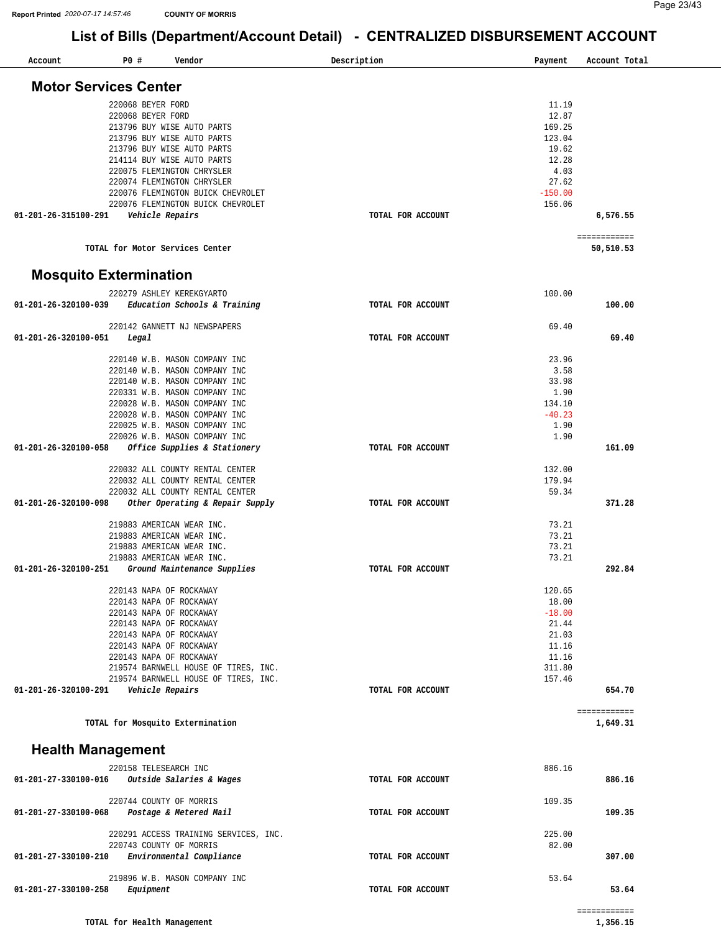| <b>Motor Services Center</b><br>220068 BEYER FORD<br>11.19<br>220068 BEYER FORD<br>12.87<br>169.25<br>213796 BUY WISE AUTO PARTS<br>213796 BUY WISE AUTO PARTS<br>123.04<br>213796 BUY WISE AUTO PARTS<br>19.62<br>12.28<br>214114 BUY WISE AUTO PARTS<br>220075 FLEMINGTON CHRYSLER<br>4.03<br>27.62<br>220074 FLEMINGTON CHRYSLER<br>220076 FLEMINGTON BUICK CHEVROLET<br>$-150.00$<br>220076 FLEMINGTON BUICK CHEVROLET<br>156.06<br>01-201-26-315100-291<br>Vehicle Repairs<br>TOTAL FOR ACCOUNT<br>6,576.55<br>============<br>TOTAL for Motor Services Center<br>50,510.53<br><b>Mosquito Extermination</b><br>220279 ASHLEY KEREKGYARTO<br>100.00<br>01-201-26-320100-039<br>Education Schools & Training<br>100.00<br>TOTAL FOR ACCOUNT<br>220142 GANNETT NJ NEWSPAPERS<br>69.40<br>01-201-26-320100-051<br>Legal<br>TOTAL FOR ACCOUNT<br>69.40<br>220140 W.B. MASON COMPANY INC<br>23.96<br>220140 W.B. MASON COMPANY INC<br>3.58<br>33.98<br>220140 W.B. MASON COMPANY INC<br>220331 W.B. MASON COMPANY INC<br>1.90<br>220028 W.B. MASON COMPANY INC<br>134.10<br>$-40.23$<br>220028 W.B. MASON COMPANY INC<br>220025 W.B. MASON COMPANY INC<br>1.90<br>220026 W.B. MASON COMPANY INC<br>1.90<br>01-201-26-320100-058<br>Office Supplies & Stationery<br>161.09<br>TOTAL FOR ACCOUNT<br>220032 ALL COUNTY RENTAL CENTER<br>132.00<br>220032 ALL COUNTY RENTAL CENTER<br>179.94<br>220032 ALL COUNTY RENTAL CENTER<br>59.34<br>Other Operating & Repair Supply<br>371.28<br>$01 - 201 - 26 - 320100 - 098$<br>TOTAL FOR ACCOUNT<br>219883 AMERICAN WEAR INC.<br>73.21<br>73.21<br>219883 AMERICAN WEAR INC.<br>219883 AMERICAN WEAR INC.<br>73.21<br>73.21<br>219883 AMERICAN WEAR INC.<br>292.84<br>01-201-26-320100-251<br>Ground Maintenance Supplies<br>TOTAL FOR ACCOUNT<br>220143 NAPA OF ROCKAWAY<br>120.65<br>220143 NAPA OF ROCKAWAY<br>18.00<br>$-18.00$<br>220143 NAPA OF ROCKAWAY<br>220143 NAPA OF ROCKAWAY<br>21.44<br>21.03<br>220143 NAPA OF ROCKAWAY<br>11.16<br>220143 NAPA OF ROCKAWAY<br>11.16<br>220143 NAPA OF ROCKAWAY<br>311.80<br>219574 BARNWELL HOUSE OF TIRES, INC.<br>157.46<br>219574 BARNWELL HOUSE OF TIRES, INC.<br>654.70<br>01-201-26-320100-291<br>Vehicle Repairs<br>TOTAL FOR ACCOUNT<br>============<br>TOTAL for Mosquito Extermination<br>1,649.31 | Account | P0 # | Vendor | Description | Payment | Account Total |  |
|------------------------------------------------------------------------------------------------------------------------------------------------------------------------------------------------------------------------------------------------------------------------------------------------------------------------------------------------------------------------------------------------------------------------------------------------------------------------------------------------------------------------------------------------------------------------------------------------------------------------------------------------------------------------------------------------------------------------------------------------------------------------------------------------------------------------------------------------------------------------------------------------------------------------------------------------------------------------------------------------------------------------------------------------------------------------------------------------------------------------------------------------------------------------------------------------------------------------------------------------------------------------------------------------------------------------------------------------------------------------------------------------------------------------------------------------------------------------------------------------------------------------------------------------------------------------------------------------------------------------------------------------------------------------------------------------------------------------------------------------------------------------------------------------------------------------------------------------------------------------------------------------------------------------------------------------------------------------------------------------------------------------------------------------------------------------------------------------------------------------------------------------------------------------------------------------------------------------------------------------------------------------------------------------------|---------|------|--------|-------------|---------|---------------|--|
|                                                                                                                                                                                                                                                                                                                                                                                                                                                                                                                                                                                                                                                                                                                                                                                                                                                                                                                                                                                                                                                                                                                                                                                                                                                                                                                                                                                                                                                                                                                                                                                                                                                                                                                                                                                                                                                                                                                                                                                                                                                                                                                                                                                                                                                                                                      |         |      |        |             |         |               |  |
|                                                                                                                                                                                                                                                                                                                                                                                                                                                                                                                                                                                                                                                                                                                                                                                                                                                                                                                                                                                                                                                                                                                                                                                                                                                                                                                                                                                                                                                                                                                                                                                                                                                                                                                                                                                                                                                                                                                                                                                                                                                                                                                                                                                                                                                                                                      |         |      |        |             |         |               |  |
|                                                                                                                                                                                                                                                                                                                                                                                                                                                                                                                                                                                                                                                                                                                                                                                                                                                                                                                                                                                                                                                                                                                                                                                                                                                                                                                                                                                                                                                                                                                                                                                                                                                                                                                                                                                                                                                                                                                                                                                                                                                                                                                                                                                                                                                                                                      |         |      |        |             |         |               |  |
|                                                                                                                                                                                                                                                                                                                                                                                                                                                                                                                                                                                                                                                                                                                                                                                                                                                                                                                                                                                                                                                                                                                                                                                                                                                                                                                                                                                                                                                                                                                                                                                                                                                                                                                                                                                                                                                                                                                                                                                                                                                                                                                                                                                                                                                                                                      |         |      |        |             |         |               |  |
|                                                                                                                                                                                                                                                                                                                                                                                                                                                                                                                                                                                                                                                                                                                                                                                                                                                                                                                                                                                                                                                                                                                                                                                                                                                                                                                                                                                                                                                                                                                                                                                                                                                                                                                                                                                                                                                                                                                                                                                                                                                                                                                                                                                                                                                                                                      |         |      |        |             |         |               |  |
|                                                                                                                                                                                                                                                                                                                                                                                                                                                                                                                                                                                                                                                                                                                                                                                                                                                                                                                                                                                                                                                                                                                                                                                                                                                                                                                                                                                                                                                                                                                                                                                                                                                                                                                                                                                                                                                                                                                                                                                                                                                                                                                                                                                                                                                                                                      |         |      |        |             |         |               |  |
|                                                                                                                                                                                                                                                                                                                                                                                                                                                                                                                                                                                                                                                                                                                                                                                                                                                                                                                                                                                                                                                                                                                                                                                                                                                                                                                                                                                                                                                                                                                                                                                                                                                                                                                                                                                                                                                                                                                                                                                                                                                                                                                                                                                                                                                                                                      |         |      |        |             |         |               |  |
|                                                                                                                                                                                                                                                                                                                                                                                                                                                                                                                                                                                                                                                                                                                                                                                                                                                                                                                                                                                                                                                                                                                                                                                                                                                                                                                                                                                                                                                                                                                                                                                                                                                                                                                                                                                                                                                                                                                                                                                                                                                                                                                                                                                                                                                                                                      |         |      |        |             |         |               |  |
|                                                                                                                                                                                                                                                                                                                                                                                                                                                                                                                                                                                                                                                                                                                                                                                                                                                                                                                                                                                                                                                                                                                                                                                                                                                                                                                                                                                                                                                                                                                                                                                                                                                                                                                                                                                                                                                                                                                                                                                                                                                                                                                                                                                                                                                                                                      |         |      |        |             |         |               |  |
|                                                                                                                                                                                                                                                                                                                                                                                                                                                                                                                                                                                                                                                                                                                                                                                                                                                                                                                                                                                                                                                                                                                                                                                                                                                                                                                                                                                                                                                                                                                                                                                                                                                                                                                                                                                                                                                                                                                                                                                                                                                                                                                                                                                                                                                                                                      |         |      |        |             |         |               |  |
|                                                                                                                                                                                                                                                                                                                                                                                                                                                                                                                                                                                                                                                                                                                                                                                                                                                                                                                                                                                                                                                                                                                                                                                                                                                                                                                                                                                                                                                                                                                                                                                                                                                                                                                                                                                                                                                                                                                                                                                                                                                                                                                                                                                                                                                                                                      |         |      |        |             |         |               |  |
|                                                                                                                                                                                                                                                                                                                                                                                                                                                                                                                                                                                                                                                                                                                                                                                                                                                                                                                                                                                                                                                                                                                                                                                                                                                                                                                                                                                                                                                                                                                                                                                                                                                                                                                                                                                                                                                                                                                                                                                                                                                                                                                                                                                                                                                                                                      |         |      |        |             |         |               |  |
|                                                                                                                                                                                                                                                                                                                                                                                                                                                                                                                                                                                                                                                                                                                                                                                                                                                                                                                                                                                                                                                                                                                                                                                                                                                                                                                                                                                                                                                                                                                                                                                                                                                                                                                                                                                                                                                                                                                                                                                                                                                                                                                                                                                                                                                                                                      |         |      |        |             |         |               |  |
|                                                                                                                                                                                                                                                                                                                                                                                                                                                                                                                                                                                                                                                                                                                                                                                                                                                                                                                                                                                                                                                                                                                                                                                                                                                                                                                                                                                                                                                                                                                                                                                                                                                                                                                                                                                                                                                                                                                                                                                                                                                                                                                                                                                                                                                                                                      |         |      |        |             |         |               |  |
| <b>Health Management</b>                                                                                                                                                                                                                                                                                                                                                                                                                                                                                                                                                                                                                                                                                                                                                                                                                                                                                                                                                                                                                                                                                                                                                                                                                                                                                                                                                                                                                                                                                                                                                                                                                                                                                                                                                                                                                                                                                                                                                                                                                                                                                                                                                                                                                                                                             |         |      |        |             |         |               |  |
| 886.16<br>220158 TELESEARCH INC<br>01-201-27-330100-016<br>Outside Salaries & Wages<br>886.16<br>TOTAL FOR ACCOUNT                                                                                                                                                                                                                                                                                                                                                                                                                                                                                                                                                                                                                                                                                                                                                                                                                                                                                                                                                                                                                                                                                                                                                                                                                                                                                                                                                                                                                                                                                                                                                                                                                                                                                                                                                                                                                                                                                                                                                                                                                                                                                                                                                                                   |         |      |        |             |         |               |  |
| 220744 COUNTY OF MORRIS<br>109.35<br>01-201-27-330100-068<br>Postage & Metered Mail<br>TOTAL FOR ACCOUNT<br>109.35                                                                                                                                                                                                                                                                                                                                                                                                                                                                                                                                                                                                                                                                                                                                                                                                                                                                                                                                                                                                                                                                                                                                                                                                                                                                                                                                                                                                                                                                                                                                                                                                                                                                                                                                                                                                                                                                                                                                                                                                                                                                                                                                                                                   |         |      |        |             |         |               |  |
| 225.00<br>220291 ACCESS TRAINING SERVICES, INC.<br>220743 COUNTY OF MORRIS<br>82.00<br>Environmental Compliance<br>01-201-27-330100-210<br>TOTAL FOR ACCOUNT<br>307.00                                                                                                                                                                                                                                                                                                                                                                                                                                                                                                                                                                                                                                                                                                                                                                                                                                                                                                                                                                                                                                                                                                                                                                                                                                                                                                                                                                                                                                                                                                                                                                                                                                                                                                                                                                                                                                                                                                                                                                                                                                                                                                                               |         |      |        |             |         |               |  |
| 219896 W.B. MASON COMPANY INC<br>53.64<br>01-201-27-330100-258<br>Equipment<br>TOTAL FOR ACCOUNT<br>53.64<br>============                                                                                                                                                                                                                                                                                                                                                                                                                                                                                                                                                                                                                                                                                                                                                                                                                                                                                                                                                                                                                                                                                                                                                                                                                                                                                                                                                                                                                                                                                                                                                                                                                                                                                                                                                                                                                                                                                                                                                                                                                                                                                                                                                                            |         |      |        |             |         |               |  |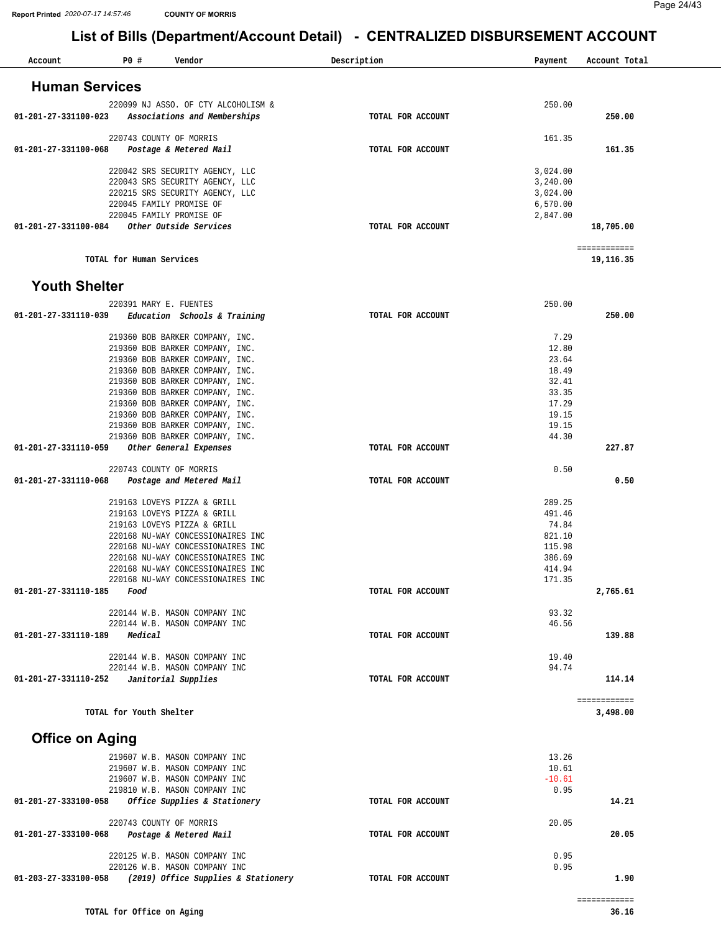| Account                | P0 #                     | Vendor                                                                 | Description       | Payment              | Account Total            |
|------------------------|--------------------------|------------------------------------------------------------------------|-------------------|----------------------|--------------------------|
|                        |                          |                                                                        |                   |                      |                          |
| <b>Human Services</b>  |                          |                                                                        |                   |                      |                          |
| 01-201-27-331100-023   |                          | 220099 NJ ASSO. OF CTY ALCOHOLISM &<br>Associations and Memberships    | TOTAL FOR ACCOUNT | 250.00               | 250.00                   |
|                        |                          |                                                                        |                   |                      |                          |
| 01-201-27-331100-068   |                          | 220743 COUNTY OF MORRIS<br>Postage & Metered Mail                      | TOTAL FOR ACCOUNT | 161.35               | 161.35                   |
|                        |                          |                                                                        |                   |                      |                          |
|                        |                          | 220042 SRS SECURITY AGENCY, LLC<br>220043 SRS SECURITY AGENCY, LLC     |                   | 3,024.00<br>3,240.00 |                          |
|                        |                          | 220215 SRS SECURITY AGENCY, LLC                                        |                   | 3,024.00             |                          |
|                        |                          | 220045 FAMILY PROMISE OF<br>220045 FAMILY PROMISE OF                   |                   | 6,570.00<br>2,847.00 |                          |
| 01-201-27-331100-084   |                          | Other Outside Services                                                 | TOTAL FOR ACCOUNT |                      | 18,705.00                |
|                        |                          |                                                                        |                   |                      | ============             |
|                        | TOTAL for Human Services |                                                                        |                   |                      | 19,116.35                |
| <b>Youth Shelter</b>   |                          |                                                                        |                   |                      |                          |
|                        |                          | 220391 MARY E. FUENTES                                                 |                   | 250.00               |                          |
| 01-201-27-331110-039   |                          | Education Schools & Training                                           | TOTAL FOR ACCOUNT |                      | 250.00                   |
|                        |                          |                                                                        |                   |                      |                          |
|                        |                          | 219360 BOB BARKER COMPANY, INC.<br>219360 BOB BARKER COMPANY, INC.     |                   | 7.29<br>12.80        |                          |
|                        |                          | 219360 BOB BARKER COMPANY, INC.                                        |                   | 23.64                |                          |
|                        |                          | 219360 BOB BARKER COMPANY, INC.                                        |                   | 18.49                |                          |
|                        |                          | 219360 BOB BARKER COMPANY, INC.<br>219360 BOB BARKER COMPANY, INC.     |                   | 32.41<br>33.35       |                          |
|                        |                          | 219360 BOB BARKER COMPANY, INC.                                        |                   | 17.29                |                          |
|                        |                          | 219360 BOB BARKER COMPANY, INC.<br>219360 BOB BARKER COMPANY, INC.     |                   | 19.15<br>19.15       |                          |
|                        |                          | 219360 BOB BARKER COMPANY, INC.                                        |                   | 44.30                |                          |
| 01-201-27-331110-059   |                          | Other General Expenses                                                 | TOTAL FOR ACCOUNT |                      | 227.87                   |
| 01-201-27-331110-068   |                          | 220743 COUNTY OF MORRIS<br>Postage and Metered Mail                    | TOTAL FOR ACCOUNT | 0.50                 | 0.50                     |
|                        |                          |                                                                        |                   |                      |                          |
|                        |                          | 219163 LOVEYS PIZZA & GRILL                                            |                   | 289.25               |                          |
|                        |                          | 219163 LOVEYS PIZZA & GRILL<br>219163 LOVEYS PIZZA & GRILL             |                   | 491.46<br>74.84      |                          |
|                        |                          | 220168 NU-WAY CONCESSIONAIRES INC                                      |                   | 821.10               |                          |
|                        |                          | 220168 NU-WAY CONCESSIONAIRES INC<br>220168 NU-WAY CONCESSIONAIRES INC |                   | 115.98<br>386.69     |                          |
|                        |                          | 220168 NU-WAY CONCESSIONAIRES INC                                      |                   | 414.94               |                          |
|                        |                          | 220168 NU-WAY CONCESSIONAIRES INC                                      |                   | 171.35               |                          |
| 01-201-27-331110-185   | Food                     |                                                                        | TOTAL FOR ACCOUNT |                      | 2,765.61                 |
|                        |                          | 220144 W.B. MASON COMPANY INC                                          |                   | 93.32                |                          |
| 01-201-27-331110-189   | Medical                  | 220144 W.B. MASON COMPANY INC                                          | TOTAL FOR ACCOUNT | 46.56                | 139.88                   |
|                        |                          |                                                                        |                   |                      |                          |
|                        |                          | 220144 W.B. MASON COMPANY INC<br>220144 W.B. MASON COMPANY INC         |                   | 19.40<br>94.74       |                          |
| 01-201-27-331110-252   |                          | Janitorial Supplies                                                    | TOTAL FOR ACCOUNT |                      | 114.14                   |
|                        | TOTAL for Youth Shelter  |                                                                        |                   |                      | ============<br>3,498.00 |
|                        |                          |                                                                        |                   |                      |                          |
| <b>Office on Aging</b> |                          |                                                                        |                   |                      |                          |
|                        |                          | 219607 W.B. MASON COMPANY INC<br>219607 W.B. MASON COMPANY INC         |                   | 13.26<br>10.61       |                          |
|                        |                          | 219607 W.B. MASON COMPANY INC                                          |                   | $-10.61$             |                          |
|                        |                          | 219810 W.B. MASON COMPANY INC                                          |                   | 0.95                 |                          |
| 01-201-27-333100-058   |                          | Office Supplies & Stationery                                           | TOTAL FOR ACCOUNT |                      | 14.21                    |
|                        |                          | 220743 COUNTY OF MORRIS                                                |                   | 20.05                |                          |
| 01-201-27-333100-068   |                          | Postage & Metered Mail                                                 | TOTAL FOR ACCOUNT |                      | 20.05                    |
|                        |                          | 220125 W.B. MASON COMPANY INC                                          |                   | 0.95                 |                          |
|                        |                          | 220126 W.B. MASON COMPANY INC                                          |                   | 0.95                 |                          |
| 01-203-27-333100-058   |                          | (2019) Office Supplies & Stationery                                    | TOTAL FOR ACCOUNT |                      | 1.90                     |
|                        |                          |                                                                        |                   |                      | ============             |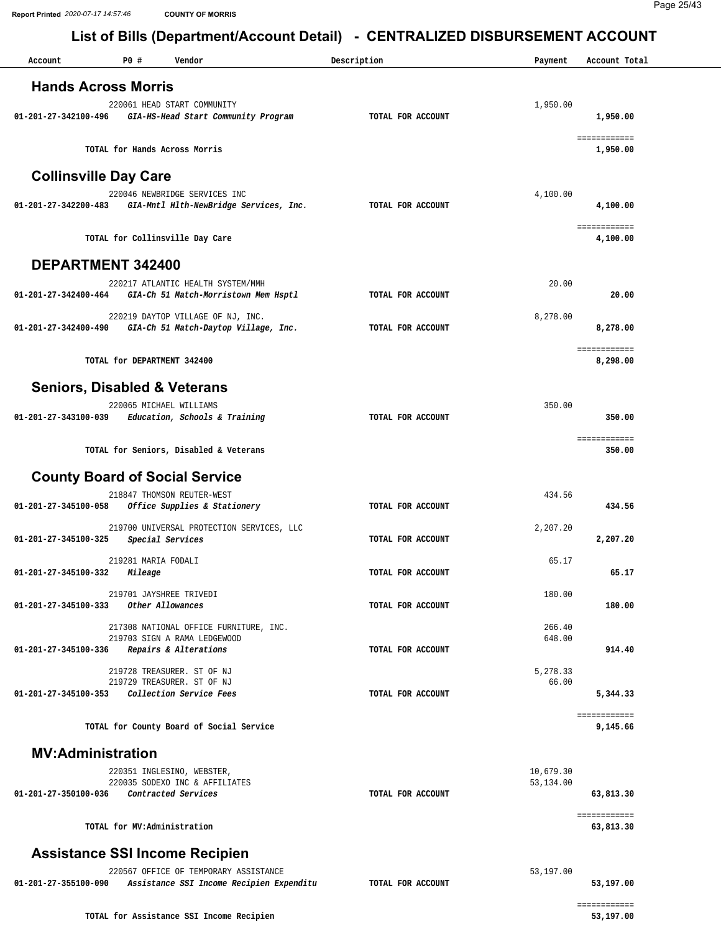| Account                      | P0#<br>Vendor                                                                                            | Description       | Payment                | Account Total             |
|------------------------------|----------------------------------------------------------------------------------------------------------|-------------------|------------------------|---------------------------|
| <b>Hands Across Morris</b>   |                                                                                                          |                   |                        |                           |
| 01-201-27-342100-496         | 220061 HEAD START COMMUNITY<br>GIA-HS-Head Start Community Program                                       | TOTAL FOR ACCOUNT | 1,950.00               | 1,950.00                  |
|                              | TOTAL for Hands Across Morris                                                                            |                   |                        | ============<br>1,950.00  |
| <b>Collinsville Day Care</b> |                                                                                                          |                   |                        |                           |
| 01-201-27-342200-483         | 220046 NEWBRIDGE SERVICES INC<br>GIA-Mntl Hlth-NewBridge Services, Inc.                                  | TOTAL FOR ACCOUNT | 4,100.00               | 4,100.00                  |
|                              | TOTAL for Collinsville Day Care                                                                          |                   |                        | ============<br>4,100.00  |
| DEPARTMENT 342400            |                                                                                                          |                   |                        |                           |
| 01-201-27-342400-464         | 220217 ATLANTIC HEALTH SYSTEM/MMH<br>GIA-Ch 51 Match-Morristown Mem Hsptl                                | TOTAL FOR ACCOUNT | 20.00                  | 20.00                     |
| 01-201-27-342400-490         | 220219 DAYTOP VILLAGE OF NJ, INC.<br>GIA-Ch 51 Match-Daytop Village, Inc.                                | TOTAL FOR ACCOUNT | 8,278.00               | 8,278.00                  |
|                              | TOTAL for DEPARTMENT 342400                                                                              |                   |                        | ============<br>8,298.00  |
|                              | <b>Seniors, Disabled &amp; Veterans</b>                                                                  |                   |                        |                           |
| 01-201-27-343100-039         | 220065 MICHAEL WILLIAMS<br>Education, Schools & Training                                                 | TOTAL FOR ACCOUNT | 350.00                 | 350.00                    |
|                              | TOTAL for Seniors, Disabled & Veterans                                                                   |                   |                        | ============<br>350.00    |
|                              | <b>County Board of Social Service</b>                                                                    |                   |                        |                           |
| 01-201-27-345100-058         | 218847 THOMSON REUTER-WEST<br>Office Supplies & Stationery                                               | TOTAL FOR ACCOUNT | 434.56                 | 434.56                    |
| 01-201-27-345100-325         | 219700 UNIVERSAL PROTECTION SERVICES, LLC<br>Special Services                                            | TOTAL FOR ACCOUNT | 2,207.20               | 2,207.20                  |
| 01-201-27-345100-332         | 219281 MARIA FODALI<br>Mileage                                                                           | TOTAL FOR ACCOUNT | 65.17                  | 65.17                     |
| 01-201-27-345100-333         | 219701 JAYSHREE TRIVEDI<br>Other Allowances                                                              | TOTAL FOR ACCOUNT | 180.00                 | 180.00                    |
| 01-201-27-345100-336         | 217308 NATIONAL OFFICE FURNITURE, INC.<br>219703 SIGN A RAMA LEDGEWOOD<br>Repairs & Alterations          | TOTAL FOR ACCOUNT | 266.40<br>648.00       | 914.40                    |
|                              | 219728 TREASURER. ST OF NJ<br>219729 TREASURER. ST OF NJ<br>01-201-27-345100-353 Collection Service Fees | TOTAL FOR ACCOUNT | 5,278.33<br>66.00      | 5,344.33                  |
|                              | TOTAL for County Board of Social Service                                                                 |                   |                        | ============<br>9,145.66  |
| <b>MV:Administration</b>     |                                                                                                          |                   |                        |                           |
| 01-201-27-350100-036         | 220351 INGLESINO, WEBSTER,<br>220035 SODEXO INC & AFFILIATES<br>Contracted Services                      | TOTAL FOR ACCOUNT | 10,679.30<br>53,134.00 | 63,813.30                 |
|                              | TOTAL for MV:Administration                                                                              |                   |                        | ============<br>63,813.30 |
|                              | <b>Assistance SSI Income Recipien</b>                                                                    |                   |                        |                           |
| 01-201-27-355100-090         | 220567 OFFICE OF TEMPORARY ASSISTANCE<br>Assistance SSI Income Recipien Expenditu                        | TOTAL FOR ACCOUNT | 53,197.00              | 53,197.00                 |
|                              | TOTAL for Assistance SSI Income Recipien                                                                 |                   |                        | ============<br>53,197.00 |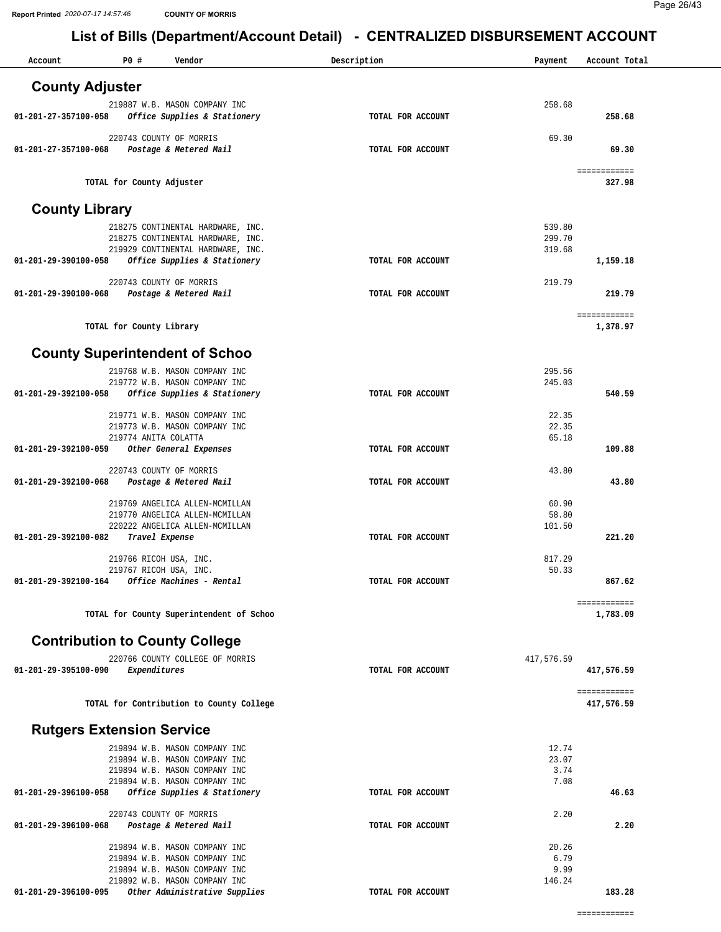| Account                          | P0#                                             | Vendor                                                                 | Description       | Payment          | Account Total          |
|----------------------------------|-------------------------------------------------|------------------------------------------------------------------------|-------------------|------------------|------------------------|
| <b>County Adjuster</b>           |                                                 |                                                                        |                   |                  |                        |
|                                  |                                                 | 219887 W.B. MASON COMPANY INC                                          |                   | 258.68           |                        |
| 01-201-27-357100-058             |                                                 | Office Supplies & Stationery                                           | TOTAL FOR ACCOUNT |                  | 258.68                 |
|                                  |                                                 | 220743 COUNTY OF MORRIS                                                |                   | 69.30            |                        |
| 01-201-27-357100-068             |                                                 | Postage & Metered Mail                                                 | TOTAL FOR ACCOUNT |                  | 69.30                  |
|                                  | TOTAL for County Adjuster                       |                                                                        |                   |                  | ============<br>327.98 |
|                                  |                                                 |                                                                        |                   |                  |                        |
| <b>County Library</b>            |                                                 |                                                                        |                   |                  |                        |
|                                  |                                                 | 218275 CONTINENTAL HARDWARE, INC.<br>218275 CONTINENTAL HARDWARE, INC. |                   | 539.80<br>299.70 |                        |
|                                  |                                                 | 219929 CONTINENTAL HARDWARE, INC.                                      |                   | 319.68           |                        |
| 01-201-29-390100-058             |                                                 | Office Supplies & Stationery                                           | TOTAL FOR ACCOUNT |                  | 1,159.18               |
|                                  |                                                 | 220743 COUNTY OF MORRIS                                                |                   | 219.79           |                        |
| 01-201-29-390100-068             |                                                 | Postage & Metered Mail                                                 | TOTAL FOR ACCOUNT |                  | 219.79                 |
|                                  |                                                 |                                                                        |                   |                  | ============           |
|                                  | TOTAL for County Library                        |                                                                        |                   |                  | 1,378.97               |
|                                  |                                                 | <b>County Superintendent of Schoo</b>                                  |                   |                  |                        |
|                                  |                                                 | 219768 W.B. MASON COMPANY INC                                          |                   | 295.56           |                        |
|                                  |                                                 | 219772 W.B. MASON COMPANY INC                                          |                   | 245.03           |                        |
| 01-201-29-392100-058             |                                                 | Office Supplies & Stationery                                           | TOTAL FOR ACCOUNT |                  | 540.59                 |
|                                  |                                                 | 219771 W.B. MASON COMPANY INC                                          |                   | 22.35            |                        |
|                                  | 219774 ANITA COLATTA                            | 219773 W.B. MASON COMPANY INC                                          |                   | 22.35<br>65.18   |                        |
| 01-201-29-392100-059             |                                                 | Other General Expenses                                                 | TOTAL FOR ACCOUNT |                  | 109.88                 |
|                                  |                                                 | 220743 COUNTY OF MORRIS                                                |                   | 43.80            |                        |
| 01-201-29-392100-068             |                                                 | Postage & Metered Mail                                                 | TOTAL FOR ACCOUNT |                  | 43.80                  |
|                                  |                                                 | 219769 ANGELICA ALLEN-MCMILLAN                                         |                   | 60.90            |                        |
|                                  |                                                 | 219770 ANGELICA ALLEN-MCMILLAN                                         |                   | 58.80            |                        |
| 01-201-29-392100-082             |                                                 | 220222 ANGELICA ALLEN-MCMILLAN<br>Travel Expense                       | TOTAL FOR ACCOUNT | 101.50           | 221.20                 |
|                                  |                                                 |                                                                        |                   |                  |                        |
|                                  | 219766 RICOH USA, INC.<br>219767 RICOH USA, INC |                                                                        |                   | 817.29<br>50.33  |                        |
| 01-201-29-392100-164             |                                                 | Office Machines - Rental                                               | TOTAL FOR ACCOUNT |                  | 867.62                 |
|                                  |                                                 |                                                                        |                   |                  | ============           |
|                                  |                                                 | TOTAL for County Superintendent of Schoo                               |                   |                  | 1,783.09               |
|                                  |                                                 | <b>Contribution to County College</b>                                  |                   |                  |                        |
|                                  |                                                 | 220766 COUNTY COLLEGE OF MORRIS                                        |                   | 417,576.59       |                        |
| 01-201-29-395100-090             | Expenditures                                    |                                                                        | TOTAL FOR ACCOUNT |                  | 417,576.59             |
|                                  |                                                 |                                                                        |                   |                  | ============           |
|                                  |                                                 | TOTAL for Contribution to County College                               |                   |                  | 417,576.59             |
| <b>Rutgers Extension Service</b> |                                                 |                                                                        |                   |                  |                        |
|                                  |                                                 | 219894 W.B. MASON COMPANY INC                                          |                   | 12.74            |                        |
|                                  |                                                 | 219894 W.B. MASON COMPANY INC                                          |                   | 23.07            |                        |
|                                  |                                                 | 219894 W.B. MASON COMPANY INC<br>219894 W.B. MASON COMPANY INC         |                   | 3.74<br>7.08     |                        |
| 01-201-29-396100-058             |                                                 | Office Supplies & Stationery                                           | TOTAL FOR ACCOUNT |                  | 46.63                  |
|                                  |                                                 | 220743 COUNTY OF MORRIS                                                |                   | 2.20             |                        |
| 01-201-29-396100-068             |                                                 | Postage & Metered Mail                                                 | TOTAL FOR ACCOUNT |                  | 2.20                   |
|                                  |                                                 | 219894 W.B. MASON COMPANY INC                                          |                   | 20.26            |                        |
|                                  |                                                 | 219894 W.B. MASON COMPANY INC                                          |                   | 6.79             |                        |
|                                  |                                                 | 219894 W.B. MASON COMPANY INC<br>219892 W.B. MASON COMPANY INC         |                   | 9.99<br>146.24   |                        |
| 01-201-29-396100-095             |                                                 | Other Administrative Supplies                                          | TOTAL FOR ACCOUNT |                  | 183.28                 |
|                                  |                                                 |                                                                        |                   |                  |                        |

============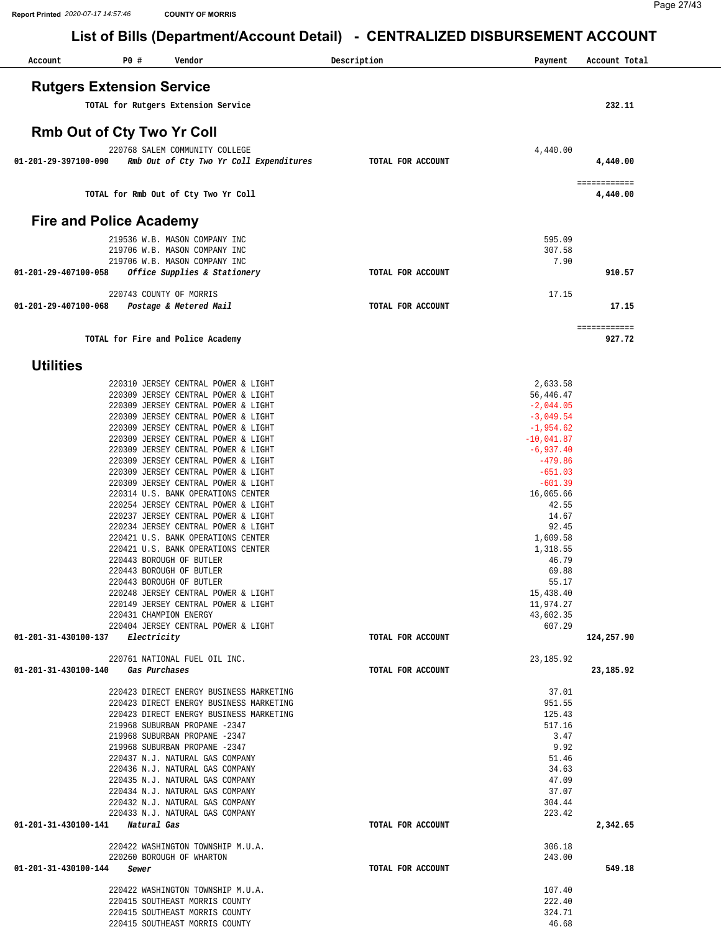| Account                    | P0 #<br>Vendor                                                             | Description       | Payment                    | Account Total |
|----------------------------|----------------------------------------------------------------------------|-------------------|----------------------------|---------------|
|                            | <b>Rutgers Extension Service</b>                                           |                   |                            |               |
|                            | TOTAL for Rutgers Extension Service                                        |                   |                            | 232.11        |
|                            |                                                                            |                   |                            |               |
|                            | Rmb Out of Cty Two Yr Coll                                                 |                   |                            |               |
| 01-201-29-397100-090       | 220768 SALEM COMMUNITY COLLEGE<br>Rmb Out of Cty Two Yr Coll Expenditures  | TOTAL FOR ACCOUNT | 4,440.00                   | 4,440.00      |
|                            |                                                                            |                   |                            | ============  |
|                            | TOTAL for Rmb Out of Cty Two Yr Coll                                       |                   |                            | 4,440.00      |
|                            | <b>Fire and Police Academy</b>                                             |                   |                            |               |
|                            | 219536 W.B. MASON COMPANY INC                                              |                   | 595.09                     |               |
|                            | 219706 W.B. MASON COMPANY INC                                              |                   | 307.58                     |               |
| 01-201-29-407100-058       | 219706 W.B. MASON COMPANY INC<br>Office Supplies & Stationery              | TOTAL FOR ACCOUNT | 7.90                       | 910.57        |
|                            |                                                                            |                   |                            |               |
| 01-201-29-407100-068       | 220743 COUNTY OF MORRIS<br>Postage & Metered Mail                          | TOTAL FOR ACCOUNT | 17.15                      | 17.15         |
|                            |                                                                            |                   |                            | ============  |
|                            | TOTAL for Fire and Police Academy                                          |                   |                            | 927.72        |
| <b>Utilities</b>           |                                                                            |                   |                            |               |
|                            | 220310 JERSEY CENTRAL POWER & LIGHT                                        |                   | 2,633.58                   |               |
|                            | 220309 JERSEY CENTRAL POWER & LIGHT                                        |                   | 56,446.47                  |               |
|                            | 220309 JERSEY CENTRAL POWER & LIGHT                                        |                   | $-2,044.05$                |               |
|                            | 220309 JERSEY CENTRAL POWER & LIGHT<br>220309 JERSEY CENTRAL POWER & LIGHT |                   | $-3,049.54$<br>$-1,954.62$ |               |
|                            | 220309 JERSEY CENTRAL POWER & LIGHT                                        |                   | $-10,041.87$               |               |
|                            | 220309 JERSEY CENTRAL POWER & LIGHT                                        |                   | $-6,937.40$                |               |
|                            | 220309 JERSEY CENTRAL POWER & LIGHT                                        |                   | $-479.86$<br>$-651.03$     |               |
|                            | 220309 JERSEY CENTRAL POWER & LIGHT<br>220309 JERSEY CENTRAL POWER & LIGHT |                   | $-601.39$                  |               |
|                            | 220314 U.S. BANK OPERATIONS CENTER                                         |                   | 16,065.66                  |               |
|                            | 220254 JERSEY CENTRAL POWER & LIGHT                                        |                   | 42.55                      |               |
|                            | 220237 JERSEY CENTRAL POWER & LIGHT<br>220234 JERSEY CENTRAL POWER & LIGHT |                   | 14.67<br>92.45             |               |
|                            | 220421 U.S. BANK OPERATIONS CENTER                                         |                   | 1,609.58                   |               |
|                            | 220421 U.S. BANK OPERATIONS CENTER                                         |                   | 1,318.55                   |               |
|                            | 220443 BOROUGH OF BUTLER<br>220443 BOROUGH OF BUTLER                       |                   | 46.79                      |               |
|                            | 220443 BOROUGH OF BUTLER                                                   |                   | 69.88<br>55.17             |               |
|                            | 220248 JERSEY CENTRAL POWER & LIGHT                                        |                   | 15,438.40                  |               |
|                            | 220149 JERSEY CENTRAL POWER & LIGHT                                        |                   | 11,974.27                  |               |
|                            | 220431 CHAMPION ENERGY<br>220404 JERSEY CENTRAL POWER & LIGHT              |                   | 43,602.35<br>607.29        |               |
|                            | 01-201-31-430100-137 Electricity                                           | TOTAL FOR ACCOUNT |                            | 124,257.90    |
|                            | 220761 NATIONAL FUEL OIL INC.                                              |                   | 23, 185.92                 |               |
|                            | 01-201-31-430100-140 Gas Purchases                                         | TOTAL FOR ACCOUNT |                            | 23,185.92     |
|                            | 220423 DIRECT ENERGY BUSINESS MARKETING                                    |                   | 37.01                      |               |
|                            | 220423 DIRECT ENERGY BUSINESS MARKETING                                    |                   | 951.55                     |               |
|                            | 220423 DIRECT ENERGY BUSINESS MARKETING<br>219968 SUBURBAN PROPANE -2347   |                   | 125.43<br>517.16           |               |
|                            | 219968 SUBURBAN PROPANE -2347                                              |                   | 3.47                       |               |
|                            | 219968 SUBURBAN PROPANE -2347                                              |                   | 9.92                       |               |
|                            | 220437 N.J. NATURAL GAS COMPANY<br>220436 N.J. NATURAL GAS COMPANY         |                   | 51.46<br>34.63             |               |
|                            | 220435 N.J. NATURAL GAS COMPANY                                            |                   | 47.09                      |               |
|                            | 220434 N.J. NATURAL GAS COMPANY                                            |                   | 37.07                      |               |
|                            | 220432 N.J. NATURAL GAS COMPANY                                            |                   | 304.44                     |               |
|                            | 220433 N.J. NATURAL GAS COMPANY<br>01-201-31-430100-141 Natural Gas        | TOTAL FOR ACCOUNT | 223.42                     | 2,342.65      |
|                            | 220422 WASHINGTON TOWNSHIP M.U.A.                                          |                   | 306.18                     |               |
|                            | 220260 BOROUGH OF WHARTON                                                  |                   | 243.00                     |               |
| 01-201-31-430100-144 Sewer |                                                                            | TOTAL FOR ACCOUNT |                            | 549.18        |
|                            | 220422 WASHINGTON TOWNSHIP M.U.A.                                          |                   | 107.40                     |               |
|                            | 220415 SOUTHEAST MORRIS COUNTY                                             |                   | 222.40                     |               |
|                            | 220415 SOUTHEAST MORRIS COUNTY                                             |                   | 324.71                     |               |
|                            | 220415 SOUTHEAST MORRIS COUNTY                                             |                   | 46.68                      |               |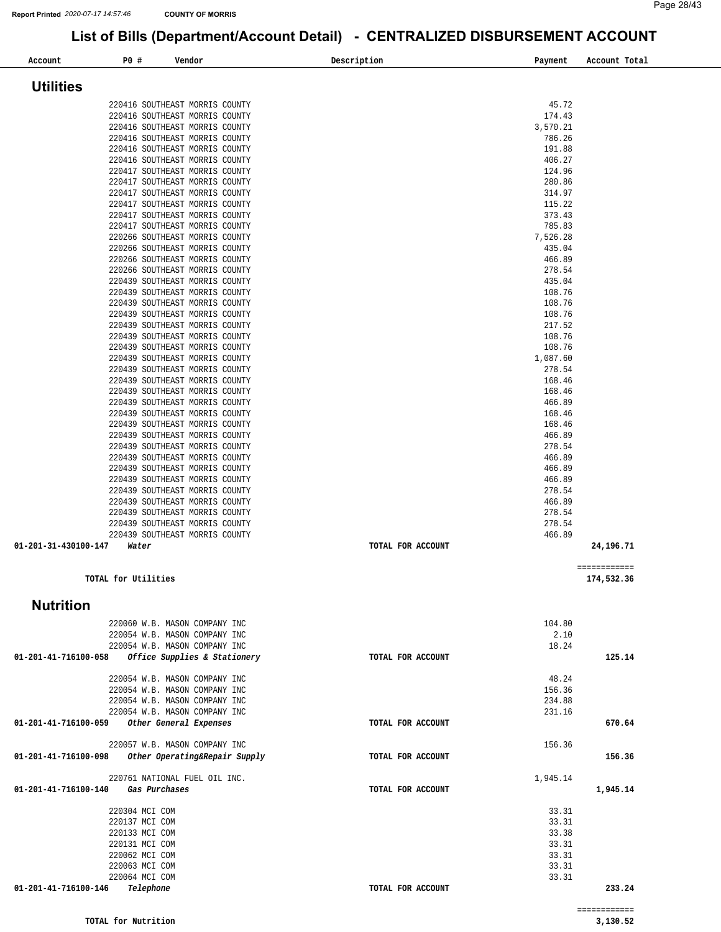| Account                                            | P0 #                             | Vendor                                                           | Description       | Payment            | Account Total |
|----------------------------------------------------|----------------------------------|------------------------------------------------------------------|-------------------|--------------------|---------------|
|                                                    |                                  |                                                                  |                   |                    |               |
| <b>Utilities</b>                                   |                                  |                                                                  |                   |                    |               |
|                                                    |                                  | 220416 SOUTHEAST MORRIS COUNTY                                   |                   | 45.72              |               |
|                                                    |                                  | 220416 SOUTHEAST MORRIS COUNTY                                   |                   | 174.43             |               |
|                                                    |                                  | 220416 SOUTHEAST MORRIS COUNTY<br>220416 SOUTHEAST MORRIS COUNTY |                   | 3,570.21<br>786.26 |               |
|                                                    |                                  | 220416 SOUTHEAST MORRIS COUNTY                                   |                   | 191.88             |               |
|                                                    |                                  | 220416 SOUTHEAST MORRIS COUNTY                                   |                   | 406.27             |               |
|                                                    |                                  | 220417 SOUTHEAST MORRIS COUNTY                                   |                   | 124.96             |               |
|                                                    |                                  | 220417 SOUTHEAST MORRIS COUNTY<br>220417 SOUTHEAST MORRIS COUNTY |                   | 280.86<br>314.97   |               |
|                                                    |                                  | 220417 SOUTHEAST MORRIS COUNTY                                   |                   | 115.22             |               |
|                                                    |                                  | 220417 SOUTHEAST MORRIS COUNTY                                   |                   | 373.43             |               |
|                                                    |                                  | 220417 SOUTHEAST MORRIS COUNTY                                   |                   | 785.83             |               |
|                                                    |                                  | 220266 SOUTHEAST MORRIS COUNTY<br>220266 SOUTHEAST MORRIS COUNTY |                   | 7,526.28<br>435.04 |               |
|                                                    |                                  | 220266 SOUTHEAST MORRIS COUNTY                                   |                   | 466.89             |               |
|                                                    |                                  | 220266 SOUTHEAST MORRIS COUNTY                                   |                   | 278.54             |               |
|                                                    |                                  | 220439 SOUTHEAST MORRIS COUNTY                                   |                   | 435.04             |               |
|                                                    |                                  | 220439 SOUTHEAST MORRIS COUNTY<br>220439 SOUTHEAST MORRIS COUNTY |                   | 108.76<br>108.76   |               |
|                                                    |                                  | 220439 SOUTHEAST MORRIS COUNTY                                   |                   | 108.76             |               |
|                                                    |                                  | 220439 SOUTHEAST MORRIS COUNTY                                   |                   | 217.52             |               |
|                                                    |                                  | 220439 SOUTHEAST MORRIS COUNTY                                   |                   | 108.76             |               |
|                                                    |                                  | 220439 SOUTHEAST MORRIS COUNTY                                   |                   | 108.76             |               |
|                                                    |                                  | 220439 SOUTHEAST MORRIS COUNTY<br>220439 SOUTHEAST MORRIS COUNTY |                   | 1,087.60<br>278.54 |               |
|                                                    |                                  | 220439 SOUTHEAST MORRIS COUNTY                                   |                   | 168.46             |               |
|                                                    |                                  | 220439 SOUTHEAST MORRIS COUNTY                                   |                   | 168.46             |               |
|                                                    |                                  | 220439 SOUTHEAST MORRIS COUNTY                                   |                   | 466.89             |               |
|                                                    |                                  | 220439 SOUTHEAST MORRIS COUNTY                                   |                   | 168.46<br>168.46   |               |
|                                                    |                                  | 220439 SOUTHEAST MORRIS COUNTY<br>220439 SOUTHEAST MORRIS COUNTY |                   | 466.89             |               |
|                                                    |                                  | 220439 SOUTHEAST MORRIS COUNTY                                   |                   | 278.54             |               |
|                                                    |                                  | 220439 SOUTHEAST MORRIS COUNTY                                   |                   | 466.89             |               |
|                                                    |                                  | 220439 SOUTHEAST MORRIS COUNTY                                   |                   | 466.89             |               |
|                                                    |                                  | 220439 SOUTHEAST MORRIS COUNTY<br>220439 SOUTHEAST MORRIS COUNTY |                   | 466.89<br>278.54   |               |
|                                                    |                                  | 220439 SOUTHEAST MORRIS COUNTY                                   |                   | 466.89             |               |
|                                                    |                                  | 220439 SOUTHEAST MORRIS COUNTY                                   |                   | 278.54             |               |
|                                                    |                                  | 220439 SOUTHEAST MORRIS COUNTY                                   |                   | 278.54             |               |
| 01-201-31-430100-147                               | Water                            | 220439 SOUTHEAST MORRIS COUNTY                                   | TOTAL FOR ACCOUNT | 466.89             | 24,196.71     |
|                                                    |                                  |                                                                  |                   |                    |               |
|                                                    |                                  |                                                                  |                   |                    | ============  |
|                                                    | TOTAL for Utilities              |                                                                  |                   |                    | 174,532.36    |
|                                                    |                                  |                                                                  |                   |                    |               |
| <b>Nutrition</b>                                   |                                  |                                                                  |                   |                    |               |
|                                                    |                                  | 220060 W.B. MASON COMPANY INC                                    |                   | 104.80             |               |
|                                                    |                                  | 220054 W.B. MASON COMPANY INC                                    |                   | 2.10               |               |
|                                                    |                                  | 220054 W.B. MASON COMPANY INC                                    |                   | 18.24              |               |
| 01-201-41-716100-058                               |                                  | Office Supplies & Stationery                                     | TOTAL FOR ACCOUNT |                    | 125.14        |
|                                                    |                                  | 220054 W.B. MASON COMPANY INC                                    |                   | 48.24              |               |
|                                                    |                                  | 220054 W.B. MASON COMPANY INC                                    |                   | 156.36             |               |
|                                                    |                                  | 220054 W.B. MASON COMPANY INC                                    |                   | 234.88             |               |
| 01-201-41-716100-059                               |                                  | 220054 W.B. MASON COMPANY INC<br>Other General Expenses          | TOTAL FOR ACCOUNT | 231.16             | 670.64        |
|                                                    |                                  |                                                                  |                   |                    |               |
|                                                    |                                  | 220057 W.B. MASON COMPANY INC                                    |                   | 156.36             |               |
| 01-201-41-716100-098 Other Operating&Repair Supply |                                  |                                                                  | TOTAL FOR ACCOUNT |                    | 156.36        |
|                                                    |                                  | 220761 NATIONAL FUEL OIL INC.                                    |                   | 1,945.14           |               |
| 01-201-41-716100-140                               |                                  | Gas Purchases                                                    | TOTAL FOR ACCOUNT |                    | 1,945.14      |
|                                                    |                                  |                                                                  |                   |                    |               |
|                                                    | 220304 MCI COM                   |                                                                  |                   | 33.31              |               |
|                                                    | 220137 MCI COM<br>220133 MCI COM |                                                                  |                   | 33.31<br>33.38     |               |
|                                                    | 220131 MCI COM                   |                                                                  |                   | 33.31              |               |
|                                                    | 220062 MCI COM                   |                                                                  |                   | 33.31              |               |
|                                                    | 220063 MCI COM                   |                                                                  |                   | 33.31              |               |
| 01-201-41-716100-146                               | 220064 MCI COM                   |                                                                  |                   | 33.31              | 233.24        |
|                                                    | Telephone                        |                                                                  | TOTAL FOR ACCOUNT |                    |               |
|                                                    |                                  |                                                                  |                   |                    | ============  |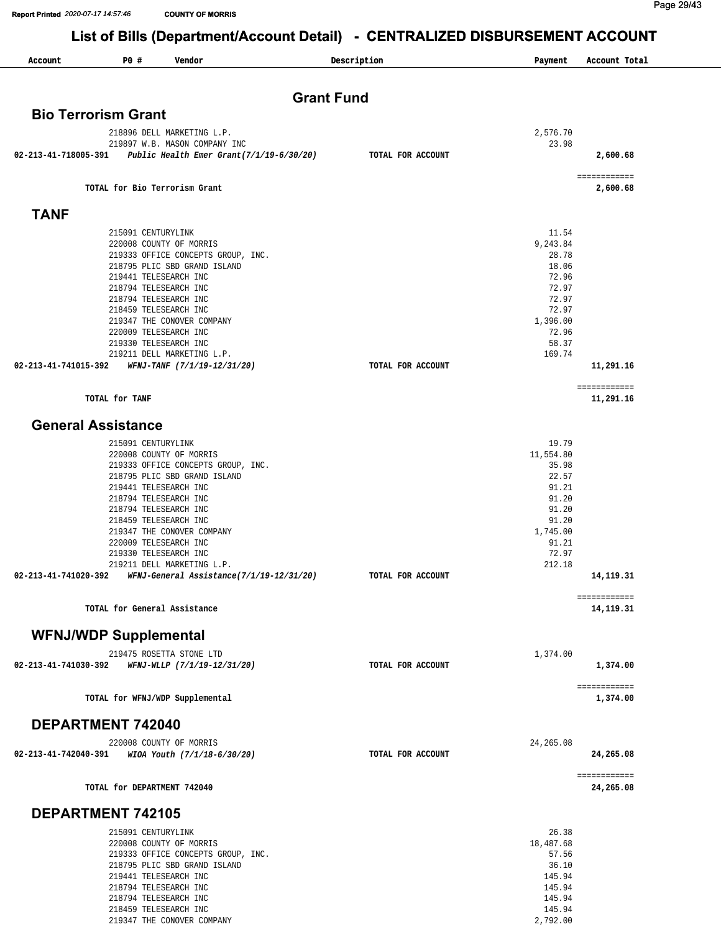**Report Printed 2020-07-17 14:57:46 COUNTY OF MORRIS** 

218459 TELESEARCH INC 219347 THE CONOVER COMPANY Page 29/43

145.94 [2,792.00](https://2,792.00)

# Report Printed 2020-07-17 14:57:46 **COUNTITY OF MORRIS**<br>List of Bills (Department/Account Detail) - CENTRALIZED DISBURSEMENT ACCOUNT

| Account              | P0 #<br>Vendor                                                     | Description       | Payment           | Account Total              |
|----------------------|--------------------------------------------------------------------|-------------------|-------------------|----------------------------|
|                      |                                                                    | <b>Grant Fund</b> |                   |                            |
|                      | <b>Bio Terrorism Grant</b>                                         |                   |                   |                            |
|                      | 218896 DELL MARKETING L.P.                                         |                   | 2,576.70          |                            |
|                      | 219897 W.B. MASON COMPANY INC                                      |                   | 23.98             |                            |
|                      | 02-213-41-718005-391 Public Health Emer Grant( $7/1/19-6/30/20$ )  | TOTAL FOR ACCOUNT |                   | 2,600.68                   |
|                      | TOTAL for Bio Terrorism Grant                                      |                   |                   | ===== =======<br>2,600.68  |
| <b>TANF</b>          |                                                                    |                   |                   |                            |
|                      |                                                                    |                   |                   |                            |
|                      | 215091 CENTURYLINK<br>220008 COUNTY OF MORRIS                      |                   | 11.54<br>9,243.84 |                            |
|                      | 219333 OFFICE CONCEPTS GROUP, INC.                                 |                   | 28.78             |                            |
|                      | 218795 PLIC SBD GRAND ISLAND                                       |                   | 18.06             |                            |
|                      | 219441 TELESEARCH INC                                              |                   | 72.96             |                            |
|                      | 218794 TELESEARCH INC                                              |                   | 72.97             |                            |
|                      | 218794 TELESEARCH INC                                              |                   | 72.97<br>72.97    |                            |
|                      | 218459 TELESEARCH INC<br>219347 THE CONOVER COMPANY                |                   | 1,396.00          |                            |
|                      | 220009 TELESEARCH INC                                              |                   | 72.96             |                            |
|                      | 219330 TELESEARCH INC                                              |                   | 58.37             |                            |
|                      | 219211 DELL MARKETING L.P.                                         |                   | 169.74            |                            |
|                      | 02-213-41-741015-392 WFNJ-TANF (7/1/19-12/31/20)                   | TOTAL FOR ACCOUNT |                   | 11,291.16                  |
|                      | TOTAL for TANF                                                     |                   |                   | ===== =======<br>11,291.16 |
|                      | <b>General Assistance</b>                                          |                   |                   |                            |
|                      | 215091 CENTURYLINK                                                 |                   | 19.79             |                            |
|                      | 220008 COUNTY OF MORRIS                                            |                   | 11,554.80         |                            |
|                      | 219333 OFFICE CONCEPTS GROUP, INC.                                 |                   | 35.98             |                            |
|                      | 218795 PLIC SBD GRAND ISLAND                                       |                   | 22.57             |                            |
|                      | 219441 TELESEARCH INC<br>218794 TELESEARCH INC                     |                   | 91.21             |                            |
|                      | 218794 TELESEARCH INC                                              |                   | 91.20<br>91.20    |                            |
|                      | 218459 TELESEARCH INC                                              |                   | 91.20             |                            |
|                      | 219347 THE CONOVER COMPANY                                         |                   | 1,745.00          |                            |
|                      | 220009 TELESEARCH INC                                              |                   | 91.21             |                            |
|                      | 219330 TELESEARCH INC                                              |                   | 72.97             |                            |
| 02-213-41-741020-392 | 219211 DELL MARKETING L.P.                                         |                   | 212.18            |                            |
|                      | WFNJ-General Assistance(7/1/19-12/31/20)                           | TOTAL FOR ACCOUNT |                   | 14,119.31<br>===== ======= |
|                      | TOTAL for General Assistance                                       |                   |                   | 14,119.31                  |
|                      | <b>WFNJ/WDP Supplemental</b>                                       |                   |                   |                            |
|                      | 219475 ROSETTA STONE LTD                                           |                   | 1,374.00          |                            |
| 02-213-41-741030-392 | WFNJ-WLLP (7/1/19-12/31/20)                                        | TOTAL FOR ACCOUNT |                   | 1,374.00                   |
|                      | TOTAL for WFNJ/WDP Supplemental                                    |                   |                   | ===== =======<br>1,374.00  |
|                      | <b>DEPARTMENT 742040</b>                                           |                   |                   |                            |
|                      | 220008 COUNTY OF MORRIS                                            |                   | 24, 265.08        |                            |
|                      | 02-213-41-742040-391 WIOA Youth (7/1/18-6/30/20)                   | TOTAL FOR ACCOUNT |                   | 24,265.08                  |
|                      | TOTAL for DEPARTMENT 742040                                        |                   |                   | ===== =======<br>24,265.08 |
|                      | <b>DEPARTMENT 742105</b>                                           |                   |                   |                            |
|                      | 215091 CENTURYLINK                                                 |                   | 26.38             |                            |
|                      | 220008 COUNTY OF MORRIS                                            |                   | 18,487.68         |                            |
|                      | 219333 OFFICE CONCEPTS GROUP, INC.<br>218795 PLIC SBD GRAND ISLAND |                   | 57.56<br>36.10    |                            |
|                      | 219441 TELESEARCH INC                                              |                   | 145.94            |                            |
|                      | 218794 TELESEARCH INC                                              |                   | 145.94            |                            |
|                      | 218794 TELESEARCH INC                                              |                   | 145.94            |                            |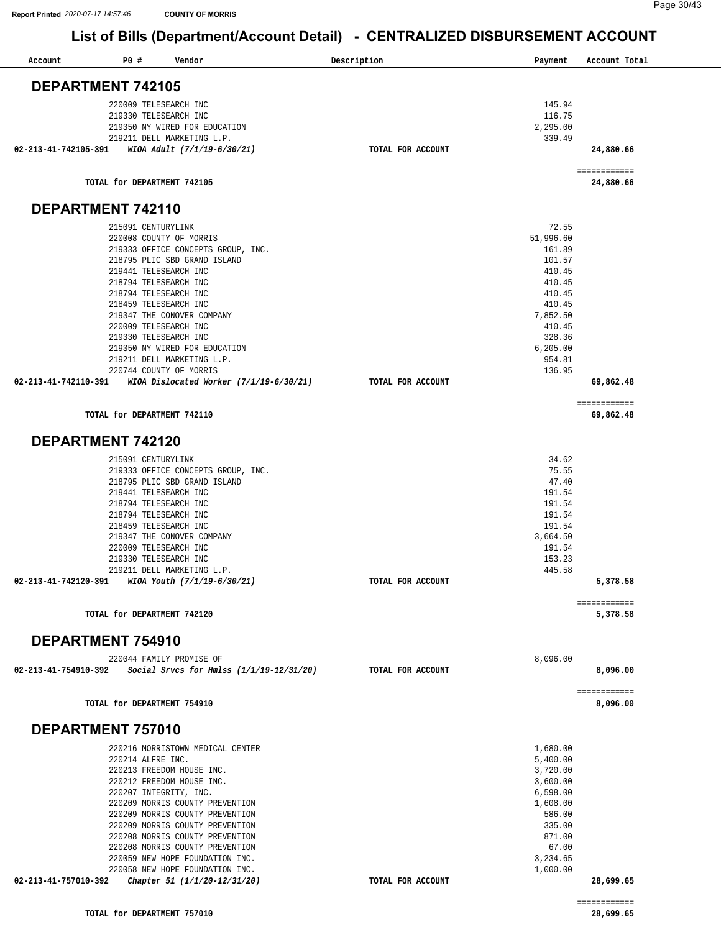| Account              | P0#                                            | Vendor                                                             |                                            | Description       | Payment              | Account Total             |
|----------------------|------------------------------------------------|--------------------------------------------------------------------|--------------------------------------------|-------------------|----------------------|---------------------------|
| DEPARTMENT 742105    |                                                |                                                                    |                                            |                   |                      |                           |
|                      | 220009 TELESEARCH INC                          |                                                                    |                                            |                   | 145.94               |                           |
|                      | 219330 TELESEARCH INC                          |                                                                    |                                            |                   | 116.75               |                           |
|                      |                                                | 219350 NY WIRED FOR EDUCATION                                      |                                            |                   | 2,295.00             |                           |
| 02-213-41-742105-391 |                                                | 219211 DELL MARKETING L.P.<br>WIOA Adult (7/1/19-6/30/21)          |                                            | TOTAL FOR ACCOUNT | 339.49               | 24,880.66                 |
|                      |                                                |                                                                    |                                            |                   |                      | ============              |
|                      |                                                | TOTAL for DEPARTMENT 742105                                        |                                            |                   |                      | 24,880.66                 |
| DEPARTMENT 742110    |                                                |                                                                    |                                            |                   |                      |                           |
|                      | 215091 CENTURYLINK                             |                                                                    |                                            |                   | 72.55                |                           |
|                      |                                                | 220008 COUNTY OF MORRIS                                            |                                            |                   | 51,996.60            |                           |
|                      |                                                | 219333 OFFICE CONCEPTS GROUP, INC.<br>218795 PLIC SBD GRAND ISLAND |                                            |                   | 161.89<br>101.57     |                           |
|                      | 219441 TELESEARCH INC                          |                                                                    |                                            |                   | 410.45               |                           |
|                      | 218794 TELESEARCH INC                          |                                                                    |                                            |                   | 410.45               |                           |
|                      | 218794 TELESEARCH INC                          |                                                                    |                                            |                   | 410.45               |                           |
|                      | 218459 TELESEARCH INC                          |                                                                    |                                            |                   | 410.45               |                           |
|                      |                                                | 219347 THE CONOVER COMPANY                                         |                                            |                   | 7,852.50             |                           |
|                      | 220009 TELESEARCH INC<br>219330 TELESEARCH INC |                                                                    |                                            |                   | 410.45<br>328.36     |                           |
|                      |                                                | 219350 NY WIRED FOR EDUCATION                                      |                                            |                   | 6, 205.00            |                           |
|                      |                                                | 219211 DELL MARKETING L.P.                                         |                                            |                   | 954.81               |                           |
|                      |                                                | 220744 COUNTY OF MORRIS                                            |                                            |                   | 136.95               |                           |
| 02-213-41-742110-391 |                                                |                                                                    | WIOA Dislocated Worker (7/1/19-6/30/21)    | TOTAL FOR ACCOUNT |                      | 69,862.48                 |
|                      |                                                | TOTAL for DEPARTMENT 742110                                        |                                            |                   |                      | ============<br>69,862.48 |
| DEPARTMENT 742120    |                                                |                                                                    |                                            |                   |                      |                           |
|                      | 215091 CENTURYLINK                             |                                                                    |                                            |                   | 34.62                |                           |
|                      |                                                | 219333 OFFICE CONCEPTS GROUP, INC.                                 |                                            |                   | 75.55                |                           |
|                      |                                                | 218795 PLIC SBD GRAND ISLAND                                       |                                            |                   | 47.40                |                           |
|                      | 219441 TELESEARCH INC                          |                                                                    |                                            |                   | 191.54               |                           |
|                      | 218794 TELESEARCH INC                          |                                                                    |                                            |                   | 191.54               |                           |
|                      | 218794 TELESEARCH INC                          |                                                                    |                                            |                   | 191.54               |                           |
|                      | 218459 TELESEARCH INC                          | 219347 THE CONOVER COMPANY                                         |                                            |                   | 191.54<br>3,664.50   |                           |
|                      | 220009 TELESEARCH INC                          |                                                                    |                                            |                   | 191.54               |                           |
|                      | 219330 TELESEARCH INC                          |                                                                    |                                            |                   | 153.23               |                           |
|                      |                                                | 219211 DELL MARKETING L.P.                                         |                                            |                   | 445.58               |                           |
| 02-213-41-742120-391 |                                                | WIOA Youth (7/1/19-6/30/21)                                        |                                            | TOTAL FOR ACCOUNT |                      | 5,378.58                  |
|                      |                                                | TOTAL for DEPARTMENT 742120                                        |                                            |                   |                      | ============<br>5,378.58  |
| DEPARTMENT 754910    |                                                |                                                                    |                                            |                   |                      |                           |
|                      |                                                | 220044 FAMILY PROMISE OF                                           |                                            |                   | 8,096.00             |                           |
| 02-213-41-754910-392 |                                                |                                                                    | Social Srvcs for Hmlss $(1/1/19-12/31/20)$ | TOTAL FOR ACCOUNT |                      | 8,096.00                  |
|                      |                                                | TOTAL for DEPARTMENT 754910                                        |                                            |                   |                      | ============<br>8,096.00  |
| DEPARTMENT 757010    |                                                |                                                                    |                                            |                   |                      |                           |
|                      |                                                | 220216 MORRISTOWN MEDICAL CENTER                                   |                                            |                   | 1,680.00             |                           |
|                      | 220214 ALFRE INC.                              |                                                                    |                                            |                   | 5,400.00             |                           |
|                      |                                                | 220213 FREEDOM HOUSE INC.                                          |                                            |                   | 3,720.00             |                           |
|                      |                                                | 220212 FREEDOM HOUSE INC.                                          |                                            |                   | 3,600.00             |                           |
|                      |                                                | 220207 INTEGRITY, INC.<br>220209 MORRIS COUNTY PREVENTION          |                                            |                   | 6,598.00<br>1,608.00 |                           |
|                      |                                                | 220209 MORRIS COUNTY PREVENTION                                    |                                            |                   | 586.00               |                           |
|                      |                                                | 220209 MORRIS COUNTY PREVENTION                                    |                                            |                   | 335.00               |                           |
|                      |                                                | 220208 MORRIS COUNTY PREVENTION                                    |                                            |                   | 871.00               |                           |
|                      |                                                | 220208 MORRIS COUNTY PREVENTION                                    |                                            |                   | 67.00                |                           |
|                      |                                                | 220059 NEW HOPE FOUNDATION INC.                                    |                                            |                   | 3,234.65             |                           |
| 02-213-41-757010-392 |                                                | 220058 NEW HOPE FOUNDATION INC.<br>Chapter 51 (1/1/20-12/31/20)    |                                            | TOTAL FOR ACCOUNT | 1,000.00             | 28,699.65                 |
|                      |                                                |                                                                    |                                            |                   |                      |                           |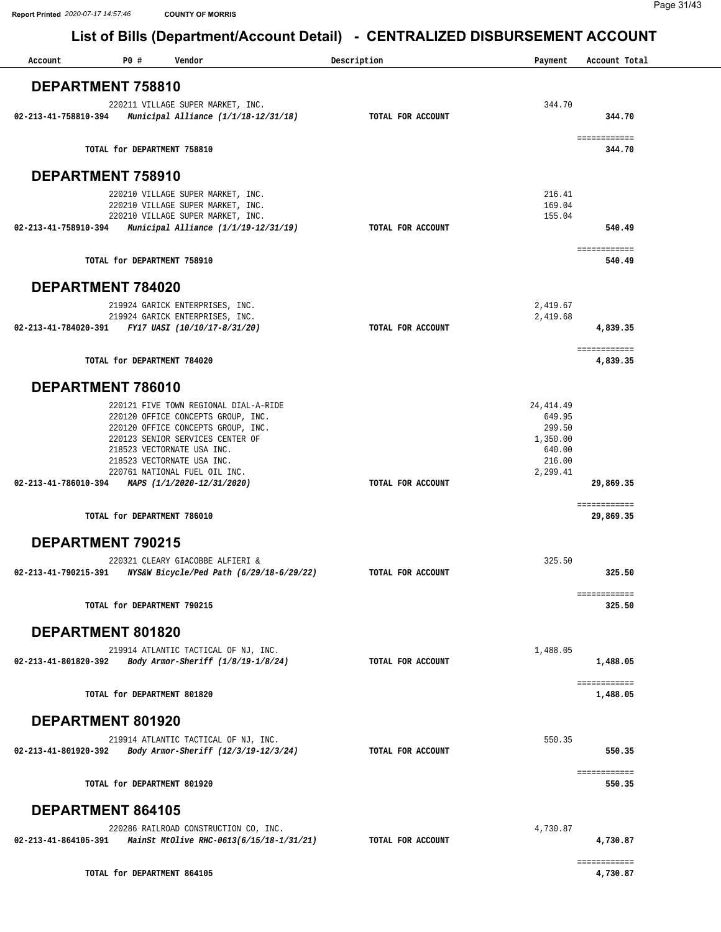| Account                  | $\cdot$ .<br>P0# | Vendor                                                                                                                                                                                                                                             | Description |                   | Payment                                                                    | Account Total             |
|--------------------------|------------------|----------------------------------------------------------------------------------------------------------------------------------------------------------------------------------------------------------------------------------------------------|-------------|-------------------|----------------------------------------------------------------------------|---------------------------|
|                          |                  |                                                                                                                                                                                                                                                    |             |                   |                                                                            |                           |
| DEPARTMENT 758810        |                  |                                                                                                                                                                                                                                                    |             |                   |                                                                            |                           |
| 02-213-41-758810-394     |                  | 220211 VILLAGE SUPER MARKET, INC.<br>Municipal Alliance (1/1/18-12/31/18)                                                                                                                                                                          |             | TOTAL FOR ACCOUNT | 344.70                                                                     | 344.70                    |
|                          |                  | TOTAL for DEPARTMENT 758810                                                                                                                                                                                                                        |             |                   |                                                                            | ============<br>344.70    |
| DEPARTMENT 758910        |                  |                                                                                                                                                                                                                                                    |             |                   |                                                                            |                           |
|                          |                  | 220210 VILLAGE SUPER MARKET, INC.<br>220210 VILLAGE SUPER MARKET, INC.<br>220210 VILLAGE SUPER MARKET, INC.                                                                                                                                        |             |                   | 216.41<br>169.04<br>155.04                                                 |                           |
| 02-213-41-758910-394     |                  | Municipal Alliance (1/1/19-12/31/19)                                                                                                                                                                                                               |             | TOTAL FOR ACCOUNT |                                                                            | 540.49<br>============    |
|                          |                  | TOTAL for DEPARTMENT 758910                                                                                                                                                                                                                        |             |                   |                                                                            | 540.49                    |
| DEPARTMENT 784020        |                  |                                                                                                                                                                                                                                                    |             |                   |                                                                            |                           |
|                          |                  | 219924 GARICK ENTERPRISES, INC.                                                                                                                                                                                                                    |             |                   | 2,419.67                                                                   |                           |
|                          |                  | 219924 GARICK ENTERPRISES, INC.<br>02-213-41-784020-391 FY17 UASI (10/10/17-8/31/20)                                                                                                                                                               |             | TOTAL FOR ACCOUNT | 2,419.68                                                                   | 4,839.35                  |
|                          |                  | TOTAL for DEPARTMENT 784020                                                                                                                                                                                                                        |             |                   |                                                                            | ============<br>4,839.35  |
| DEPARTMENT 786010        |                  |                                                                                                                                                                                                                                                    |             |                   |                                                                            |                           |
|                          |                  | 220121 FIVE TOWN REGIONAL DIAL-A-RIDE<br>220120 OFFICE CONCEPTS GROUP, INC.<br>220120 OFFICE CONCEPTS GROUP, INC.<br>220123 SENIOR SERVICES CENTER OF<br>218523 VECTORNATE USA INC.<br>218523 VECTORNATE USA INC.<br>220761 NATIONAL FUEL OIL INC. |             |                   | 24, 414.49<br>649.95<br>299.50<br>1,350.00<br>640.00<br>216.00<br>2,299.41 |                           |
| 02-213-41-786010-394     |                  | MAPS (1/1/2020-12/31/2020)                                                                                                                                                                                                                         |             | TOTAL FOR ACCOUNT |                                                                            | 29,869.35<br>============ |
|                          |                  | TOTAL for DEPARTMENT 786010                                                                                                                                                                                                                        |             |                   |                                                                            | 29,869.35                 |
| <b>DEPARTMENT 790215</b> |                  |                                                                                                                                                                                                                                                    |             |                   |                                                                            |                           |
| 02-213-41-790215-391     |                  | 220321 CLEARY GIACOBBE ALFIERI &<br>NYS&W Bicycle/Ped Path (6/29/18-6/29/22)                                                                                                                                                                       |             | TOTAL FOR ACCOUNT | 325.50                                                                     | 325.50<br>============    |
|                          |                  | TOTAL for DEPARTMENT 790215                                                                                                                                                                                                                        |             |                   |                                                                            | 325.50                    |
| DEPARTMENT 801820        |                  |                                                                                                                                                                                                                                                    |             |                   |                                                                            |                           |
| 02-213-41-801820-392     |                  | 219914 ATLANTIC TACTICAL OF NJ, INC.<br>Body Armor-Sheriff (1/8/19-1/8/24)                                                                                                                                                                         |             | TOTAL FOR ACCOUNT | 1,488.05                                                                   | 1,488.05                  |
|                          |                  | TOTAL for DEPARTMENT 801820                                                                                                                                                                                                                        |             |                   |                                                                            | ============<br>1,488.05  |
| DEPARTMENT 801920        |                  |                                                                                                                                                                                                                                                    |             |                   |                                                                            |                           |
|                          |                  | 219914 ATLANTIC TACTICAL OF NJ, INC.                                                                                                                                                                                                               |             |                   | 550.35                                                                     |                           |
| 02-213-41-801920-392     |                  | Body Armor-Sheriff (12/3/19-12/3/24)                                                                                                                                                                                                               |             | TOTAL FOR ACCOUNT |                                                                            | 550.35                    |
|                          |                  | TOTAL for DEPARTMENT 801920                                                                                                                                                                                                                        |             |                   |                                                                            | ============<br>550.35    |
| DEPARTMENT 864105        |                  |                                                                                                                                                                                                                                                    |             |                   |                                                                            |                           |
|                          |                  | 220286 RAILROAD CONSTRUCTION CO, INC.                                                                                                                                                                                                              |             |                   | 4,730.87                                                                   |                           |
|                          |                  | 02-213-41-864105-391 MainSt MtOlive RHC-0613(6/15/18-1/31/21)                                                                                                                                                                                      |             | TOTAL FOR ACCOUNT |                                                                            | 4,730.87<br>============  |
|                          |                  | TOTAL for DEPARTMENT 864105                                                                                                                                                                                                                        |             |                   |                                                                            | 4,730.87                  |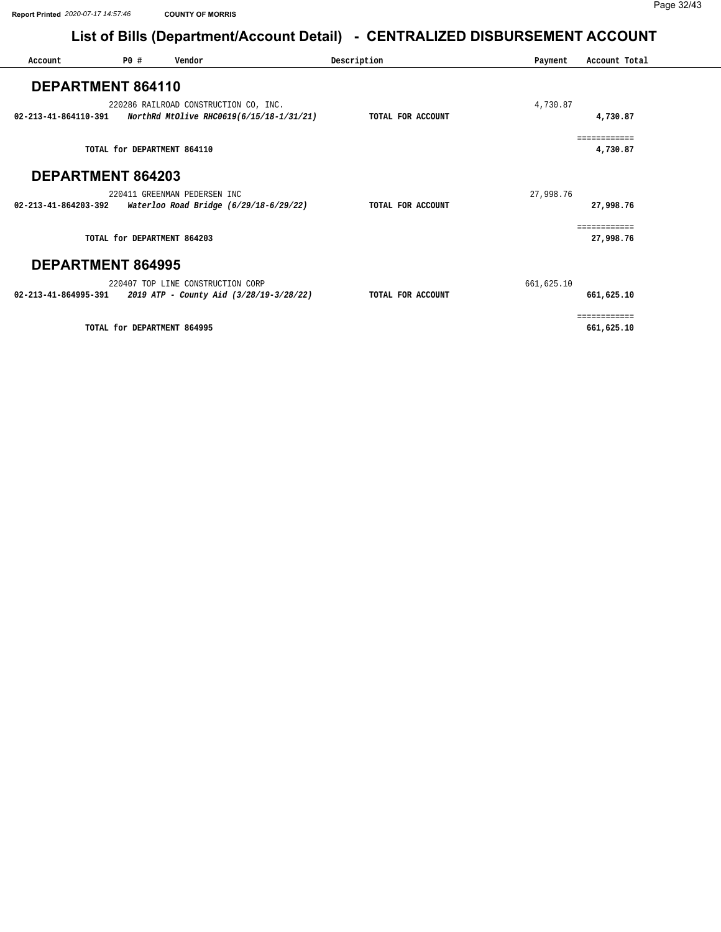| Account                  | P0# | Vendor                                                                            | Description       | Payment    | Account Total              |
|--------------------------|-----|-----------------------------------------------------------------------------------|-------------------|------------|----------------------------|
| DEPARTMENT 864110        |     |                                                                                   |                   |            |                            |
| 02-213-41-864110-391     |     | 220286 RAILROAD CONSTRUCTION CO, INC.<br>NorthRd MtOlive RHC0619(6/15/18-1/31/21) | TOTAL FOR ACCOUNT | 4,730.87   | 4,730.87                   |
|                          |     | TOTAL for DEPARTMENT 864110                                                       |                   |            | ------------<br>4,730.87   |
| DEPARTMENT 864203        |     |                                                                                   |                   |            |                            |
|                          |     | 220411 GREENMAN PEDERSEN INC                                                      |                   | 27,998.76  |                            |
| 02-213-41-864203-392     |     | Waterloo Road Bridge (6/29/18-6/29/22)                                            | TOTAL FOR ACCOUNT |            | 27,998.76                  |
|                          |     | TOTAL for DEPARTMENT 864203                                                       |                   |            | ============<br>27,998.76  |
|                          |     |                                                                                   |                   |            |                            |
| <b>DEPARTMENT 864995</b> |     |                                                                                   |                   |            |                            |
|                          |     | 220407 TOP LINE CONSTRUCTION CORP                                                 |                   | 661,625.10 |                            |
| 02-213-41-864995-391     |     | 2019 ATP - County Aid (3/28/19-3/28/22)                                           | TOTAL FOR ACCOUNT |            | 661,625.10                 |
|                          |     | TOTAL for DEPARTMENT 864995                                                       |                   |            | ============<br>661,625.10 |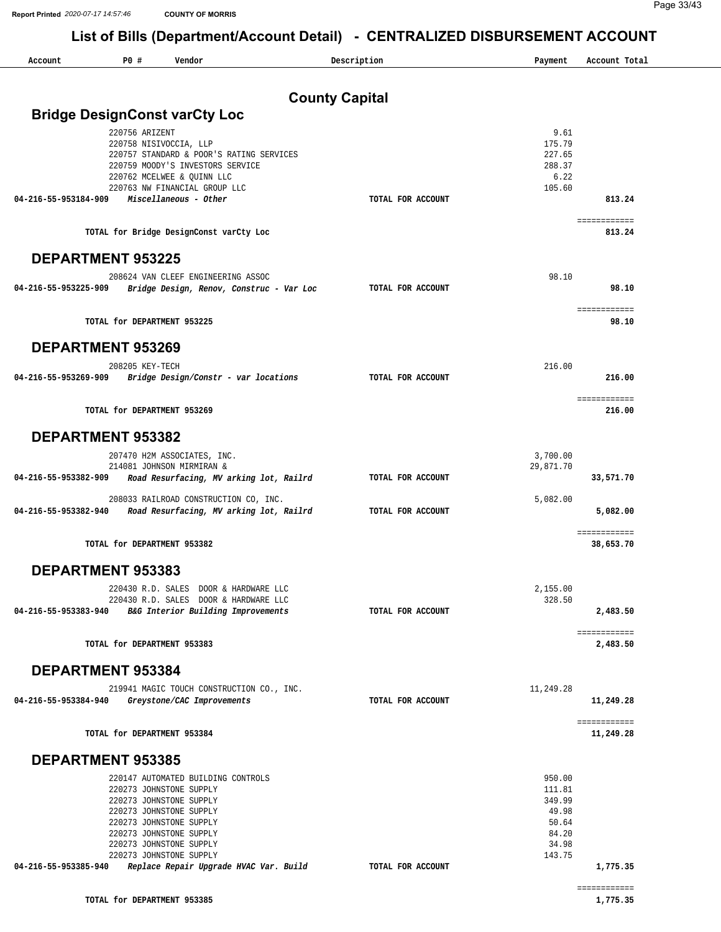| Account                  | P0#                         | Vendor                                                                           | Description           | Payment          | Account Total             |
|--------------------------|-----------------------------|----------------------------------------------------------------------------------|-----------------------|------------------|---------------------------|
|                          |                             |                                                                                  |                       |                  |                           |
|                          |                             |                                                                                  | <b>County Capital</b> |                  |                           |
|                          |                             | <b>Bridge DesignConst varCty Loc</b>                                             |                       |                  |                           |
|                          | 220756 ARIZENT              | 220758 NISIVOCCIA, LLP                                                           |                       | 9.61<br>175.79   |                           |
|                          |                             | 220757 STANDARD & POOR'S RATING SERVICES                                         |                       | 227.65           |                           |
|                          |                             | 220759 MOODY'S INVESTORS SERVICE                                                 |                       | 288.37           |                           |
|                          |                             | 220762 MCELWEE & OUINN LLC                                                       |                       | 6.22             |                           |
|                          |                             | 220763 NW FINANCIAL GROUP LLC<br>Miscellaneous - Other                           |                       | 105.60           | 813.24                    |
| 04-216-55-953184-909     |                             |                                                                                  | TOTAL FOR ACCOUNT     |                  |                           |
|                          |                             | TOTAL for Bridge DesignConst varCty Loc                                          |                       |                  | ============<br>813.24    |
| <b>DEPARTMENT 953225</b> |                             |                                                                                  |                       |                  |                           |
|                          |                             | 208624 VAN CLEEF ENGINEERING ASSOC                                               |                       | 98.10            |                           |
| 04-216-55-953225-909     |                             | Bridge Design, Renov, Construc - Var Loc                                         | TOTAL FOR ACCOUNT     |                  | 98.10                     |
|                          |                             |                                                                                  |                       |                  |                           |
|                          | TOTAL for DEPARTMENT 953225 |                                                                                  |                       |                  | ============<br>98.10     |
| <b>DEPARTMENT 953269</b> |                             |                                                                                  |                       |                  |                           |
|                          |                             |                                                                                  |                       |                  |                           |
|                          | 208205 KEY-TECH             |                                                                                  |                       | 216.00           |                           |
| 04-216-55-953269-909     |                             | Bridge Design/Constr - var locations                                             | TOTAL FOR ACCOUNT     |                  | 216.00                    |
|                          | TOTAL for DEPARTMENT 953269 |                                                                                  |                       |                  | ============<br>216.00    |
| DEPARTMENT 953382        |                             |                                                                                  |                       |                  |                           |
|                          |                             | 207470 H2M ASSOCIATES, INC.                                                      |                       | 3,700.00         |                           |
|                          |                             | 214081 JOHNSON MIRMIRAN &                                                        |                       | 29,871.70        |                           |
| 04-216-55-953382-909     |                             | Road Resurfacing, MV arking lot, Railrd                                          | TOTAL FOR ACCOUNT     |                  | 33,571.70                 |
|                          |                             |                                                                                  |                       |                  |                           |
| 04-216-55-953382-940     |                             | 208033 RAILROAD CONSTRUCTION CO, INC.<br>Road Resurfacing, MV arking lot, Railrd | TOTAL FOR ACCOUNT     | 5,082.00         | 5,082.00                  |
|                          |                             |                                                                                  |                       |                  | ============              |
|                          | TOTAL for DEPARTMENT 953382 |                                                                                  |                       |                  | 38,653.70                 |
| DEPARTMENT 953383        |                             |                                                                                  |                       |                  |                           |
|                          |                             | 220430 R.D. SALES DOOR & HARDWARE LLC                                            |                       | 2,155.00         |                           |
|                          |                             | 220430 R.D. SALES DOOR & HARDWARE LLC                                            |                       | 328.50           |                           |
| 04-216-55-953383-940     |                             | B&G Interior Building Improvements                                               | TOTAL FOR ACCOUNT     |                  | 2,483.50                  |
|                          | TOTAL for DEPARTMENT 953383 |                                                                                  |                       |                  | ============<br>2,483.50  |
|                          |                             |                                                                                  |                       |                  |                           |
| <b>DEPARTMENT 953384</b> |                             |                                                                                  |                       |                  |                           |
|                          |                             | 219941 MAGIC TOUCH CONSTRUCTION CO., INC.                                        |                       | 11,249.28        |                           |
| 04-216-55-953384-940     |                             | Greystone/CAC Improvements                                                       | TOTAL FOR ACCOUNT     |                  | 11,249.28                 |
|                          | TOTAL for DEPARTMENT 953384 |                                                                                  |                       |                  | ============<br>11,249.28 |
| <b>DEPARTMENT 953385</b> |                             |                                                                                  |                       |                  |                           |
|                          |                             |                                                                                  |                       |                  |                           |
|                          |                             | 220147 AUTOMATED BUILDING CONTROLS<br>220273 JOHNSTONE SUPPLY                    |                       | 950.00<br>111.81 |                           |
|                          |                             | 220273 JOHNSTONE SUPPLY                                                          |                       | 349.99           |                           |
|                          |                             | 220273 JOHNSTONE SUPPLY                                                          |                       | 49.98            |                           |
|                          |                             | 220273 JOHNSTONE SUPPLY                                                          |                       | 50.64            |                           |
|                          |                             | 220273 JOHNSTONE SUPPLY                                                          |                       | 84.20<br>34.98   |                           |
|                          |                             | 220273 JOHNSTONE SUPPLY<br>220273 JOHNSTONE SUPPLY                               |                       | 143.75           |                           |
| 04-216-55-953385-940     |                             | Replace Repair Upgrade HVAC Var. Build                                           | TOTAL FOR ACCOUNT     |                  | 1,775.35                  |
|                          |                             |                                                                                  |                       |                  | ============              |
|                          |                             |                                                                                  |                       |                  |                           |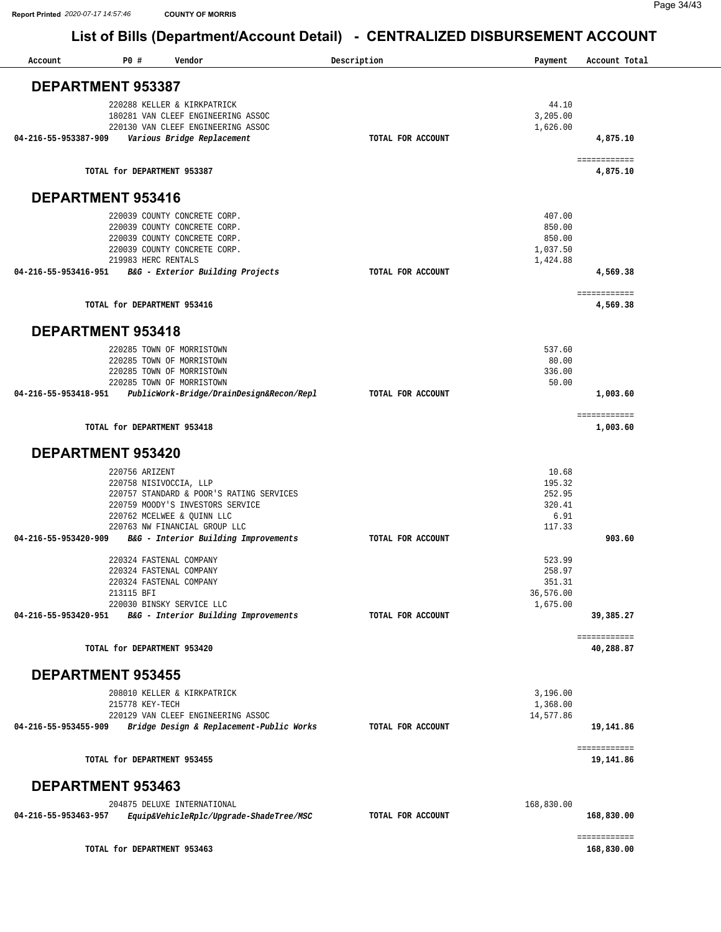| Account                  | P0#<br>Vendor                                                      |                                          | Description       | Payment             | Account Total              |
|--------------------------|--------------------------------------------------------------------|------------------------------------------|-------------------|---------------------|----------------------------|
| <b>DEPARTMENT 953387</b> |                                                                    |                                          |                   |                     |                            |
|                          | 220288 KELLER & KIRKPATRICK<br>180281 VAN CLEEF ENGINEERING ASSOC  |                                          |                   | 44.10<br>3,205.00   |                            |
|                          | 220130 VAN CLEEF ENGINEERING ASSOC                                 |                                          |                   | 1,626.00            |                            |
| 04-216-55-953387-909     | Various Bridge Replacement                                         |                                          | TOTAL FOR ACCOUNT |                     | 4,875.10                   |
|                          | TOTAL for DEPARTMENT 953387                                        |                                          |                   |                     | ============<br>4,875.10   |
| DEPARTMENT 953416        |                                                                    |                                          |                   |                     |                            |
|                          | 220039 COUNTY CONCRETE CORP.                                       |                                          |                   | 407.00              |                            |
|                          | 220039 COUNTY CONCRETE CORP.<br>220039 COUNTY CONCRETE CORP.       |                                          |                   | 850.00<br>850.00    |                            |
|                          | 220039 COUNTY CONCRETE CORP.                                       |                                          |                   | 1,037.50            |                            |
|                          | 219983 HERC RENTALS                                                |                                          |                   | 1,424.88            |                            |
| 04-216-55-953416-951     | B&G - Exterior Building Projects                                   |                                          | TOTAL FOR ACCOUNT |                     | 4,569.38                   |
|                          | TOTAL for DEPARTMENT 953416                                        |                                          |                   |                     | ============<br>4,569.38   |
| <b>DEPARTMENT 953418</b> |                                                                    |                                          |                   |                     |                            |
|                          | 220285 TOWN OF MORRISTOWN                                          |                                          |                   | 537.60              |                            |
|                          | 220285 TOWN OF MORRISTOWN                                          |                                          |                   | 80.00               |                            |
|                          | 220285 TOWN OF MORRISTOWN                                          |                                          |                   | 336.00              |                            |
| 04-216-55-953418-951     | 220285 TOWN OF MORRISTOWN                                          | PublicWork-Bridge/DrainDesign&Recon/Repl | TOTAL FOR ACCOUNT | 50.00               | 1,003.60                   |
|                          | TOTAL for DEPARTMENT 953418                                        |                                          |                   |                     | ============<br>1,003.60   |
|                          |                                                                    |                                          |                   |                     |                            |
| <b>DEPARTMENT 953420</b> |                                                                    |                                          |                   |                     |                            |
|                          | 220756 ARIZENT                                                     |                                          |                   | 10.68               |                            |
|                          | 220758 NISIVOCCIA, LLP<br>220757 STANDARD & POOR'S RATING SERVICES |                                          |                   | 195.32<br>252.95    |                            |
|                          | 220759 MOODY'S INVESTORS SERVICE                                   |                                          |                   | 320.41              |                            |
|                          | 220762 MCELWEE & OUINN LLC                                         |                                          |                   | 6.91                |                            |
|                          | 220763 NW FINANCIAL GROUP LLC                                      |                                          |                   | 117.33              |                            |
| 04-216-55-953420-909     | B&G - Interior Building Improvements                               |                                          | TOTAL FOR ACCOUNT |                     | 903.60                     |
|                          | 220324 FASTENAL COMPANY                                            |                                          |                   | 523.99              |                            |
|                          | 220324 FASTENAL COMPANY                                            |                                          |                   | 258.97              |                            |
|                          | 220324 FASTENAL COMPANY<br>213115 BFI                              |                                          |                   | 351.31<br>36,576.00 |                            |
|                          | 220030 BINSKY SERVICE LLC                                          |                                          |                   | 1,675.00            |                            |
|                          | 04-216-55-953420-951 B&G - Interior Building Improvements          |                                          | TOTAL FOR ACCOUNT |                     | 39,385.27                  |
|                          | TOTAL for DEPARTMENT 953420                                        |                                          |                   |                     | ============<br>40,288.87  |
| <b>DEPARTMENT 953455</b> |                                                                    |                                          |                   |                     |                            |
|                          | 208010 KELLER & KIRKPATRICK                                        |                                          |                   | 3,196.00            |                            |
|                          | 215778 KEY-TECH                                                    |                                          |                   | 1,368.00            |                            |
|                          | 220129 VAN CLEEF ENGINEERING ASSOC                                 |                                          |                   | 14,577.86           |                            |
| 04-216-55-953455-909     |                                                                    | Bridge Design & Replacement-Public Works | TOTAL FOR ACCOUNT |                     | 19,141.86                  |
|                          | TOTAL for DEPARTMENT 953455                                        |                                          |                   |                     | ============<br>19,141.86  |
| <b>DEPARTMENT 953463</b> |                                                                    |                                          |                   |                     |                            |
|                          | 204875 DELUXE INTERNATIONAL                                        |                                          |                   | 168,830.00          |                            |
| 04-216-55-953463-957     |                                                                    | Equip&VehicleRplc/Upgrade-ShadeTree/MSC  | TOTAL FOR ACCOUNT |                     | 168,830.00                 |
|                          | TOTAL for DEPARTMENT 953463                                        |                                          |                   |                     | ============<br>168,830.00 |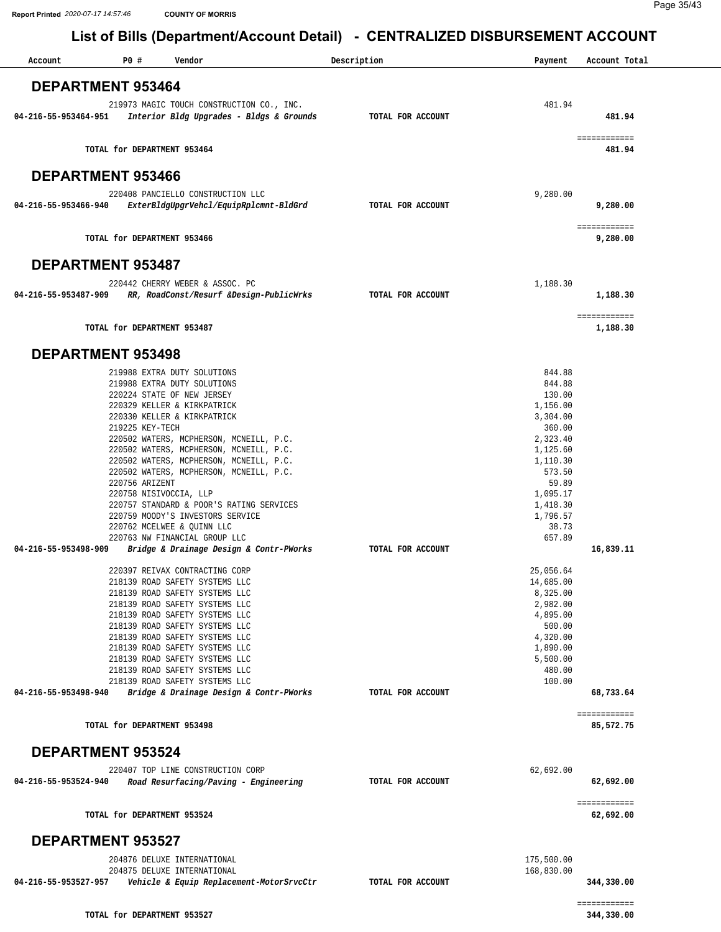| Account              | P0#                         | Vendor                                                                                | Description       | Payment              | Account Total             |
|----------------------|-----------------------------|---------------------------------------------------------------------------------------|-------------------|----------------------|---------------------------|
|                      |                             |                                                                                       |                   |                      |                           |
|                      | <b>DEPARTMENT 953464</b>    |                                                                                       |                   |                      |                           |
| 04-216-55-953464-951 |                             | 219973 MAGIC TOUCH CONSTRUCTION CO., INC.<br>Interior Bldg Upgrades - Bldgs & Grounds | TOTAL FOR ACCOUNT | 481.94               | 481.94                    |
|                      | TOTAL for DEPARTMENT 953464 |                                                                                       |                   |                      | ============<br>481.94    |
|                      | <b>DEPARTMENT 953466</b>    |                                                                                       |                   |                      |                           |
|                      |                             | 220408 PANCIELLO CONSTRUCTION LLC                                                     |                   | 9,280.00             |                           |
| 04-216-55-953466-940 |                             | ExterBldgUpgrVehcl/EquipRplcmnt-BldGrd                                                | TOTAL FOR ACCOUNT |                      | 9,280.00                  |
|                      | TOTAL for DEPARTMENT 953466 |                                                                                       |                   |                      | ============<br>9,280.00  |
|                      | <b>DEPARTMENT 953487</b>    |                                                                                       |                   |                      |                           |
|                      |                             | 220442 CHERRY WEBER & ASSOC. PC                                                       |                   | 1,188.30             |                           |
| 04-216-55-953487-909 |                             | RR, RoadConst/Resurf &Design-PublicWrks                                               | TOTAL FOR ACCOUNT |                      | 1,188.30                  |
|                      | TOTAL for DEPARTMENT 953487 |                                                                                       |                   |                      | ============<br>1,188.30  |
|                      | <b>DEPARTMENT 953498</b>    |                                                                                       |                   |                      |                           |
|                      |                             | 219988 EXTRA DUTY SOLUTIONS                                                           |                   | 844.88               |                           |
|                      |                             | 219988 EXTRA DUTY SOLUTIONS                                                           |                   | 844.88               |                           |
|                      |                             | 220224 STATE OF NEW JERSEY<br>220329 KELLER & KIRKPATRICK                             |                   | 130.00<br>1,156.00   |                           |
|                      |                             | 220330 KELLER & KIRKPATRICK                                                           |                   | 3,304.00             |                           |
|                      | 219225 KEY-TECH             |                                                                                       |                   | 360.00               |                           |
|                      |                             | 220502 WATERS, MCPHERSON, MCNEILL, P.C.                                               |                   | 2,323.40             |                           |
|                      |                             | 220502 WATERS, MCPHERSON, MCNEILL, P.C.<br>220502 WATERS, MCPHERSON, MCNEILL, P.C.    |                   | 1,125.60<br>1,110.30 |                           |
|                      |                             | 220502 WATERS, MCPHERSON, MCNEILL, P.C.                                               |                   | 573.50               |                           |
|                      | 220756 ARIZENT              |                                                                                       |                   | 59.89                |                           |
|                      | 220758 NISIVOCCIA, LLP      |                                                                                       |                   | 1,095.17             |                           |
|                      |                             | 220757 STANDARD & POOR'S RATING SERVICES                                              |                   | 1,418.30             |                           |
|                      |                             | 220759 MOODY'S INVESTORS SERVICE<br>220762 MCELWEE & QUINN LLC                        |                   | 1,796.57<br>38.73    |                           |
|                      |                             | 220763 NW FINANCIAL GROUP LLC                                                         |                   | 657.89               |                           |
| 04-216-55-953498-909 |                             | Bridge & Drainage Design & Contr-PWorks                                               | TOTAL FOR ACCOUNT |                      | 16,839.11                 |
|                      |                             | 220397 REIVAX CONTRACTING CORP                                                        |                   | 25,056.64            |                           |
|                      |                             | 218139 ROAD SAFETY SYSTEMS LLC                                                        |                   | 14,685.00            |                           |
|                      |                             | 218139 ROAD SAFETY SYSTEMS LLC                                                        |                   | 8,325.00             |                           |
|                      |                             | 218139 ROAD SAFETY SYSTEMS LLC                                                        |                   | 2,982.00             |                           |
|                      |                             | 218139 ROAD SAFETY SYSTEMS LLC<br>218139 ROAD SAFETY SYSTEMS LLC                      |                   | 4,895.00<br>500.00   |                           |
|                      |                             | 218139 ROAD SAFETY SYSTEMS LLC                                                        |                   | 4,320.00             |                           |
|                      |                             | 218139 ROAD SAFETY SYSTEMS LLC                                                        |                   | 1,890.00             |                           |
|                      |                             | 218139 ROAD SAFETY SYSTEMS LLC                                                        |                   | 5,500.00             |                           |
|                      |                             | 218139 ROAD SAFETY SYSTEMS LLC<br>218139 ROAD SAFETY SYSTEMS LLC                      |                   | 480.00<br>100.00     |                           |
| 04-216-55-953498-940 |                             | Bridge & Drainage Design & Contr-PWorks                                               | TOTAL FOR ACCOUNT |                      | 68,733.64                 |
|                      | TOTAL for DEPARTMENT 953498 |                                                                                       |                   |                      | ============<br>85,572.75 |
|                      | <b>DEPARTMENT 953524</b>    |                                                                                       |                   |                      |                           |
|                      |                             | 220407 TOP LINE CONSTRUCTION CORP                                                     |                   | 62,692.00            |                           |
| 04-216-55-953524-940 |                             | Road Resurfacing/Paving - Engineering                                                 | TOTAL FOR ACCOUNT |                      | 62,692.00                 |
|                      | TOTAL for DEPARTMENT 953524 |                                                                                       |                   |                      | ============<br>62,692.00 |
|                      | <b>DEPARTMENT 953527</b>    |                                                                                       |                   |                      |                           |
|                      |                             | 204876 DELUXE INTERNATIONAL                                                           |                   | 175,500.00           |                           |
|                      |                             | 204875 DELUXE INTERNATIONAL                                                           |                   | 168,830.00           |                           |
|                      |                             | 04-216-55-953527-957    Vehicle & Equip Replacement-MotorSrvcCtr                      | TOTAL FOR ACCOUNT |                      | 344,330.00                |
|                      |                             |                                                                                       |                   |                      | ============              |
|                      | TOTAL for DEPARTMENT 953527 |                                                                                       |                   |                      | 344,330.00                |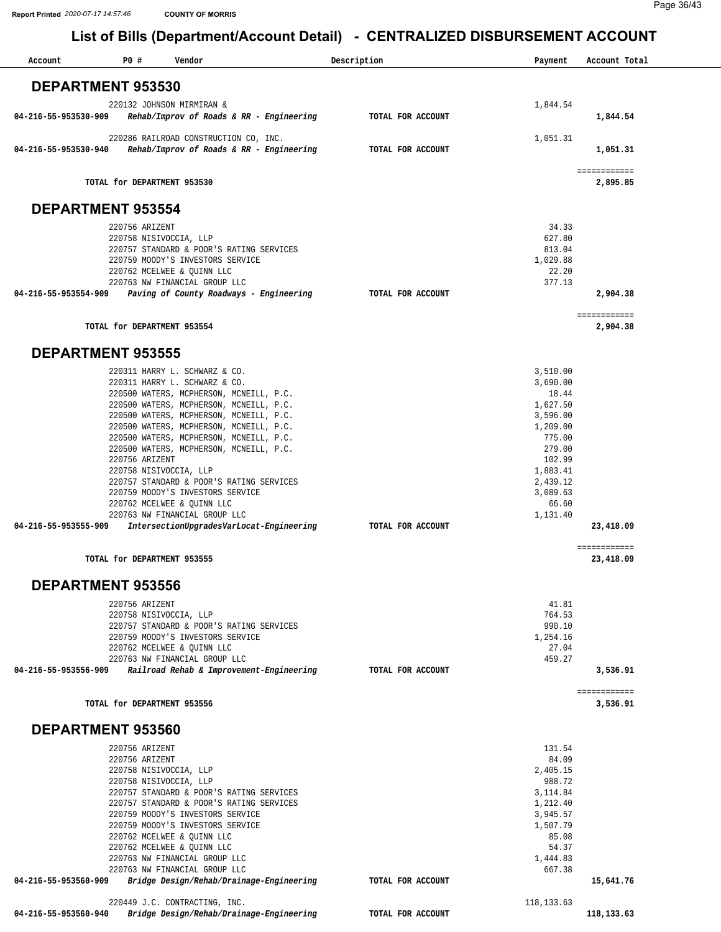| Account              | P0#                                      | Vendor                                                                               | Description |                   | Payment              | Account Total            |
|----------------------|------------------------------------------|--------------------------------------------------------------------------------------|-------------|-------------------|----------------------|--------------------------|
|                      |                                          |                                                                                      |             |                   |                      |                          |
|                      | <b>DEPARTMENT 953530</b>                 |                                                                                      |             |                   |                      |                          |
| 04-216-55-953530-909 |                                          | 220132 JOHNSON MIRMIRAN &<br>Rehab/Improv of Roads & RR - Engineering                |             | TOTAL FOR ACCOUNT | 1,844.54             | 1,844.54                 |
| 04-216-55-953530-940 |                                          | 220286 RAILROAD CONSTRUCTION CO, INC.<br>Rehab/Improv of Roads & RR - Engineering    |             | TOTAL FOR ACCOUNT | 1,051.31             | 1,051.31                 |
|                      | TOTAL for DEPARTMENT 953530              |                                                                                      |             |                   |                      | ============<br>2,895.85 |
|                      | <b>DEPARTMENT 953554</b>                 |                                                                                      |             |                   |                      |                          |
|                      | 220756 ARIZENT                           |                                                                                      |             |                   | 34.33                |                          |
|                      | 220758 NISIVOCCIA, LLP                   | 220757 STANDARD & POOR'S RATING SERVICES                                             |             |                   | 627.80<br>813.04     |                          |
|                      |                                          | 220759 MOODY'S INVESTORS SERVICE                                                     |             |                   | 1,029.88             |                          |
|                      |                                          | 220762 MCELWEE & QUINN LLC<br>220763 NW FINANCIAL GROUP LLC                          |             |                   | 22.20<br>377.13      |                          |
| 04-216-55-953554-909 |                                          | Paving of County Roadways - Engineering                                              |             | TOTAL FOR ACCOUNT |                      | 2,904.38                 |
|                      | TOTAL for DEPARTMENT 953554              |                                                                                      |             |                   |                      | ============<br>2,904.38 |
|                      | <b>DEPARTMENT 953555</b>                 |                                                                                      |             |                   |                      |                          |
|                      |                                          | 220311 HARRY L. SCHWARZ & CO.                                                        |             |                   | 3,510.00             |                          |
|                      |                                          | 220311 HARRY L. SCHWARZ & CO.<br>220500 WATERS, MCPHERSON, MCNEILL, P.C.             |             |                   | 3,690.00<br>18.44    |                          |
|                      |                                          | 220500 WATERS, MCPHERSON, MCNEILL, P.C.                                              |             |                   | 1,627.50             |                          |
|                      |                                          | 220500 WATERS, MCPHERSON, MCNEILL, P.C.<br>220500 WATERS, MCPHERSON, MCNEILL, P.C.   |             |                   | 3,596.00<br>1,209.00 |                          |
|                      |                                          | 220500 WATERS, MCPHERSON, MCNEILL, P.C.                                              |             |                   | 775.00               |                          |
|                      | 220756 ARIZENT                           | 220500 WATERS, MCPHERSON, MCNEILL, P.C.                                              |             |                   | 279.00<br>102.99     |                          |
|                      | 220758 NISIVOCCIA, LLP                   |                                                                                      |             |                   | 1,883.41             |                          |
|                      |                                          | 220757 STANDARD & POOR'S RATING SERVICES<br>220759 MOODY'S INVESTORS SERVICE         |             |                   | 2,439.12<br>3,089.63 |                          |
|                      |                                          | 220762 MCELWEE & QUINN LLC                                                           |             |                   | 66.60                |                          |
| 04-216-55-953555-909 |                                          | 220763 NW FINANCIAL GROUP LLC<br>IntersectionUpgradesVarLocat-Engineering            |             | TOTAL FOR ACCOUNT | 1,131.40             | 23,418.09                |
|                      |                                          |                                                                                      |             |                   |                      | ============             |
|                      | TOTAL for DEPARTMENT 953555              |                                                                                      |             |                   |                      | 23,418.09                |
|                      | <b>DEPARTMENT 953556</b>                 |                                                                                      |             |                   |                      |                          |
|                      | 220756 ARIZENT                           |                                                                                      |             |                   | 41.81                |                          |
|                      | 220758 NISIVOCCIA, LLP                   | 220757 STANDARD & POOR'S RATING SERVICES                                             |             |                   | 764.53<br>990.10     |                          |
|                      |                                          | 220759 MOODY'S INVESTORS SERVICE                                                     |             |                   | 1,254.16             |                          |
|                      |                                          | 220762 MCELWEE & OUINN LLC<br>220763 NW FINANCIAL GROUP LLC                          |             |                   | 27.04<br>459.27      |                          |
| 04-216-55-953556-909 |                                          | Railroad Rehab & Improvement-Engineering                                             |             | TOTAL FOR ACCOUNT |                      | 3,536.91                 |
|                      | TOTAL for DEPARTMENT 953556              |                                                                                      |             |                   |                      | ============<br>3,536.91 |
|                      | DEPARTMENT 953560                        |                                                                                      |             |                   |                      |                          |
|                      | 220756 ARIZENT                           |                                                                                      |             |                   | 131.54               |                          |
|                      | 220756 ARIZENT<br>220758 NISIVOCCIA, LLP |                                                                                      |             |                   | 84.09<br>2,405.15    |                          |
|                      | 220758 NISIVOCCIA, LLP                   |                                                                                      |             |                   | 988.72               |                          |
|                      |                                          | 220757 STANDARD & POOR'S RATING SERVICES<br>220757 STANDARD & POOR'S RATING SERVICES |             |                   | 3,114.84<br>1,212.40 |                          |
|                      |                                          | 220759 MOODY'S INVESTORS SERVICE                                                     |             |                   | 3,945.57             |                          |
|                      |                                          | 220759 MOODY'S INVESTORS SERVICE<br>220762 MCELWEE & QUINN LLC                       |             |                   | 1,507.79<br>85.08    |                          |
|                      |                                          | 220762 MCELWEE & QUINN LLC<br>220763 NW FINANCIAL GROUP LLC                          |             |                   | 54.37<br>1,444.83    |                          |
|                      |                                          | 220763 NW FINANCIAL GROUP LLC                                                        |             |                   | 667.38               |                          |
| 04-216-55-953560-909 |                                          | Bridge Design/Rehab/Drainage-Engineering                                             |             | TOTAL FOR ACCOUNT |                      | 15,641.76                |
| 04-216-55-953560-940 |                                          | 220449 J.C. CONTRACTING, INC.<br>Bridge Design/Rehab/Drainage-Engineering            |             | TOTAL FOR ACCOUNT | 118, 133.63          | 118,133.63               |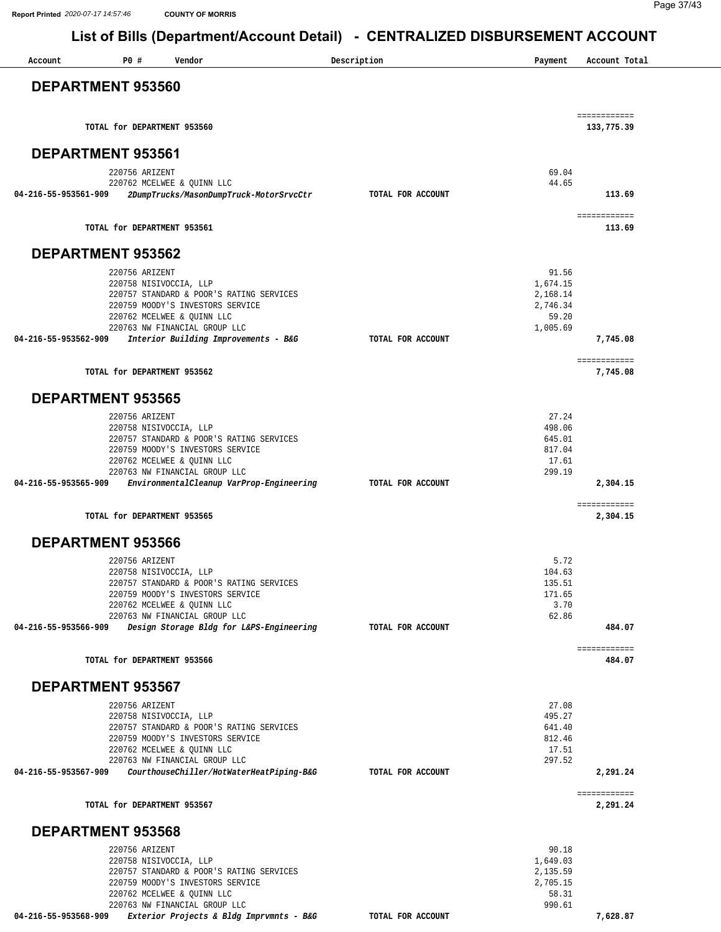**Report Printed** *2020-07-17 14:57:46* **COUNTY OF MORRIS**

| <b>PO #</b><br>Vendor<br>Account                                   | Description       | Payment              | Account Total              |
|--------------------------------------------------------------------|-------------------|----------------------|----------------------------|
| <b>DEPARTMENT 953560</b>                                           |                   |                      |                            |
| TOTAL for DEPARTMENT 953560                                        |                   |                      | ============<br>133,775.39 |
|                                                                    |                   |                      |                            |
| <b>DEPARTMENT 953561</b><br>220756 ARIZENT                         |                   | 69.04                |                            |
| 220762 MCELWEE & QUINN LLC                                         |                   | 44.65                |                            |
| 2DumpTrucks/MasonDumpTruck-MotorSrvcCtr<br>04-216-55-953561-909    | TOTAL FOR ACCOUNT |                      | 113.69                     |
| TOTAL for DEPARTMENT 953561                                        |                   |                      | ============<br>113.69     |
| <b>DEPARTMENT 953562</b>                                           |                   |                      |                            |
| 220756 ARIZENT                                                     |                   | 91.56                |                            |
| 220758 NISIVOCCIA, LLP<br>220757 STANDARD & POOR'S RATING SERVICES |                   | 1,674.15<br>2,168.14 |                            |
| 220759 MOODY'S INVESTORS SERVICE<br>220762 MCELWEE & QUINN LLC     |                   | 2,746.34<br>59.20    |                            |
| 220763 NW FINANCIAL GROUP LLC                                      |                   | 1,005.69             |                            |
| 04-216-55-953562-909<br>Interior Building Improvements - B&G       | TOTAL FOR ACCOUNT |                      | 7,745.08                   |
| TOTAL for DEPARTMENT 953562                                        |                   |                      | ============<br>7,745.08   |
| <b>DEPARTMENT 953565</b>                                           |                   |                      |                            |
| 220756 ARIZENT                                                     |                   | 27.24                |                            |
| 220758 NISIVOCCIA, LLP<br>220757 STANDARD & POOR'S RATING SERVICES |                   | 498.06<br>645.01     |                            |
| 220759 MOODY'S INVESTORS SERVICE                                   |                   | 817.04               |                            |
| 220762 MCELWEE & QUINN LLC<br>220763 NW FINANCIAL GROUP LLC        |                   | 17.61<br>299.19      |                            |
| 04-216-55-953565-909<br>EnvironmentalCleanup VarProp-Engineering   | TOTAL FOR ACCOUNT |                      | 2,304.15                   |
| TOTAL for DEPARTMENT 953565                                        |                   |                      | ============<br>2,304.15   |
| <b>DEPARTMENT 953566</b>                                           |                   |                      |                            |
| 220756 ARIZENT                                                     |                   | 5.72                 |                            |
| 220758 NISIVOCCIA, LLP<br>220757 STANDARD & POOR'S RATING SERVICES |                   | 104.63<br>135.51     |                            |
| 220759 MOODY'S INVESTORS SERVICE                                   |                   | 171.65               |                            |
| 220762 MCELWEE & QUINN LLC<br>220763 NW FINANCIAL GROUP LLC        |                   | 3.70<br>62.86        |                            |
| 04-216-55-953566-909<br>Design Storage Bldg for L&PS-Engineering   | TOTAL FOR ACCOUNT |                      | 484.07                     |
| TOTAL for DEPARTMENT 953566                                        |                   |                      | ============<br>484.07     |
| <b>DEPARTMENT 953567</b>                                           |                   |                      |                            |
| 220756 ARIZENT                                                     |                   | 27.08                |                            |
| 220758 NISIVOCCIA, LLP<br>220757 STANDARD & POOR'S RATING SERVICES |                   | 495.27<br>641.40     |                            |
| 220759 MOODY'S INVESTORS SERVICE                                   |                   | 812.46               |                            |
| 220762 MCELWEE & QUINN LLC<br>220763 NW FINANCIAL GROUP LLC        |                   | 17.51<br>297.52      |                            |
| CourthouseChiller/HotWaterHeatPiping-B&G<br>04-216-55-953567-909   | TOTAL FOR ACCOUNT |                      | 2,291.24                   |
| TOTAL for DEPARTMENT 953567                                        |                   |                      | ============<br>2,291.24   |
| <b>DEPARTMENT 953568</b>                                           |                   |                      |                            |
| 220756 ARIZENT                                                     |                   | 90.18                |                            |
| 220758 NISIVOCCIA, LLP<br>220757 STANDARD & POOR'S RATING SERVICES |                   | 1,649.03<br>2,135.59 |                            |
| 220759 MOODY'S INVESTORS SERVICE                                   |                   | 2,705.15             |                            |
| 220762 MCELWEE & QUINN LLC<br>220763 NW FINANCIAL GROUP LLC        |                   | 58.31<br>990.61      |                            |
| Exterior Projects & Bldg Imprvmnts - B&G<br>04-216-55-953568-909   | TOTAL FOR ACCOUNT |                      | 7,628.87                   |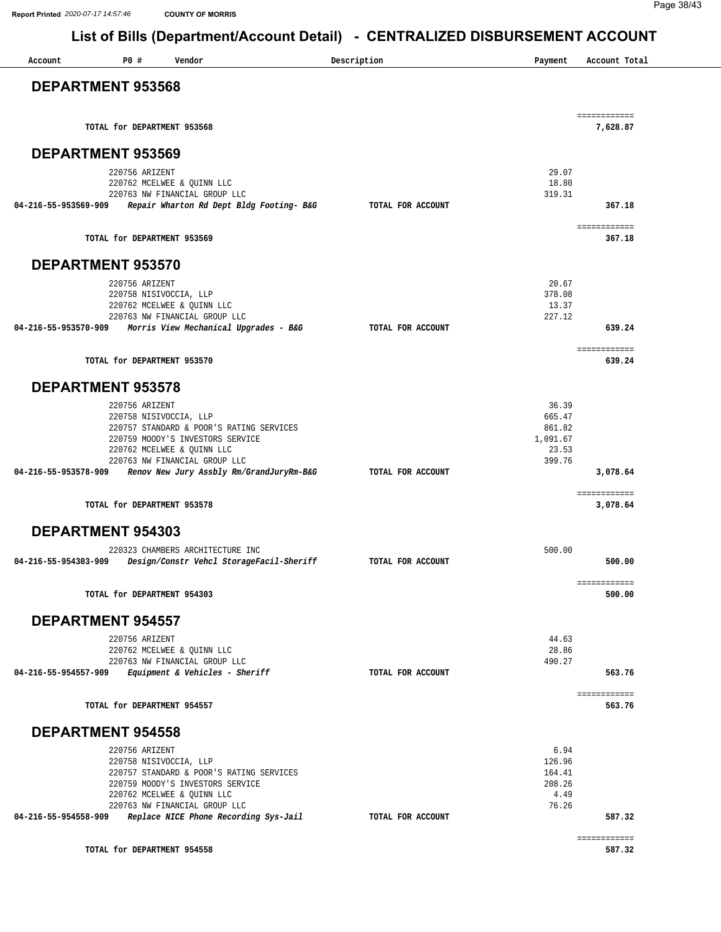**Report Printed** *2020-07-17 14:57:46* **COUNTY OF MORRIS**

| Account              | P0#                         | Vendor                                                                    | Description       | Payment          | Account Total            |
|----------------------|-----------------------------|---------------------------------------------------------------------------|-------------------|------------------|--------------------------|
|                      | <b>DEPARTMENT 953568</b>    |                                                                           |                   |                  |                          |
|                      | TOTAL for DEPARTMENT 953568 |                                                                           |                   |                  | ============<br>7,628.87 |
|                      | <b>DEPARTMENT 953569</b>    |                                                                           |                   |                  |                          |
|                      | 220756 ARIZENT              |                                                                           |                   | 29.07            |                          |
|                      |                             | 220762 MCELWEE & QUINN LLC                                                |                   | 18.80            |                          |
| 04-216-55-953569-909 |                             | 220763 NW FINANCIAL GROUP LLC<br>Repair Wharton Rd Dept Bldg Footing- B&G | TOTAL FOR ACCOUNT | 319.31           | 367.18                   |
|                      | TOTAL for DEPARTMENT 953569 |                                                                           |                   |                  | ============<br>367.18   |
|                      | <b>DEPARTMENT 953570</b>    |                                                                           |                   |                  |                          |
|                      | 220756 ARIZENT              |                                                                           |                   | 20.67            |                          |
|                      | 220758 NISIVOCCIA, LLP      | 220762 MCELWEE & QUINN LLC                                                |                   | 378.08<br>13.37  |                          |
|                      |                             | 220763 NW FINANCIAL GROUP LLC                                             |                   | 227.12           |                          |
|                      |                             | 04-216-55-953570-909 Morris View Mechanical Upgrades - B&G                | TOTAL FOR ACCOUNT |                  | 639.24                   |
|                      | TOTAL for DEPARTMENT 953570 |                                                                           |                   |                  | ============<br>639.24   |
|                      | <b>DEPARTMENT 953578</b>    |                                                                           |                   |                  |                          |
|                      | 220756 ARIZENT              |                                                                           |                   | 36.39            |                          |
|                      | 220758 NISIVOCCIA, LLP      | 220757 STANDARD & POOR'S RATING SERVICES                                  |                   | 665.47<br>861.82 |                          |
|                      |                             | 220759 MOODY'S INVESTORS SERVICE                                          |                   | 1,091.67         |                          |
|                      |                             | 220762 MCELWEE & QUINN LLC<br>220763 NW FINANCIAL GROUP LLC               |                   | 23.53<br>399.76  |                          |
| 04-216-55-953578-909 |                             | Renov New Jury Assbly Rm/GrandJuryRm-B&G                                  | TOTAL FOR ACCOUNT |                  | 3,078.64                 |
|                      | TOTAL for DEPARTMENT 953578 |                                                                           |                   |                  | ============<br>3,078.64 |
|                      | DEPARTMENT 954303           |                                                                           |                   |                  |                          |
|                      |                             | 220323 CHAMBERS ARCHITECTURE INC                                          |                   | 500.00           |                          |
| 04-216-55-954303-909 |                             | Design/Constr Vehcl StorageFacil-Sheriff                                  | TOTAL FOR ACCOUNT |                  | 500.00                   |
|                      | TOTAL for DEPARTMENT 954303 |                                                                           |                   |                  | ============<br>500.00   |
|                      | <b>DEPARTMENT 954557</b>    |                                                                           |                   |                  |                          |
|                      | 220756 ARIZENT              |                                                                           |                   | 44.63            |                          |
|                      |                             | 220762 MCELWEE & QUINN LLC<br>220763 NW FINANCIAL GROUP LLC               |                   | 28.86<br>490.27  |                          |
| 04-216-55-954557-909 |                             | Equipment & Vehicles - Sheriff                                            | TOTAL FOR ACCOUNT |                  | 563.76                   |
|                      | TOTAL for DEPARTMENT 954557 |                                                                           |                   |                  | ============<br>563.76   |
|                      | <b>DEPARTMENT 954558</b>    |                                                                           |                   |                  |                          |
|                      | 220756 ARIZENT              |                                                                           |                   | 6.94             |                          |
|                      |                             | 220758 NISIVOCCIA, LLP<br>220757 STANDARD & POOR'S RATING SERVICES        |                   | 126.96<br>164.41 |                          |
|                      |                             | 220759 MOODY'S INVESTORS SERVICE                                          |                   | 208.26           |                          |
|                      |                             | 220762 MCELWEE & QUINN LLC                                                |                   | 4.49             |                          |
| 04-216-55-954558-909 |                             | 220763 NW FINANCIAL GROUP LLC<br>Replace NICE Phone Recording Sys-Jail    | TOTAL FOR ACCOUNT | 76.26            | 587.32                   |
|                      |                             |                                                                           |                   |                  | ============             |
|                      | TOTAL for DEPARTMENT 954558 |                                                                           |                   |                  | 587.32                   |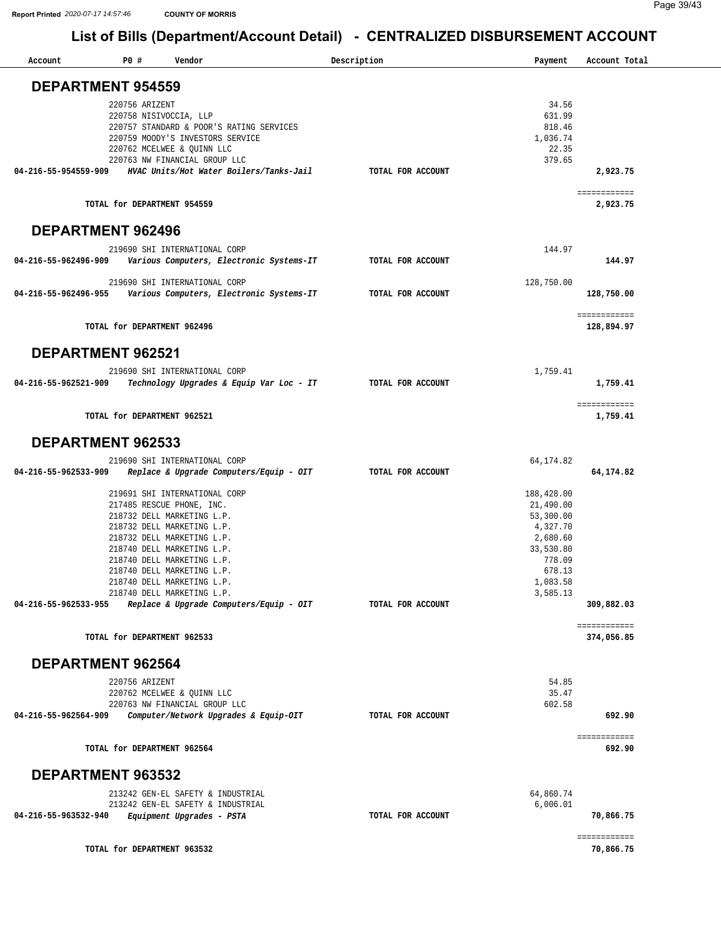| Account                  | P0 #           | Vendor                                                             | Description       | Payment    | Account Total              |
|--------------------------|----------------|--------------------------------------------------------------------|-------------------|------------|----------------------------|
| <b>DEPARTMENT 954559</b> |                |                                                                    |                   |            |                            |
|                          | 220756 ARIZENT |                                                                    |                   | 34.56      |                            |
|                          |                |                                                                    |                   | 631.99     |                            |
|                          |                | 220758 NISIVOCCIA, LLP<br>220757 STANDARD & POOR'S RATING SERVICES |                   | 818.46     |                            |
|                          |                | 220759 MOODY'S INVESTORS SERVICE                                   |                   | 1,036.74   |                            |
|                          |                | 220762 MCELWEE & QUINN LLC                                         |                   | 22.35      |                            |
|                          |                | 220763 NW FINANCIAL GROUP LLC                                      |                   | 379.65     |                            |
| 04-216-55-954559-909     |                | HVAC Units/Hot Water Boilers/Tanks-Jail                            | TOTAL FOR ACCOUNT |            | 2,923.75                   |
|                          |                |                                                                    |                   |            |                            |
|                          |                | TOTAL for DEPARTMENT 954559                                        |                   |            | ============<br>2,923.75   |
| <b>DEPARTMENT 962496</b> |                |                                                                    |                   |            |                            |
|                          |                | 219690 SHI INTERNATIONAL CORP                                      |                   | 144.97     |                            |
| 04-216-55-962496-909     |                | Various Computers, Electronic Systems-IT                           | TOTAL FOR ACCOUNT |            | 144.97                     |
|                          |                |                                                                    |                   |            |                            |
|                          |                | 219690 SHI INTERNATIONAL CORP                                      |                   | 128,750.00 |                            |
| 04-216-55-962496-955     |                | Various Computers, Electronic Systems-IT                           | TOTAL FOR ACCOUNT |            | 128,750.00                 |
|                          |                |                                                                    |                   |            |                            |
|                          |                | TOTAL for DEPARTMENT 962496                                        |                   |            | ============<br>128,894.97 |
| <b>DEPARTMENT 962521</b> |                |                                                                    |                   |            |                            |
|                          |                | 219690 SHI INTERNATIONAL CORP                                      |                   | 1,759.41   |                            |
| 04-216-55-962521-909     |                | Technology Upgrades & Equip Var Loc - IT                           | TOTAL FOR ACCOUNT |            | 1,759.41                   |
|                          |                |                                                                    |                   |            |                            |
|                          |                | TOTAL for DEPARTMENT 962521                                        |                   |            | ============<br>1,759.41   |
| DEPARTMENT 962533        |                |                                                                    |                   |            |                            |
|                          |                | 219690 SHI INTERNATIONAL CORP                                      |                   | 64, 174.82 |                            |
| 04-216-55-962533-909     |                | Replace & Upgrade Computers/Equip - OIT                            | TOTAL FOR ACCOUNT |            | 64,174.82                  |
|                          |                | 219691 SHI INTERNATIONAL CORP                                      |                   | 188,428.00 |                            |
|                          |                | 217485 RESCUE PHONE, INC.                                          |                   | 21,490.00  |                            |
|                          |                | 218732 DELL MARKETING L.P.                                         |                   | 53,300.00  |                            |
|                          |                | 218732 DELL MARKETING L.P.                                         |                   | 4,327.70   |                            |
|                          |                |                                                                    |                   |            |                            |
|                          |                | 218732 DELL MARKETING L.P.                                         |                   | 2,680.60   |                            |
|                          |                | 218740 DELL MARKETING L.P.                                         |                   | 33,530.80  |                            |
|                          |                | 218740 DELL MARKETING L.P.                                         |                   | 778.09     |                            |
|                          |                | 218740 DELL MARKETING L.P.                                         |                   | 678.13     |                            |
|                          |                | 218740 DELL MARKETING L.P.                                         |                   | 1,083.58   |                            |
|                          |                | 218740 DELL MARKETING L.P.                                         |                   | 3,585.13   |                            |
| 04-216-55-962533-955     |                | Replace & Upgrade Computers/Equip - OIT                            | TOTAL FOR ACCOUNT |            | 309,882.03                 |
|                          |                | TOTAL for DEPARTMENT 962533                                        |                   |            | ============<br>374,056.85 |
| DEPARTMENT 962564        |                |                                                                    |                   |            |                            |
|                          |                |                                                                    |                   |            |                            |
|                          | 220756 ARIZENT |                                                                    |                   | 54.85      |                            |
|                          |                | 220762 MCELWEE & QUINN LLC                                         |                   | 35.47      |                            |
|                          |                | 220763 NW FINANCIAL GROUP LLC                                      |                   | 602.58     |                            |
| 04-216-55-962564-909     |                | Computer/Network Upgrades & Equip-OIT                              | TOTAL FOR ACCOUNT |            | 692.90                     |
|                          |                | TOTAL for DEPARTMENT 962564                                        |                   |            | ============<br>692.90     |
| DEPARTMENT 963532        |                |                                                                    |                   |            |                            |
|                          |                | 213242 GEN-EL SAFETY & INDUSTRIAL                                  |                   |            |                            |
|                          |                |                                                                    |                   | 64,860.74  |                            |
|                          |                | 213242 GEN-EL SAFETY & INDUSTRIAL                                  |                   | 6,006.01   |                            |
| 04-216-55-963532-940     |                | Equipment Upgrades - PSTA                                          | TOTAL FOR ACCOUNT |            | 70,866.75                  |
|                          |                |                                                                    |                   |            | ============               |
|                          |                | TOTAL for DEPARTMENT 963532                                        |                   |            | 70,866.75                  |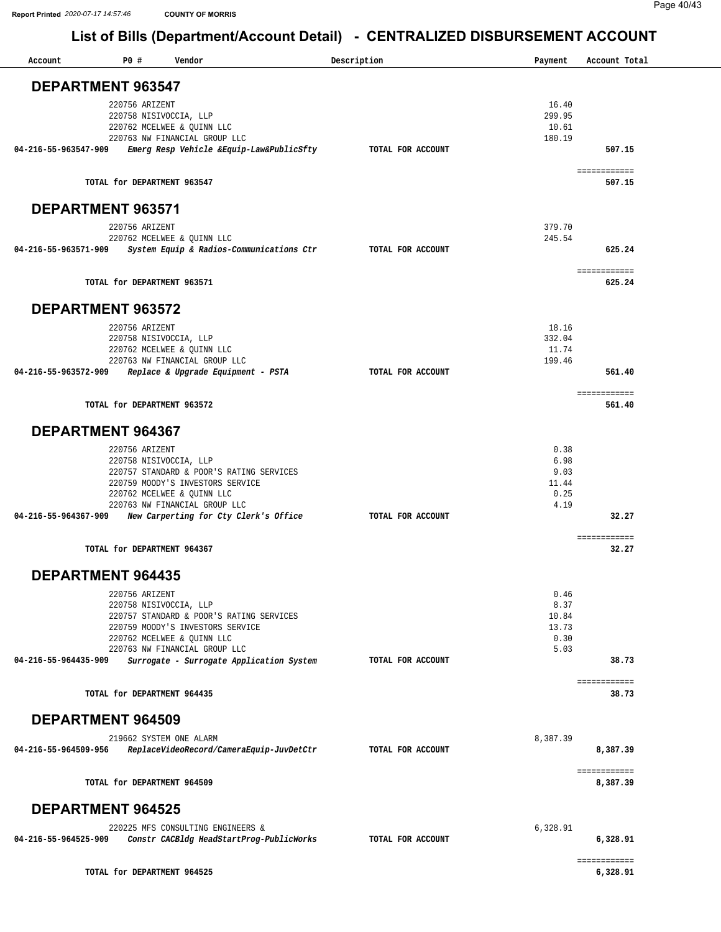| <b>DEPARTMENT 963547</b><br>16.40<br>220756 ARIZENT<br>299.95<br>220758 NISIVOCCIA, LLP<br>220762 MCELWEE & OUINN LLC<br>10.61<br>220763 NW FINANCIAL GROUP LLC<br>180.19<br>04-216-55-963547-909<br>Emerg Resp Vehicle &Equip-Law&PublicSfty<br>TOTAL FOR ACCOUNT<br>507.15<br>============<br>TOTAL for DEPARTMENT 963547<br>507.15<br>DEPARTMENT 963571<br>379.70<br>220756 ARIZENT<br>245.54<br>220762 MCELWEE & QUINN LLC<br>System Equip & Radios-Communications Ctr TOTAL FOR ACCOUNT<br>04-216-55-963571-909<br>625.24<br>============<br>TOTAL for DEPARTMENT 963571<br>625.24<br>DEPARTMENT 963572<br>18.16<br>220756 ARIZENT<br>332.04<br>220758 NISIVOCCIA, LLP<br>11.74<br>220762 MCELWEE & QUINN LLC<br>220763 NW FINANCIAL GROUP LLC<br>199.46<br>04-216-55-963572-909 Replace & Upgrade Equipment - PSTA<br>TOTAL FOR ACCOUNT<br>561.40<br>============<br>TOTAL for DEPARTMENT 963572<br>561.40<br><b>DEPARTMENT 964367</b><br>0.38<br>220756 ARIZENT<br>6.98<br>220758 NISIVOCCIA, LLP<br>9.03<br>220757 STANDARD & POOR'S RATING SERVICES<br>11.44<br>220759 MOODY'S INVESTORS SERVICE<br>0.25<br>220762 MCELWEE & QUINN LLC<br>4.19<br>220763 NW FINANCIAL GROUP LLC<br>New Carperting for Cty Clerk's Office<br>04-216-55-964367-909<br>TOTAL FOR ACCOUNT<br>32.27<br>============<br>TOTAL for DEPARTMENT 964367<br>32.27<br><b>DEPARTMENT 964435</b><br>220756 ARIZENT<br>0.46<br>220758 NISIVOCCIA, LLP<br>8.37<br>220757 STANDARD & POOR'S RATING SERVICES<br>10.84<br>13.73<br>220759 MOODY'S INVESTORS SERVICE<br>0.30<br>220762 MCELWEE & QUINN LLC<br>220763 NW FINANCIAL GROUP LLC<br>5.03<br>Surrogate - Surrogate Application System<br>38.73<br>04-216-55-964435-909<br>TOTAL FOR ACCOUNT<br>============<br>TOTAL for DEPARTMENT 964435<br>38.73<br><b>DEPARTMENT 964509</b><br>219662 SYSTEM ONE ALARM<br>8,387.39<br>04-216-55-964509-956<br>ReplaceVideoRecord/CameraEquip-JuvDetCtr<br>8,387.39<br>TOTAL FOR ACCOUNT<br>============<br>TOTAL for DEPARTMENT 964509<br>8,387.39<br><b>DEPARTMENT 964525</b><br>6,328.91<br>220225 MFS CONSULTING ENGINEERS &<br>Constr CACBldg HeadStartProg-PublicWorks<br>04-216-55-964525-909<br>TOTAL FOR ACCOUNT<br>6,328.91<br>============<br>TOTAL for DEPARTMENT 964525<br>6,328.91 | Account | P0# | Vendor | Description | Payment | Account Total |
|--------------------------------------------------------------------------------------------------------------------------------------------------------------------------------------------------------------------------------------------------------------------------------------------------------------------------------------------------------------------------------------------------------------------------------------------------------------------------------------------------------------------------------------------------------------------------------------------------------------------------------------------------------------------------------------------------------------------------------------------------------------------------------------------------------------------------------------------------------------------------------------------------------------------------------------------------------------------------------------------------------------------------------------------------------------------------------------------------------------------------------------------------------------------------------------------------------------------------------------------------------------------------------------------------------------------------------------------------------------------------------------------------------------------------------------------------------------------------------------------------------------------------------------------------------------------------------------------------------------------------------------------------------------------------------------------------------------------------------------------------------------------------------------------------------------------------------------------------------------------------------------------------------------------------------------------------------------------------------------------------------------------------------------------------------------------------------------------------------------------------------------------------------------------------------------------------------------------------------------------------------------------|---------|-----|--------|-------------|---------|---------------|
|                                                                                                                                                                                                                                                                                                                                                                                                                                                                                                                                                                                                                                                                                                                                                                                                                                                                                                                                                                                                                                                                                                                                                                                                                                                                                                                                                                                                                                                                                                                                                                                                                                                                                                                                                                                                                                                                                                                                                                                                                                                                                                                                                                                                                                                                    |         |     |        |             |         |               |
|                                                                                                                                                                                                                                                                                                                                                                                                                                                                                                                                                                                                                                                                                                                                                                                                                                                                                                                                                                                                                                                                                                                                                                                                                                                                                                                                                                                                                                                                                                                                                                                                                                                                                                                                                                                                                                                                                                                                                                                                                                                                                                                                                                                                                                                                    |         |     |        |             |         |               |
|                                                                                                                                                                                                                                                                                                                                                                                                                                                                                                                                                                                                                                                                                                                                                                                                                                                                                                                                                                                                                                                                                                                                                                                                                                                                                                                                                                                                                                                                                                                                                                                                                                                                                                                                                                                                                                                                                                                                                                                                                                                                                                                                                                                                                                                                    |         |     |        |             |         |               |
|                                                                                                                                                                                                                                                                                                                                                                                                                                                                                                                                                                                                                                                                                                                                                                                                                                                                                                                                                                                                                                                                                                                                                                                                                                                                                                                                                                                                                                                                                                                                                                                                                                                                                                                                                                                                                                                                                                                                                                                                                                                                                                                                                                                                                                                                    |         |     |        |             |         |               |
|                                                                                                                                                                                                                                                                                                                                                                                                                                                                                                                                                                                                                                                                                                                                                                                                                                                                                                                                                                                                                                                                                                                                                                                                                                                                                                                                                                                                                                                                                                                                                                                                                                                                                                                                                                                                                                                                                                                                                                                                                                                                                                                                                                                                                                                                    |         |     |        |             |         |               |
|                                                                                                                                                                                                                                                                                                                                                                                                                                                                                                                                                                                                                                                                                                                                                                                                                                                                                                                                                                                                                                                                                                                                                                                                                                                                                                                                                                                                                                                                                                                                                                                                                                                                                                                                                                                                                                                                                                                                                                                                                                                                                                                                                                                                                                                                    |         |     |        |             |         |               |
|                                                                                                                                                                                                                                                                                                                                                                                                                                                                                                                                                                                                                                                                                                                                                                                                                                                                                                                                                                                                                                                                                                                                                                                                                                                                                                                                                                                                                                                                                                                                                                                                                                                                                                                                                                                                                                                                                                                                                                                                                                                                                                                                                                                                                                                                    |         |     |        |             |         |               |
|                                                                                                                                                                                                                                                                                                                                                                                                                                                                                                                                                                                                                                                                                                                                                                                                                                                                                                                                                                                                                                                                                                                                                                                                                                                                                                                                                                                                                                                                                                                                                                                                                                                                                                                                                                                                                                                                                                                                                                                                                                                                                                                                                                                                                                                                    |         |     |        |             |         |               |
|                                                                                                                                                                                                                                                                                                                                                                                                                                                                                                                                                                                                                                                                                                                                                                                                                                                                                                                                                                                                                                                                                                                                                                                                                                                                                                                                                                                                                                                                                                                                                                                                                                                                                                                                                                                                                                                                                                                                                                                                                                                                                                                                                                                                                                                                    |         |     |        |             |         |               |
|                                                                                                                                                                                                                                                                                                                                                                                                                                                                                                                                                                                                                                                                                                                                                                                                                                                                                                                                                                                                                                                                                                                                                                                                                                                                                                                                                                                                                                                                                                                                                                                                                                                                                                                                                                                                                                                                                                                                                                                                                                                                                                                                                                                                                                                                    |         |     |        |             |         |               |
|                                                                                                                                                                                                                                                                                                                                                                                                                                                                                                                                                                                                                                                                                                                                                                                                                                                                                                                                                                                                                                                                                                                                                                                                                                                                                                                                                                                                                                                                                                                                                                                                                                                                                                                                                                                                                                                                                                                                                                                                                                                                                                                                                                                                                                                                    |         |     |        |             |         |               |
|                                                                                                                                                                                                                                                                                                                                                                                                                                                                                                                                                                                                                                                                                                                                                                                                                                                                                                                                                                                                                                                                                                                                                                                                                                                                                                                                                                                                                                                                                                                                                                                                                                                                                                                                                                                                                                                                                                                                                                                                                                                                                                                                                                                                                                                                    |         |     |        |             |         |               |
|                                                                                                                                                                                                                                                                                                                                                                                                                                                                                                                                                                                                                                                                                                                                                                                                                                                                                                                                                                                                                                                                                                                                                                                                                                                                                                                                                                                                                                                                                                                                                                                                                                                                                                                                                                                                                                                                                                                                                                                                                                                                                                                                                                                                                                                                    |         |     |        |             |         |               |
|                                                                                                                                                                                                                                                                                                                                                                                                                                                                                                                                                                                                                                                                                                                                                                                                                                                                                                                                                                                                                                                                                                                                                                                                                                                                                                                                                                                                                                                                                                                                                                                                                                                                                                                                                                                                                                                                                                                                                                                                                                                                                                                                                                                                                                                                    |         |     |        |             |         |               |
|                                                                                                                                                                                                                                                                                                                                                                                                                                                                                                                                                                                                                                                                                                                                                                                                                                                                                                                                                                                                                                                                                                                                                                                                                                                                                                                                                                                                                                                                                                                                                                                                                                                                                                                                                                                                                                                                                                                                                                                                                                                                                                                                                                                                                                                                    |         |     |        |             |         |               |
|                                                                                                                                                                                                                                                                                                                                                                                                                                                                                                                                                                                                                                                                                                                                                                                                                                                                                                                                                                                                                                                                                                                                                                                                                                                                                                                                                                                                                                                                                                                                                                                                                                                                                                                                                                                                                                                                                                                                                                                                                                                                                                                                                                                                                                                                    |         |     |        |             |         |               |
|                                                                                                                                                                                                                                                                                                                                                                                                                                                                                                                                                                                                                                                                                                                                                                                                                                                                                                                                                                                                                                                                                                                                                                                                                                                                                                                                                                                                                                                                                                                                                                                                                                                                                                                                                                                                                                                                                                                                                                                                                                                                                                                                                                                                                                                                    |         |     |        |             |         |               |
|                                                                                                                                                                                                                                                                                                                                                                                                                                                                                                                                                                                                                                                                                                                                                                                                                                                                                                                                                                                                                                                                                                                                                                                                                                                                                                                                                                                                                                                                                                                                                                                                                                                                                                                                                                                                                                                                                                                                                                                                                                                                                                                                                                                                                                                                    |         |     |        |             |         |               |
|                                                                                                                                                                                                                                                                                                                                                                                                                                                                                                                                                                                                                                                                                                                                                                                                                                                                                                                                                                                                                                                                                                                                                                                                                                                                                                                                                                                                                                                                                                                                                                                                                                                                                                                                                                                                                                                                                                                                                                                                                                                                                                                                                                                                                                                                    |         |     |        |             |         |               |
|                                                                                                                                                                                                                                                                                                                                                                                                                                                                                                                                                                                                                                                                                                                                                                                                                                                                                                                                                                                                                                                                                                                                                                                                                                                                                                                                                                                                                                                                                                                                                                                                                                                                                                                                                                                                                                                                                                                                                                                                                                                                                                                                                                                                                                                                    |         |     |        |             |         |               |
|                                                                                                                                                                                                                                                                                                                                                                                                                                                                                                                                                                                                                                                                                                                                                                                                                                                                                                                                                                                                                                                                                                                                                                                                                                                                                                                                                                                                                                                                                                                                                                                                                                                                                                                                                                                                                                                                                                                                                                                                                                                                                                                                                                                                                                                                    |         |     |        |             |         |               |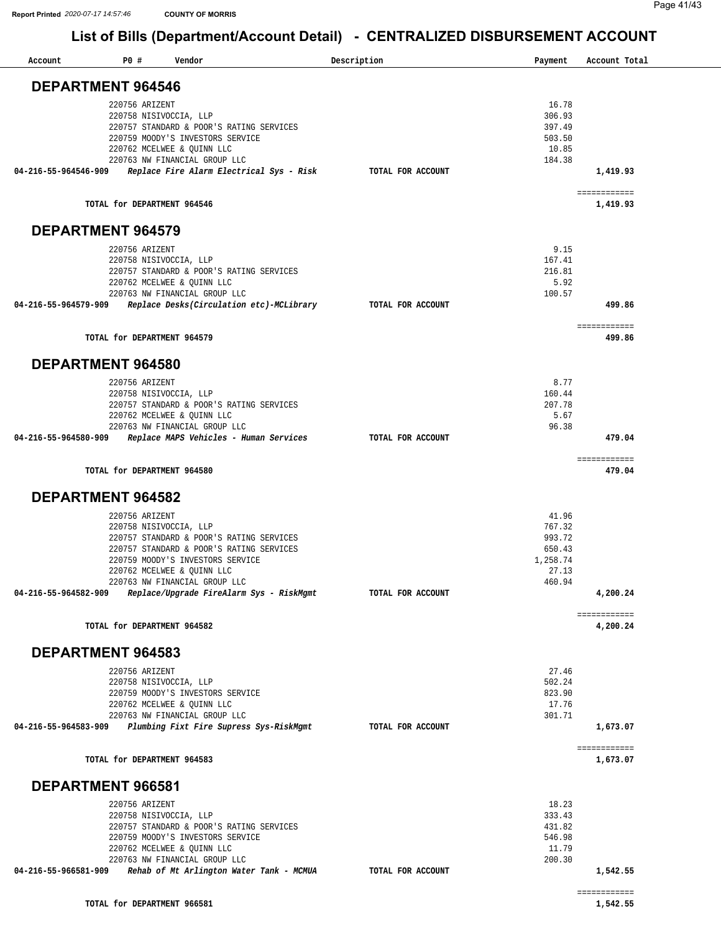| Account                  | P0#                         | Vendor                                                                               | Description       | Payment          | Account Total            |
|--------------------------|-----------------------------|--------------------------------------------------------------------------------------|-------------------|------------------|--------------------------|
|                          | <b>DEPARTMENT 964546</b>    |                                                                                      |                   |                  |                          |
|                          |                             |                                                                                      |                   |                  |                          |
|                          | 220756 ARIZENT              | 220758 NISIVOCCIA, LLP                                                               |                   | 16.78<br>306.93  |                          |
|                          |                             | 220757 STANDARD & POOR'S RATING SERVICES                                             |                   | 397.49           |                          |
|                          |                             | 220759 MOODY'S INVESTORS SERVICE                                                     |                   | 503.50           |                          |
|                          |                             | 220762 MCELWEE & QUINN LLC                                                           |                   | 10.85            |                          |
|                          |                             | 220763 NW FINANCIAL GROUP LLC                                                        |                   | 184.38           |                          |
| 04-216-55-964546-909     |                             | Replace Fire Alarm Electrical Sys - Risk                                             | TOTAL FOR ACCOUNT |                  | 1,419.93                 |
|                          | TOTAL for DEPARTMENT 964546 |                                                                                      |                   |                  | ============<br>1,419.93 |
| <b>DEPARTMENT 964579</b> |                             |                                                                                      |                   |                  |                          |
|                          | 220756 ARIZENT              |                                                                                      |                   | 9.15             |                          |
|                          |                             | 220758 NISIVOCCIA, LLP                                                               |                   | 167.41           |                          |
|                          |                             | 220757 STANDARD & POOR'S RATING SERVICES                                             |                   | 216.81           |                          |
|                          |                             | 220762 MCELWEE & QUINN LLC<br>220763 NW FINANCIAL GROUP LLC                          |                   | 5.92<br>100.57   |                          |
| 04-216-55-964579-909     |                             | Replace Desks(Circulation etc)-MCLibrary                                             | TOTAL FOR ACCOUNT |                  | 499.86                   |
|                          |                             |                                                                                      |                   |                  | ============             |
|                          | TOTAL for DEPARTMENT 964579 |                                                                                      |                   |                  | 499.86                   |
| <b>DEPARTMENT 964580</b> |                             |                                                                                      |                   |                  |                          |
|                          | 220756 ARIZENT              |                                                                                      |                   | 8.77             |                          |
|                          |                             | 220758 NISIVOCCIA, LLP                                                               |                   | 160.44           |                          |
|                          |                             | 220757 STANDARD & POOR'S RATING SERVICES                                             |                   | 207.78           |                          |
|                          |                             | 220762 MCELWEE & QUINN LLC                                                           |                   | 5.67<br>96.38    |                          |
| 04-216-55-964580-909     |                             | 220763 NW FINANCIAL GROUP LLC<br>Replace MAPS Vehicles - Human Services              | TOTAL FOR ACCOUNT |                  | 479.04                   |
|                          |                             |                                                                                      |                   |                  | ============             |
|                          | TOTAL for DEPARTMENT 964580 |                                                                                      |                   |                  | 479.04                   |
|                          | <b>DEPARTMENT 964582</b>    |                                                                                      |                   |                  |                          |
|                          | 220756 ARIZENT              |                                                                                      |                   | 41.96            |                          |
|                          |                             | 220758 NISIVOCCIA, LLP                                                               |                   | 767.32           |                          |
|                          |                             | 220757 STANDARD & POOR'S RATING SERVICES<br>220757 STANDARD & POOR'S RATING SERVICES |                   | 993.72<br>650.43 |                          |
|                          |                             | 220759 MOODY'S INVESTORS SERVICE                                                     |                   | 1,258.74         |                          |
|                          |                             | 220762 MCELWEE & QUINN LLC                                                           |                   | 27.13            |                          |
|                          |                             | 220763 NW FINANCIAL GROUP LLC                                                        |                   | 460.94           |                          |
| 04-216-55-964582-909     |                             | Replace/Upgrade FireAlarm Sys - RiskMgmt                                             | TOTAL FOR ACCOUNT |                  | 4,200.24                 |
|                          | TOTAL for DEPARTMENT 964582 |                                                                                      |                   |                  | ============<br>4,200.24 |
|                          | DEPARTMENT 964583           |                                                                                      |                   |                  |                          |
|                          |                             |                                                                                      |                   |                  |                          |
|                          | 220756 ARIZENT              |                                                                                      |                   | 27.46            |                          |
|                          |                             | 220758 NISIVOCCIA, LLP<br>220759 MOODY'S INVESTORS SERVICE                           |                   | 502.24<br>823.90 |                          |
|                          |                             | 220762 MCELWEE & QUINN LLC                                                           |                   | 17.76            |                          |
|                          |                             | 220763 NW FINANCIAL GROUP LLC                                                        |                   | 301.71           |                          |
| 04-216-55-964583-909     |                             | Plumbing Fixt Fire Supress Sys-RiskMgmt                                              | TOTAL FOR ACCOUNT |                  | 1,673.07                 |
|                          | TOTAL for DEPARTMENT 964583 |                                                                                      |                   |                  | ============<br>1,673.07 |
| DEPARTMENT 966581        |                             |                                                                                      |                   |                  |                          |
|                          | 220756 ARIZENT              |                                                                                      |                   | 18.23            |                          |
|                          |                             | 220758 NISIVOCCIA, LLP                                                               |                   | 333.43           |                          |
|                          |                             | 220757 STANDARD & POOR'S RATING SERVICES                                             |                   | 431.82           |                          |
|                          |                             | 220759 MOODY'S INVESTORS SERVICE                                                     |                   | 546.98           |                          |
|                          |                             | 220762 MCELWEE & QUINN LLC                                                           |                   | 11.79            |                          |
| 04-216-55-966581-909     |                             | 220763 NW FINANCIAL GROUP LLC<br>Rehab of Mt Arlington Water Tank - MCMUA            | TOTAL FOR ACCOUNT | 200.30           | 1,542.55                 |
|                          |                             |                                                                                      |                   |                  |                          |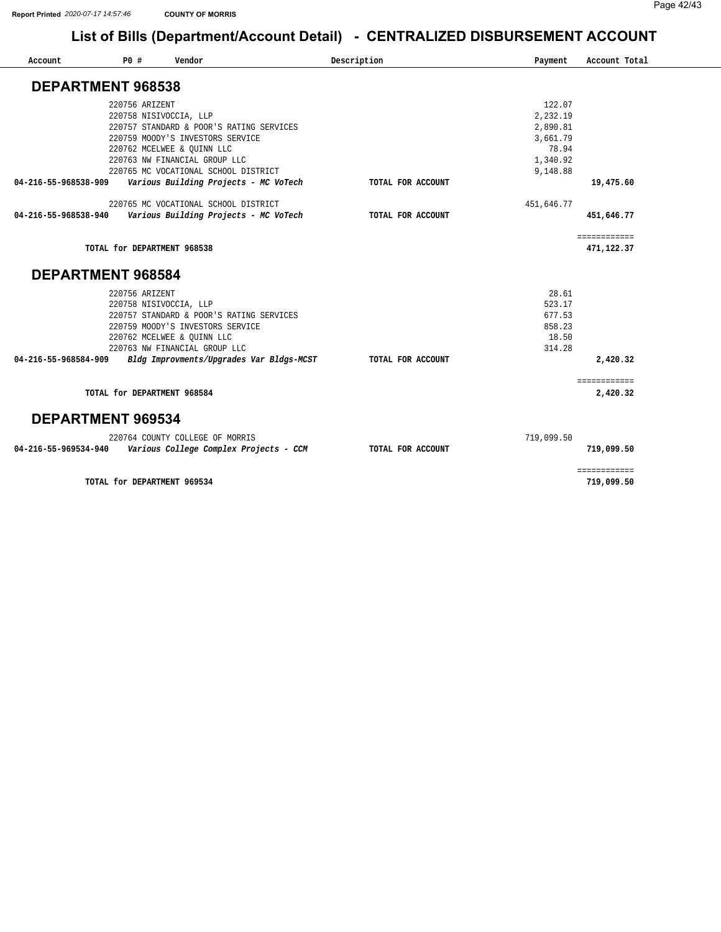| Account              | P0# | Vendor                                   | Description       | Payment    | Account Total |
|----------------------|-----|------------------------------------------|-------------------|------------|---------------|
|                      |     |                                          |                   |            |               |
| DEPARTMENT 968538    |     |                                          |                   |            |               |
|                      |     | 220756 ARIZENT                           |                   | 122.07     |               |
|                      |     | 220758 NISIVOCCIA, LLP                   |                   | 2,232.19   |               |
|                      |     | 220757 STANDARD & POOR'S RATING SERVICES |                   | 2,890.81   |               |
|                      |     | 220759 MOODY'S INVESTORS SERVICE         |                   | 3,661.79   |               |
|                      |     | 220762 MCELWEE & QUINN LLC               |                   | 78.94      |               |
|                      |     | 220763 NW FINANCIAL GROUP LLC            |                   | 1,340.92   |               |
|                      |     | 220765 MC VOCATIONAL SCHOOL DISTRICT     |                   | 9,148.88   |               |
| 04-216-55-968538-909 |     | Various Building Projects - MC VoTech    | TOTAL FOR ACCOUNT |            | 19,475.60     |
|                      |     | 220765 MC VOCATIONAL SCHOOL DISTRICT     |                   | 451,646.77 |               |
| 04-216-55-968538-940 |     | Various Building Projects - MC VoTech    | TOTAL FOR ACCOUNT |            | 451,646.77    |
|                      |     |                                          |                   |            | ============  |
|                      |     | TOTAL for DEPARTMENT 968538              |                   |            | 471,122.37    |
| DEPARTMENT 968584    |     |                                          |                   |            |               |
|                      |     | 220756 ARIZENT                           |                   | 28.61      |               |
|                      |     | 220758 NISIVOCCIA, LLP                   |                   | 523.17     |               |
|                      |     | 220757 STANDARD & POOR'S RATING SERVICES |                   | 677.53     |               |
|                      |     | 220759 MOODY'S INVESTORS SERVICE         |                   | 858.23     |               |
|                      |     | 220762 MCELWEE & OUINN LLC               |                   | 18.50      |               |
|                      |     | 220763 NW FINANCIAL GROUP LLC            |                   | 314.28     |               |
| 04-216-55-968584-909 |     | Bldg Improvments/Upgrades Var Bldgs-MCST | TOTAL FOR ACCOUNT |            | 2,420.32      |
|                      |     |                                          |                   |            | ============  |
|                      |     | TOTAL for DEPARTMENT 968584              |                   |            | 2,420.32      |
| DEPARTMENT 969534    |     |                                          |                   |            |               |
|                      |     | 220764 COUNTY COLLEGE OF MORRIS          |                   | 719,099.50 |               |
| 04-216-55-969534-940 |     | Various College Complex Projects - CCM   | TOTAL FOR ACCOUNT |            | 719,099.50    |
|                      |     |                                          |                   |            | ============  |

**TOTAL for DEPARTMENT 969534** 

**[719,099.50](https://719,099.50)**